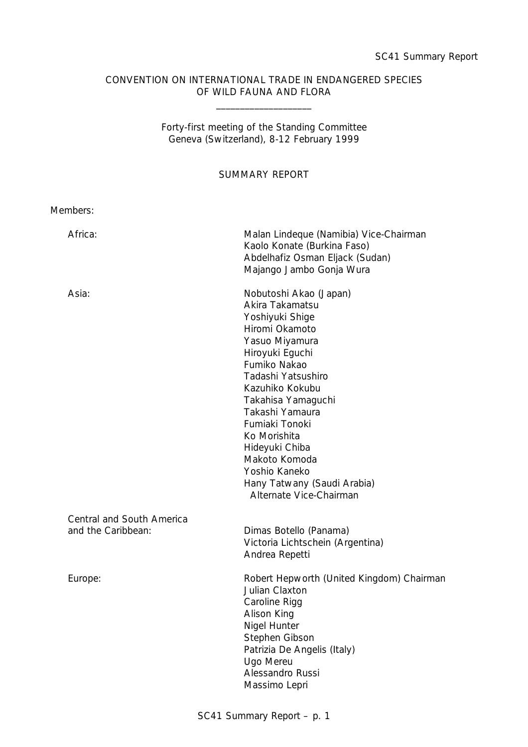# CONVENTION ON INTERNATIONAL TRADE IN ENDANGERED SPECIES OF WILD FAUNA AND FLORA

\_\_\_\_\_\_\_\_\_\_\_\_\_\_\_\_\_\_\_\_

Forty-first meeting of the Standing Committee Geneva (Switzerland), 8-12 February 1999

SUMMARY REPORT

| Members:                                        |                                                                                                                                                                                                                                                                                                                                                                       |
|-------------------------------------------------|-----------------------------------------------------------------------------------------------------------------------------------------------------------------------------------------------------------------------------------------------------------------------------------------------------------------------------------------------------------------------|
| Africa:                                         | Malan Lindeque (Namibia) Vice-Chairman<br>Kaolo Konate (Burkina Faso)<br>Abdelhafiz Osman Eljack (Sudan)<br>Majango Jambo Gonja Wura                                                                                                                                                                                                                                  |
| Asia:                                           | Nobutoshi Akao (Japan)<br>Akira Takamatsu<br>Yoshiyuki Shige<br>Hiromi Okamoto<br>Yasuo Miyamura<br>Hiroyuki Eguchi<br>Fumiko Nakao<br>Tadashi Yatsushiro<br>Kazuhiko Kokubu<br>Takahisa Yamaguchi<br>Takashi Yamaura<br>Fumiaki Tonoki<br>Ko Morishita<br>Hideyuki Chiba<br>Makoto Komoda<br>Yoshio Kaneko<br>Hany Tatwany (Saudi Arabia)<br>Alternate Vice-Chairman |
| Central and South America<br>and the Caribbean: | Dimas Botello (Panama)<br>Victoria Lichtschein (Argentina)<br>Andrea Repetti                                                                                                                                                                                                                                                                                          |
| Europe:                                         | Robert Hepworth (United Kingdom) Chairman<br>Julian Claxton<br>Caroline Rigg<br>Alison King<br>Nigel Hunter<br>Stephen Gibson<br>Patrizia De Angelis (Italy)<br>Ugo Mereu<br>Alessandro Russi<br>Massimo Lepri                                                                                                                                                        |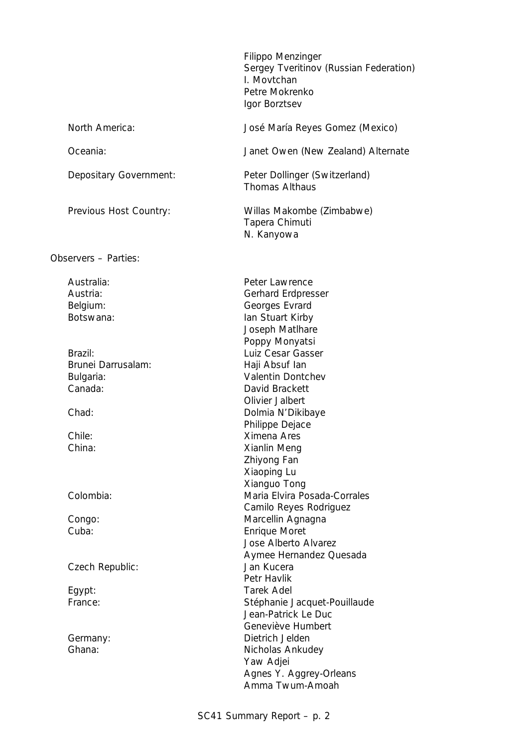Filippo Menzinger Sergey Tveritinov (Russian Federation) I. Movtchan Petre Mokrenko Igor Borztsev North America: José María Reyes Gomez (Mexico) Oceania: Janet Owen (New Zealand) Alternate Depositary Government: Peter Dollinger (Switzerland) Thomas Althaus Previous Host Country: Willas Makombe (Zimbabwe) Tapera Chimuti N. Kanyowa Observers – Parties: Australia: Peter Lawrence Austria: Gerhard Erdpresser Belgium: Georges Evrard Botswana: Ian Stuart Kirby Joseph Matlhare Poppy Monyatsi Brazil: Exercise Euliz Cesar Gasser Brunei Darrusalam: The Haji Absuf Ian Bulgaria: Valentin Dontchev Canada: David Brackett Olivier Jalbert Chad: Dolmia N'Dikibaye Philippe Dejace Chile: Ximena Ares China: Xianlin Meng Zhiyong Fan Xiaoping Lu Xianguo Tong Colombia: Maria Elvira Posada-Corrales Camilo Reyes Rodriguez Congo: Congo: Marcellin Agnagna Cuba: Enrique Moret Jose Alberto Alvarez Aymee Hernandez Quesada Czech Republic: Jan Kucera Petr Havlik Egypt: Tarek Adel France: Stéphanie Jacquet-Pouillaude Jean-Patrick Le Duc Geneviève Humbert Germany: Dietrich Jelden Ghana: Ghana: Ghana: Ghana: Ghana: Ghana: Ghana: Ghana: Ghana: Ghana: Ghana: Ghana: Ghana: Ghana: G Yaw Adjei Agnes Y. Aggrey-Orleans

Amma Twum-Amoah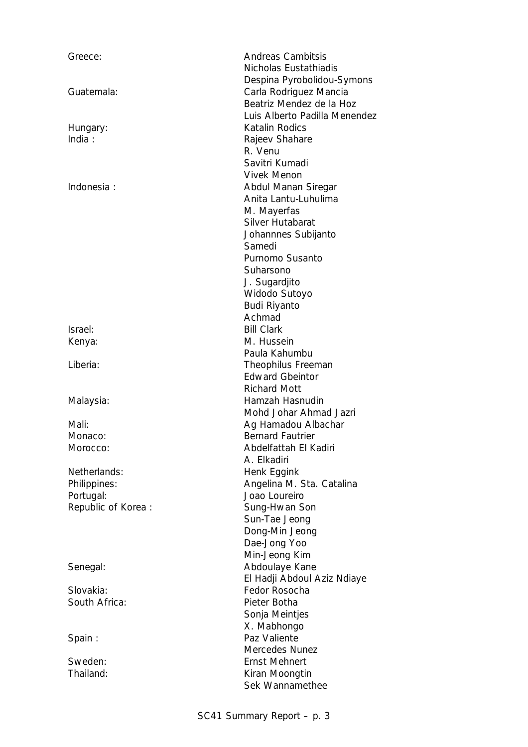| Greece:            | <b>Andreas Cambitsis</b>      |
|--------------------|-------------------------------|
|                    | Nicholas Eustathiadis         |
|                    | Despina Pyrobolidou-Symons    |
| Guatemala:         | Carla Rodriguez Mancia        |
|                    | Beatriz Mendez de la Hoz      |
|                    | Luis Alberto Padilla Menendez |
| Hungary:           | Katalin Rodics                |
| India:             | Rajeev Shahare                |
|                    | R. Venu                       |
|                    | Savitri Kumadi                |
|                    | <b>Vivek Menon</b>            |
| Indonesia:         | Abdul Manan Siregar           |
|                    | Anita Lantu-Luhulima          |
|                    |                               |
|                    | M. Mayerfas                   |
|                    | Silver Hutabarat              |
|                    | Johannnes Subijanto           |
|                    | Samedi                        |
|                    | Purnomo Susanto               |
|                    | Suharsono                     |
|                    | J. Sugardjito                 |
|                    | Widodo Sutoyo                 |
|                    | Budi Riyanto                  |
|                    | Achmad                        |
| Israel:            | <b>Bill Clark</b>             |
| Kenya:             | M. Hussein                    |
|                    | Paula Kahumbu                 |
| Liberia:           | Theophilus Freeman            |
|                    | <b>Edward Gbeintor</b>        |
|                    | <b>Richard Mott</b>           |
| Malaysia:          | Hamzah Hasnudin               |
|                    | Mohd Johar Ahmad Jazri        |
| Mali:              | Ag Hamadou Albachar           |
| Monaco:            | <b>Bernard Fautrier</b>       |
| Morocco:           | Abdelfattah El Kadiri         |
|                    | A. Elkadiri                   |
| Netherlands:       | Henk Eggink                   |
| Philippines:       | Angelina M. Sta. Catalina     |
| Portugal:          | Joao Loureiro                 |
| Republic of Korea: | Sung-Hwan Son                 |
|                    | Sun-Tae Jeong                 |
|                    | Dong-Min Jeong                |
|                    | Dae-Jong Yoo                  |
|                    | Min-Jeong Kim                 |
| Senegal:           | Abdoulaye Kane                |
|                    | El Hadji Abdoul Aziz Ndiaye   |
| Slovakia:          | Fedor Rosocha                 |
|                    |                               |
| South Africa:      | Pieter Botha                  |
|                    | Sonja Meintjes                |
|                    | X. Mabhongo                   |
| Spain:             | Paz Valiente                  |
|                    | Mercedes Nunez                |
| Sweden:            | <b>Ernst Mehnert</b>          |
| Thailand:          | Kiran Moongtin                |
|                    | Sek Wannamethee               |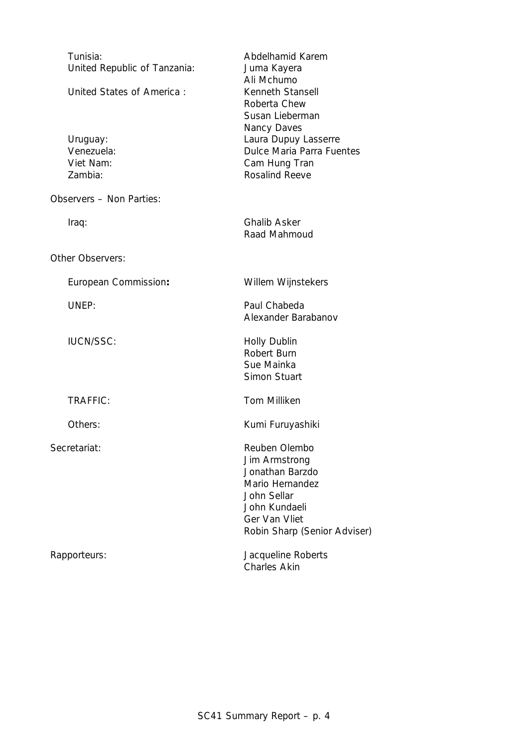| Tunisia:<br>United Republic of Tanzania:<br>United States of America:<br>Uruguay:<br>Venezuela:<br>Viet Nam: | Abdelhamid Karem<br>Juma Kayera<br>Ali Mchumo<br>Kenneth Stansell<br>Roberta Chew<br>Susan Lieberman<br>Nancy Daves<br>Laura Dupuy Lasserre<br><b>Dulce Maria Parra Fuentes</b><br>Cam Hung Tran |
|--------------------------------------------------------------------------------------------------------------|--------------------------------------------------------------------------------------------------------------------------------------------------------------------------------------------------|
| Zambia:                                                                                                      | <b>Rosalind Reeve</b>                                                                                                                                                                            |
| Observers - Non Parties:                                                                                     |                                                                                                                                                                                                  |
| Iraq:                                                                                                        | <b>Ghalib Asker</b><br>Raad Mahmoud                                                                                                                                                              |
| Other Observers:                                                                                             |                                                                                                                                                                                                  |
| European Commission:                                                                                         | Willem Wijnstekers                                                                                                                                                                               |
| UNEP:                                                                                                        | Paul Chabeda<br>Alexander Barabanov                                                                                                                                                              |
| <b>IUCN/SSC:</b>                                                                                             | <b>Holly Dublin</b><br>Robert Burn<br>Sue Mainka<br><b>Simon Stuart</b>                                                                                                                          |
| <b>TRAFFIC:</b>                                                                                              | <b>Tom Milliken</b>                                                                                                                                                                              |
| Others:                                                                                                      | Kumi Furuyashiki                                                                                                                                                                                 |
| Secretariat:                                                                                                 | Reuben Olembo<br>Jim Armstrong<br>Jonathan Barzdo<br>Mario Hernandez<br>John Sellar<br>John Kundaeli<br>Ger Van Vliet<br>Robin Sharp (Senior Adviser)                                            |
| Rapporteurs:                                                                                                 | Jacqueline Roberts<br><b>Charles Akin</b>                                                                                                                                                        |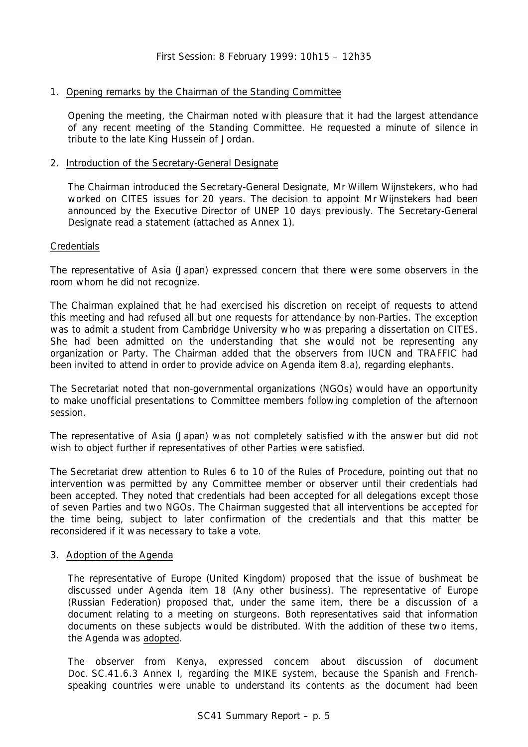# 1. Opening remarks by the Chairman of the Standing Committee

Opening the meeting, the Chairman noted with pleasure that it had the largest attendance of any recent meeting of the Standing Committee. He requested a minute of silence in tribute to the late King Hussein of Jordan.

# 2. Introduction of the Secretary-General Designate

The Chairman introduced the Secretary-General Designate, Mr Willem Wijnstekers, who had worked on CITES issues for 20 years. The decision to appoint Mr Wijnstekers had been announced by the Executive Director of UNEP 10 days previously. The Secretary-General Designate read a statement (attached as Annex 1).

# **Credentials**

The representative of Asia (Japan) expressed concern that there were some observers in the room whom he did not recognize.

The Chairman explained that he had exercised his discretion on receipt of requests to attend this meeting and had refused all but one requests for attendance by non-Parties. The exception was to admit a student from Cambridge University who was preparing a dissertation on CITES. She had been admitted on the understanding that she would not be representing any organization or Party. The Chairman added that the observers from IUCN and TRAFFIC had been invited to attend in order to provide advice on Agenda item 8.a), regarding elephants.

The Secretariat noted that non-governmental organizations (NGOs) would have an opportunity to make unofficial presentations to Committee members following completion of the afternoon session.

The representative of Asia (Japan) was not completely satisfied with the answer but did not wish to object further if representatives of other Parties were satisfied.

The Secretariat drew attention to Rules 6 to 10 of the Rules of Procedure, pointing out that no intervention was permitted by any Committee member or observer until their credentials had been accepted. They noted that credentials had been accepted for all delegations except those of seven Parties and two NGOs. The Chairman suggested that all interventions be accepted for the time being, subject to later confirmation of the credentials and that this matter be reconsidered if it was necessary to take a vote.

# 3. Adoption of the Agenda

The representative of Europe (United Kingdom) proposed that the issue of bushmeat be discussed under Agenda item 18 (Any other business). The representative of Europe (Russian Federation) proposed that, under the same item, there be a discussion of a document relating to a meeting on sturgeons. Both representatives said that information documents on these subjects would be distributed. With the addition of these two items, the Agenda was adopted.

The observer from Kenya, expressed concern about discussion of document Doc. SC.41.6.3 Annex I, regarding the MIKE system, because the Spanish and Frenchspeaking countries were unable to understand its contents as the document had been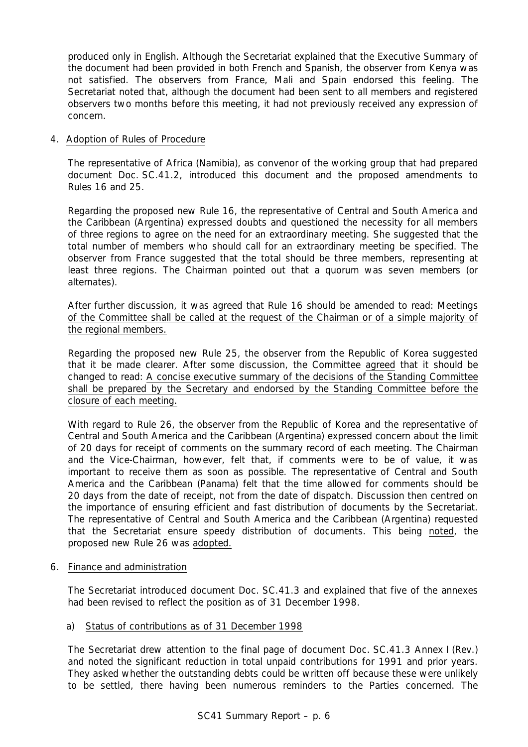produced only in English. Although the Secretariat explained that the Executive Summary of the document had been provided in both French and Spanish, the observer from Kenya was not satisfied. The observers from France, Mali and Spain endorsed this feeling. The Secretariat noted that, although the document had been sent to all members and registered observers two months before this meeting, it had not previously received any expression of concern.

# 4. Adoption of Rules of Procedure

The representative of Africa (Namibia), as convenor of the working group that had prepared document Doc. SC.41.2, introduced this document and the proposed amendments to Rules 16 and 25.

Regarding the proposed new Rule 16, the representative of Central and South America and the Caribbean (Argentina) expressed doubts and questioned the necessity for all members of three regions to agree on the need for an extraordinary meeting. She suggested that the total number of members who should call for an extraordinary meeting be specified. The observer from France suggested that the total should be three members, representing at least three regions. The Chairman pointed out that a quorum was seven members (or alternates).

After further discussion, it was agreed that Rule 16 should be amended to read: Meetings of the Committee shall be called at the request of the Chairman or of a simple majority of the regional members.

Regarding the proposed new Rule 25, the observer from the Republic of Korea suggested that it be made clearer. After some discussion, the Committee agreed that it should be changed to read: A concise executive summary of the decisions of the Standing Committee shall be prepared by the Secretary and endorsed by the Standing Committee before the closure of each meeting.

With regard to Rule 26, the observer from the Republic of Korea and the representative of Central and South America and the Caribbean (Argentina) expressed concern about the limit of 20 days for receipt of comments on the summary record of each meeting. The Chairman and the Vice-Chairman, however, felt that, if comments were to be of value, it was important to receive them as soon as possible. The representative of Central and South America and the Caribbean (Panama) felt that the time allowed for comments should be 20 days from the date of receipt, not from the date of dispatch. Discussion then centred on the importance of ensuring efficient and fast distribution of documents by the Secretariat. The representative of Central and South America and the Caribbean (Argentina) requested that the Secretariat ensure speedy distribution of documents. This being noted, the proposed new Rule 26 was adopted.

# 6. Finance and administration

The Secretariat introduced document Doc. SC.41.3 and explained that five of the annexes had been revised to reflect the position as of 31 December 1998.

# a) Status of contributions as of 31 December 1998

The Secretariat drew attention to the final page of document Doc. SC.41.3 Annex I (Rev.) and noted the significant reduction in total unpaid contributions for 1991 and prior years. They asked whether the outstanding debts could be written off because these were unlikely to be settled, there having been numerous reminders to the Parties concerned. The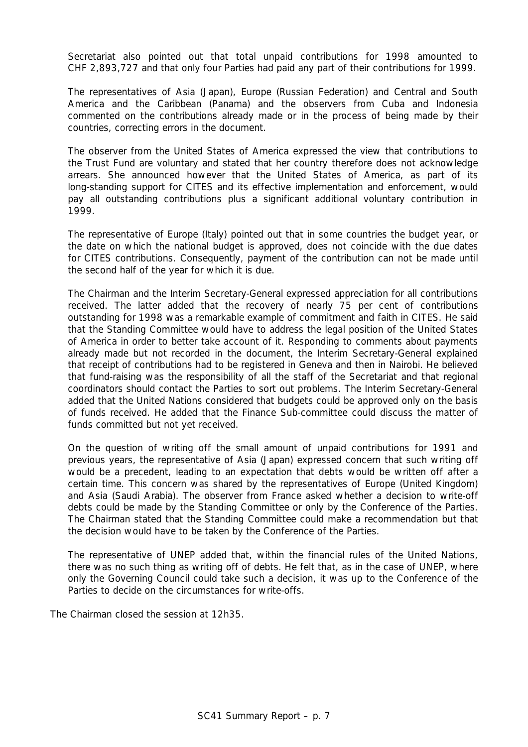Secretariat also pointed out that total unpaid contributions for 1998 amounted to CHF 2,893,727 and that only four Parties had paid any part of their contributions for 1999.

The representatives of Asia (Japan), Europe (Russian Federation) and Central and South America and the Caribbean (Panama) and the observers from Cuba and Indonesia commented on the contributions already made or in the process of being made by their countries, correcting errors in the document.

The observer from the United States of America expressed the view that contributions to the Trust Fund are voluntary and stated that her country therefore does not acknowledge arrears. She announced however that the United States of America, as part of its long-standing support for CITES and its effective implementation and enforcement, would pay all outstanding contributions plus a significant additional voluntary contribution in 1999.

The representative of Europe (Italy) pointed out that in some countries the budget year, or the date on which the national budget is approved, does not coincide with the due dates for CITES contributions. Consequently, payment of the contribution can not be made until the second half of the year for which it is due.

The Chairman and the Interim Secretary-General expressed appreciation for all contributions received. The latter added that the recovery of nearly 75 per cent of contributions outstanding for 1998 was a remarkable example of commitment and faith in CITES. He said that the Standing Committee would have to address the legal position of the United States of America in order to better take account of it. Responding to comments about payments already made but not recorded in the document, the Interim Secretary-General explained that receipt of contributions had to be registered in Geneva and then in Nairobi. He believed that fund-raising was the responsibility of all the staff of the Secretariat and that regional coordinators should contact the Parties to sort out problems. The Interim Secretary-General added that the United Nations considered that budgets could be approved only on the basis of funds received. He added that the Finance Sub-committee could discuss the matter of funds committed but not yet received.

On the question of writing off the small amount of unpaid contributions for 1991 and previous years, the representative of Asia (Japan) expressed concern that such writing off would be a precedent, leading to an expectation that debts would be written off after a certain time. This concern was shared by the representatives of Europe (United Kingdom) and Asia (Saudi Arabia). The observer from France asked whether a decision to write-off debts could be made by the Standing Committee or only by the Conference of the Parties. The Chairman stated that the Standing Committee could make a recommendation but that the decision would have to be taken by the Conference of the Parties.

The representative of UNEP added that, within the financial rules of the United Nations, there was no such thing as writing off of debts. He felt that, as in the case of UNEP, where only the Governing Council could take such a decision, it was up to the Conference of the Parties to decide on the circumstances for write-offs.

The Chairman closed the session at 12h35.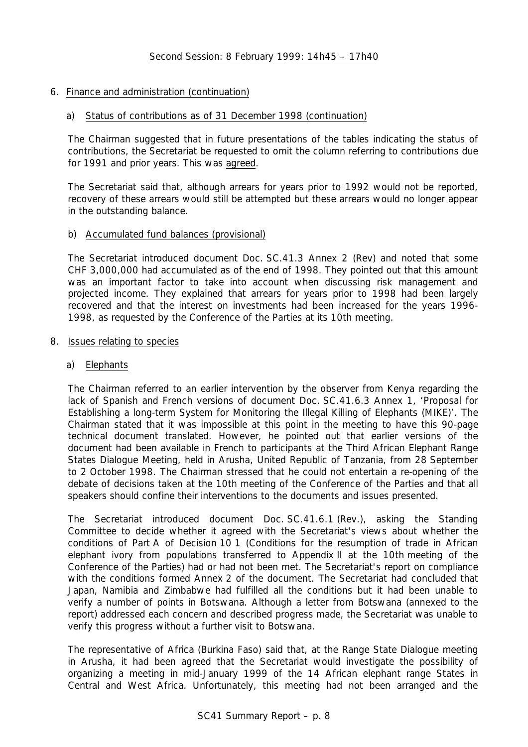# 6. Finance and administration (continuation)

# a) Status of contributions as of 31 December 1998 (continuation)

The Chairman suggested that in future presentations of the tables indicating the status of contributions, the Secretariat be requested to omit the column referring to contributions due for 1991 and prior years. This was agreed.

The Secretariat said that, although arrears for years prior to 1992 would not be reported, recovery of these arrears would still be attempted but these arrears would no longer appear in the outstanding balance.

# b) Accumulated fund balances (provisional)

The Secretariat introduced document Doc. SC.41.3 Annex 2 (Rev) and noted that some CHF 3,000,000 had accumulated as of the end of 1998. They pointed out that this amount was an important factor to take into account when discussing risk management and projected income. They explained that arrears for years prior to 1998 had been largely recovered and that the interest on investments had been increased for the years 1996- 1998, as requested by the Conference of the Parties at its 10th meeting.

# 8. Issues relating to species

# a) Elephants

The Chairman referred to an earlier intervention by the observer from Kenya regarding the lack of Spanish and French versions of document Doc. SC.41.6.3 Annex 1, 'Proposal for Establishing a long-term System for Monitoring the Illegal Killing of Elephants (MIKE)'. The Chairman stated that it was impossible at this point in the meeting to have this 90-page technical document translated. However, he pointed out that earlier versions of the document had been available in French to participants at the Third African Elephant Range States Dialogue Meeting, held in Arusha, United Republic of Tanzania, from 28 September to 2 October 1998. The Chairman stressed that he could not entertain a re-opening of the debate of decisions taken at the 10th meeting of the Conference of the Parties and that all speakers should confine their interventions to the documents and issues presented.

The Secretariat introduced document Doc. SC.41.6.1 (Rev.), asking the Standing Committee to decide whether it agreed with the Secretariat's views about whether the conditions of Part A of Decision 10 1 (Conditions for the resumption of trade in African elephant ivory from populations transferred to Appendix II at the 10th meeting of the Conference of the Parties) had or had not been met. The Secretariat's report on compliance with the conditions formed Annex 2 of the document. The Secretariat had concluded that Japan, Namibia and Zimbabwe had fulfilled all the conditions but it had been unable to verify a number of points in Botswana. Although a letter from Botswana (annexed to the report) addressed each concern and described progress made, the Secretariat was unable to verify this progress without a further visit to Botswana.

The representative of Africa (Burkina Faso) said that, at the Range State Dialogue meeting in Arusha, it had been agreed that the Secretariat would investigate the possibility of organizing a meeting in mid-January 1999 of the 14 African elephant range States in Central and West Africa. Unfortunately, this meeting had not been arranged and the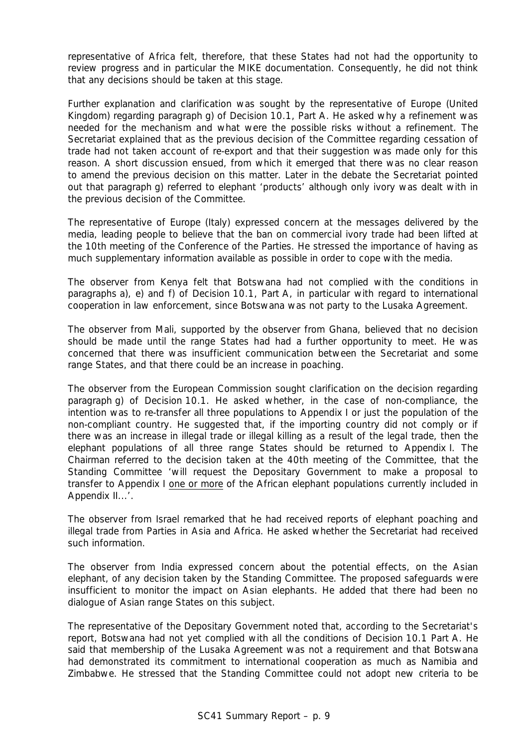representative of Africa felt, therefore, that these States had not had the opportunity to review progress and in particular the MIKE documentation. Consequently, he did not think that any decisions should be taken at this stage.

Further explanation and clarification was sought by the representative of Europe (United Kingdom) regarding paragraph g) of Decision 10.1, Part A. He asked why a refinement was needed for the mechanism and what were the possible risks without a refinement. The Secretariat explained that as the previous decision of the Committee regarding cessation of trade had not taken account of re-export and that their suggestion was made only for this reason. A short discussion ensued, from which it emerged that there was no clear reason to amend the previous decision on this matter. Later in the debate the Secretariat pointed out that paragraph g) referred to elephant 'products' although only ivory was dealt with in the previous decision of the Committee.

The representative of Europe (Italy) expressed concern at the messages delivered by the media, leading people to believe that the ban on commercial ivory trade had been lifted at the 10th meeting of the Conference of the Parties. He stressed the importance of having as much supplementary information available as possible in order to cope with the media.

The observer from Kenya felt that Botswana had not complied with the conditions in paragraphs a), e) and f) of Decision 10.1, Part A, in particular with regard to international cooperation in law enforcement, since Botswana was not party to the Lusaka Agreement.

The observer from Mali, supported by the observer from Ghana, believed that no decision should be made until the range States had had a further opportunity to meet. He was concerned that there was insufficient communication between the Secretariat and some range States, and that there could be an increase in poaching.

The observer from the European Commission sought clarification on the decision regarding paragraph g) of Decision 10.1. He asked whether, in the case of non-compliance, the intention was to re-transfer all three populations to Appendix I or just the population of the non-compliant country. He suggested that, if the importing country did not comply or if there was an increase in illegal trade or illegal killing as a result of the legal trade, then the elephant populations of all three range States should be returned to Appendix I. The Chairman referred to the decision taken at the 40th meeting of the Committee, that the Standing Committee 'will request the Depositary Government to make a proposal to transfer to Appendix I one or more of the African elephant populations currently included in Appendix II...'.

The observer from Israel remarked that he had received reports of elephant poaching and illegal trade from Parties in Asia and Africa. He asked whether the Secretariat had received such information.

The observer from India expressed concern about the potential effects, on the Asian elephant, of any decision taken by the Standing Committee. The proposed safeguards were insufficient to monitor the impact on Asian elephants. He added that there had been no dialogue of Asian range States on this subject.

The representative of the Depositary Government noted that, according to the Secretariat's report, Botswana had not yet complied with all the conditions of Decision 10.1 Part A. He said that membership of the Lusaka Agreement was not a requirement and that Botswana had demonstrated its commitment to international cooperation as much as Namibia and Zimbabwe. He stressed that the Standing Committee could not adopt new criteria to be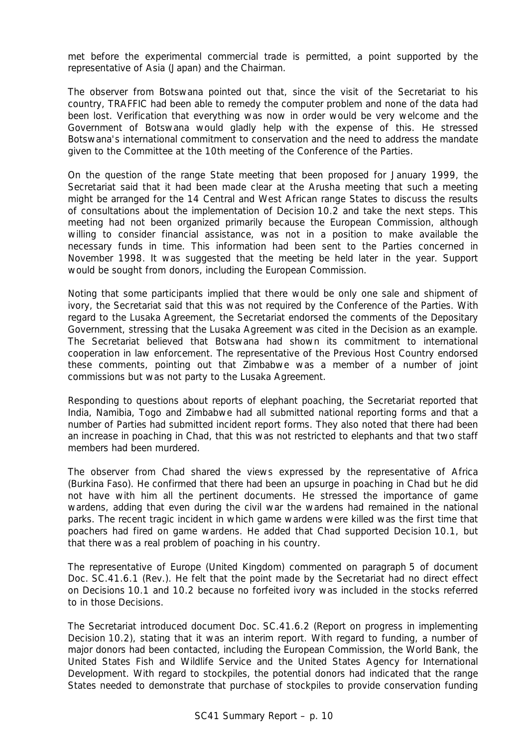met before the experimental commercial trade is permitted, a point supported by the representative of Asia (Japan) and the Chairman.

The observer from Botswana pointed out that, since the visit of the Secretariat to his country, TRAFFIC had been able to remedy the computer problem and none of the data had been lost. Verification that everything was now in order would be very welcome and the Government of Botswana would gladly help with the expense of this. He stressed Botswana's international commitment to conservation and the need to address the mandate given to the Committee at the 10th meeting of the Conference of the Parties.

On the question of the range State meeting that been proposed for January 1999, the Secretariat said that it had been made clear at the Arusha meeting that such a meeting might be arranged for the 14 Central and West African range States to discuss the results of consultations about the implementation of Decision 10.2 and take the next steps. This meeting had not been organized primarily because the European Commission, although willing to consider financial assistance, was not in a position to make available the necessary funds in time. This information had been sent to the Parties concerned in November 1998. It was suggested that the meeting be held later in the year. Support would be sought from donors, including the European Commission.

Noting that some participants implied that there would be only one sale and shipment of ivory, the Secretariat said that this was not required by the Conference of the Parties. With regard to the Lusaka Agreement, the Secretariat endorsed the comments of the Depositary Government, stressing that the Lusaka Agreement was cited in the Decision as an example. The Secretariat believed that Botswana had shown its commitment to international cooperation in law enforcement. The representative of the Previous Host Country endorsed these comments, pointing out that Zimbabwe was a member of a number of joint commissions but was not party to the Lusaka Agreement.

Responding to questions about reports of elephant poaching, the Secretariat reported that India, Namibia, Togo and Zimbabwe had all submitted national reporting forms and that a number of Parties had submitted incident report forms. They also noted that there had been an increase in poaching in Chad, that this was not restricted to elephants and that two staff members had been murdered.

The observer from Chad shared the views expressed by the representative of Africa (Burkina Faso). He confirmed that there had been an upsurge in poaching in Chad but he did not have with him all the pertinent documents. He stressed the importance of game wardens, adding that even during the civil war the wardens had remained in the national parks. The recent tragic incident in which game wardens were killed was the first time that poachers had fired on game wardens. He added that Chad supported Decision 10.1, but that there was a real problem of poaching in his country.

The representative of Europe (United Kingdom) commented on paragraph 5 of document Doc. SC.41.6.1 (Rev.). He felt that the point made by the Secretariat had no direct effect on Decisions 10.1 and 10.2 because no forfeited ivory was included in the stocks referred to in those Decisions.

The Secretariat introduced document Doc. SC.41.6.2 (Report on progress in implementing Decision 10.2), stating that it was an interim report. With regard to funding, a number of major donors had been contacted, including the European Commission, the World Bank, the United States Fish and Wildlife Service and the United States Agency for International Development. With regard to stockpiles, the potential donors had indicated that the range States needed to demonstrate that purchase of stockpiles to provide conservation funding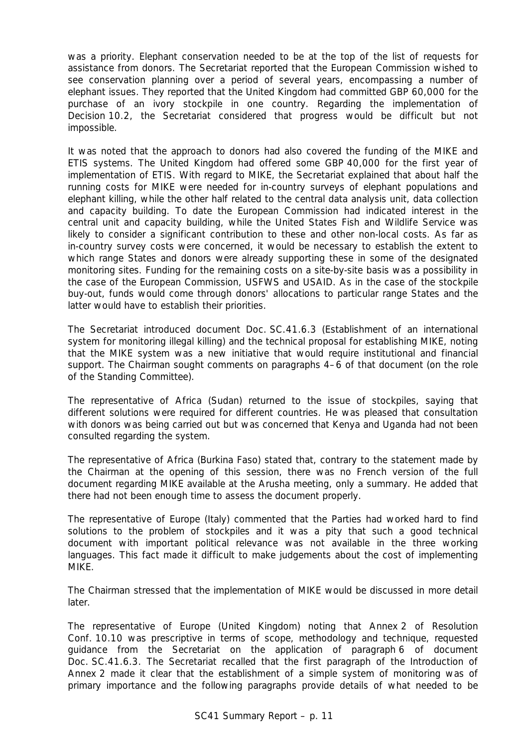was a priority. Elephant conservation needed to be at the top of the list of requests for assistance from donors. The Secretariat reported that the European Commission wished to see conservation planning over a period of several years, encompassing a number of elephant issues. They reported that the United Kingdom had committed GBP 60,000 for the purchase of an ivory stockpile in one country. Regarding the implementation of Decision 10.2, the Secretariat considered that progress would be difficult but not impossible.

It was noted that the approach to donors had also covered the funding of the MIKE and ETIS systems. The United Kingdom had offered some GBP 40,000 for the first year of implementation of ETIS. With regard to MIKE, the Secretariat explained that about half the running costs for MIKE were needed for in-country surveys of elephant populations and elephant killing, while the other half related to the central data analysis unit, data collection and capacity building. To date the European Commission had indicated interest in the central unit and capacity building, while the United States Fish and Wildlife Service was likely to consider a significant contribution to these and other non-local costs. As far as in-country survey costs were concerned, it would be necessary to establish the extent to which range States and donors were already supporting these in some of the designated monitoring sites. Funding for the remaining costs on a site-by-site basis was a possibility in the case of the European Commission, USFWS and USAID. As in the case of the stockpile buy-out, funds would come through donors' allocations to particular range States and the latter would have to establish their priorities.

The Secretariat introduced document Doc. SC.41.6.3 (Establishment of an international system for monitoring illegal killing) and the technical proposal for establishing MIKE, noting that the MIKE system was a new initiative that would require institutional and financial support. The Chairman sought comments on paragraphs 4–6 of that document (on the role of the Standing Committee).

The representative of Africa (Sudan) returned to the issue of stockpiles, saying that different solutions were required for different countries. He was pleased that consultation with donors was being carried out but was concerned that Kenya and Uganda had not been consulted regarding the system.

The representative of Africa (Burkina Faso) stated that, contrary to the statement made by the Chairman at the opening of this session, there was no French version of the full document regarding MIKE available at the Arusha meeting, only a summary. He added that there had not been enough time to assess the document properly.

The representative of Europe (Italy) commented that the Parties had worked hard to find solutions to the problem of stockpiles and it was a pity that such a good technical document with important political relevance was not available in the three working languages. This fact made it difficult to make judgements about the cost of implementing MIKE.

The Chairman stressed that the implementation of MIKE would be discussed in more detail later.

The representative of Europe (United Kingdom) noting that Annex 2 of Resolution Conf. 10.10 was prescriptive in terms of scope, methodology and technique, requested guidance from the Secretariat on the application of paragraph 6 of document Doc. SC.41.6.3. The Secretariat recalled that the first paragraph of the Introduction of Annex 2 made it clear that the establishment of a simple system of monitoring was of primary importance and the following paragraphs provide details of what needed to be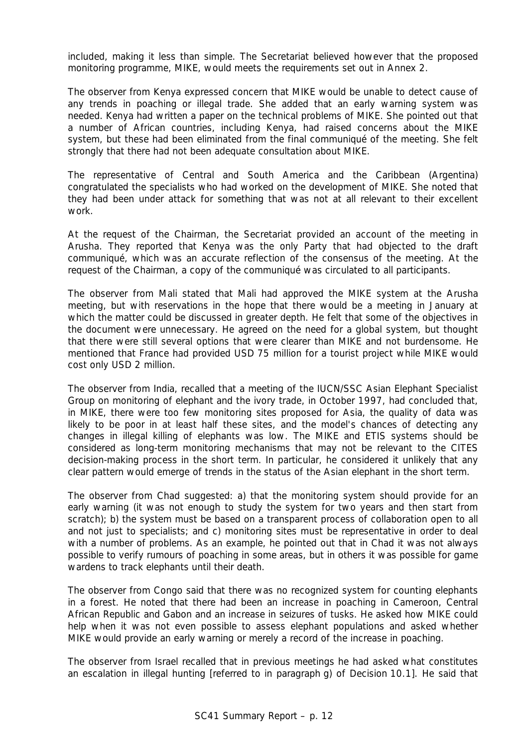included, making it less than simple. The Secretariat believed however that the proposed monitoring programme, MIKE, would meets the requirements set out in Annex 2.

The observer from Kenya expressed concern that MIKE would be unable to detect cause of any trends in poaching or illegal trade. She added that an early warning system was needed. Kenya had written a paper on the technical problems of MIKE. She pointed out that a number of African countries, including Kenya, had raised concerns about the MIKE system, but these had been eliminated from the final communiqué of the meeting. She felt strongly that there had not been adequate consultation about MIKE.

The representative of Central and South America and the Caribbean (Argentina) congratulated the specialists who had worked on the development of MIKE. She noted that they had been under attack for something that was not at all relevant to their excellent work.

At the request of the Chairman, the Secretariat provided an account of the meeting in Arusha. They reported that Kenya was the only Party that had objected to the draft communiqué, which was an accurate reflection of the consensus of the meeting. At the request of the Chairman, a copy of the communiqué was circulated to all participants.

The observer from Mali stated that Mali had approved the MIKE system at the Arusha meeting, but with reservations in the hope that there would be a meeting in January at which the matter could be discussed in greater depth. He felt that some of the objectives in the document were unnecessary. He agreed on the need for a global system, but thought that there were still several options that were clearer than MIKE and not burdensome. He mentioned that France had provided USD 75 million for a tourist project while MIKE would cost only USD 2 million.

The observer from India, recalled that a meeting of the IUCN/SSC Asian Elephant Specialist Group on monitoring of elephant and the ivory trade, in October 1997, had concluded that, in MIKE, there were too few monitoring sites proposed for Asia, the quality of data was likely to be poor in at least half these sites, and the model's chances of detecting any changes in illegal killing of elephants was low. The MIKE and ETIS systems should be considered as long-term monitoring mechanisms that may not be relevant to the CITES decision-making process in the short term. In particular, he considered it unlikely that any clear pattern would emerge of trends in the status of the Asian elephant in the short term.

The observer from Chad suggested: a) that the monitoring system should provide for an early warning (it was not enough to study the system for two years and then start from scratch); b) the system must be based on a transparent process of collaboration open to all and not just to specialists; and c) monitoring sites must be representative in order to deal with a number of problems. As an example, he pointed out that in Chad it was not always possible to verify rumours of poaching in some areas, but in others it was possible for game wardens to track elephants until their death.

The observer from Congo said that there was no recognized system for counting elephants in a forest. He noted that there had been an increase in poaching in Cameroon, Central African Republic and Gabon and an increase in seizures of tusks. He asked how MIKE could help when it was not even possible to assess elephant populations and asked whether MIKE would provide an early warning or merely a record of the increase in poaching.

The observer from Israel recalled that in previous meetings he had asked what constitutes an escalation in illegal hunting [referred to in paragraph g) of Decision 10.1]. He said that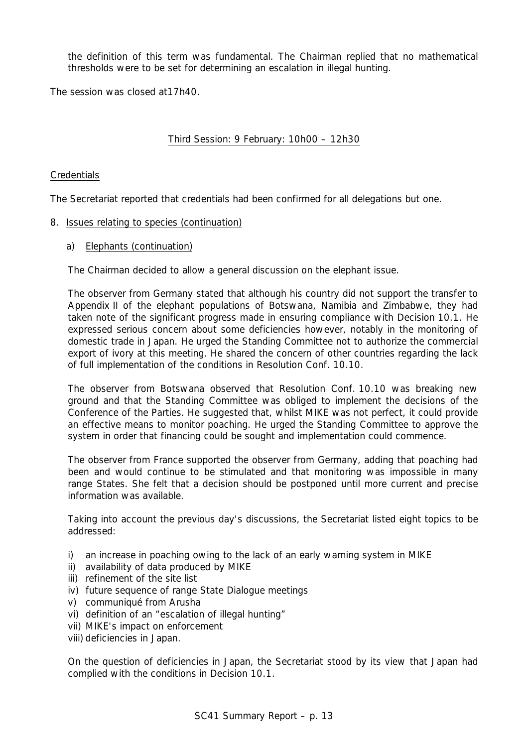the definition of this term was fundamental. The Chairman replied that no mathematical thresholds were to be set for determining an escalation in illegal hunting.

The session was closed at17h40.

# Third Session: 9 February: 10h00 – 12h30

# **Credentials**

The Secretariat reported that credentials had been confirmed for all delegations but one.

# 8. Issues relating to species (continuation)

a) Elephants (continuation)

The Chairman decided to allow a general discussion on the elephant issue.

The observer from Germany stated that although his country did not support the transfer to Appendix II of the elephant populations of Botswana, Namibia and Zimbabwe, they had taken note of the significant progress made in ensuring compliance with Decision 10.1. He expressed serious concern about some deficiencies however, notably in the monitoring of domestic trade in Japan. He urged the Standing Committee not to authorize the commercial export of ivory at this meeting. He shared the concern of other countries regarding the lack of full implementation of the conditions in Resolution Conf. 10.10.

The observer from Botswana observed that Resolution Conf. 10.10 was breaking new ground and that the Standing Committee was obliged to implement the decisions of the Conference of the Parties. He suggested that, whilst MIKE was not perfect, it could provide an effective means to monitor poaching. He urged the Standing Committee to approve the system in order that financing could be sought and implementation could commence.

The observer from France supported the observer from Germany, adding that poaching had been and would continue to be stimulated and that monitoring was impossible in many range States. She felt that a decision should be postponed until more current and precise information was available.

Taking into account the previous day's discussions, the Secretariat listed eight topics to be addressed:

- i) an increase in poaching owing to the lack of an early warning system in MIKE
- ii) availability of data produced by MIKE
- iii) refinement of the site list
- iv) future sequence of range State Dialogue meetings
- v) communiqué from Arusha
- vi) definition of an "escalation of illegal hunting"
- vii) MIKE's impact on enforcement
- viii) deficiencies in Japan.

On the question of deficiencies in Japan, the Secretariat stood by its view that Japan had complied with the conditions in Decision 10.1.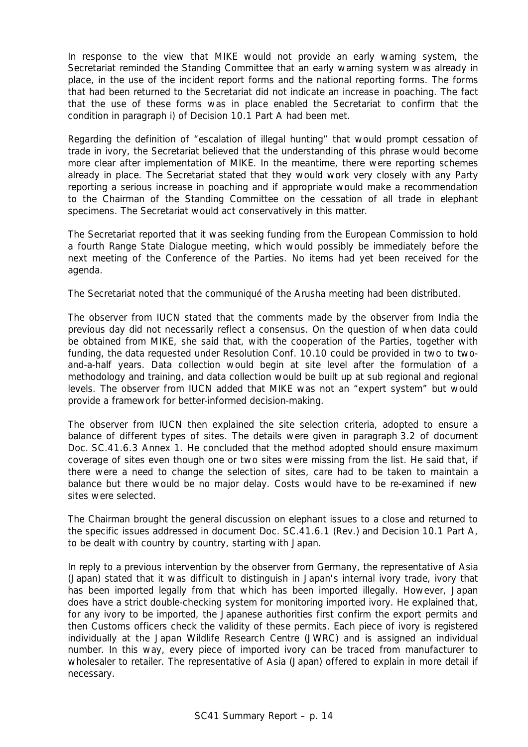In response to the view that MIKE would not provide an early warning system, the Secretariat reminded the Standing Committee that an early warning system was already in place, in the use of the incident report forms and the national reporting forms. The forms that had been returned to the Secretariat did not indicate an increase in poaching. The fact that the use of these forms was in place enabled the Secretariat to confirm that the condition in paragraph i) of Decision 10.1 Part A had been met.

Regarding the definition of "escalation of illegal hunting" that would prompt cessation of trade in ivory, the Secretariat believed that the understanding of this phrase would become more clear after implementation of MIKE. In the meantime, there were reporting schemes already in place. The Secretariat stated that they would work very closely with any Party reporting a serious increase in poaching and if appropriate would make a recommendation to the Chairman of the Standing Committee on the cessation of all trade in elephant specimens. The Secretariat would act conservatively in this matter.

The Secretariat reported that it was seeking funding from the European Commission to hold a fourth Range State Dialogue meeting, which would possibly be immediately before the next meeting of the Conference of the Parties. No items had yet been received for the agenda.

The Secretariat noted that the communiqué of the Arusha meeting had been distributed.

The observer from IUCN stated that the comments made by the observer from India the previous day did not necessarily reflect a consensus. On the question of when data could be obtained from MIKE, she said that, with the cooperation of the Parties, together with funding, the data requested under Resolution Conf. 10.10 could be provided in two to twoand-a-half years. Data collection would begin at site level after the formulation of a methodology and training, and data collection would be built up at sub regional and regional levels. The observer from IUCN added that MIKE was not an "expert system" but would provide a framework for better-informed decision-making.

The observer from IUCN then explained the site selection criteria, adopted to ensure a balance of different types of sites. The details were given in paragraph 3.2 of document Doc. SC.41.6.3 Annex 1. He concluded that the method adopted should ensure maximum coverage of sites even though one or two sites were missing from the list. He said that, if there were a need to change the selection of sites, care had to be taken to maintain a balance but there would be no major delay. Costs would have to be re-examined if new sites were selected.

The Chairman brought the general discussion on elephant issues to a close and returned to the specific issues addressed in document Doc. SC.41.6.1 (Rev.) and Decision 10.1 Part A, to be dealt with country by country, starting with Japan.

In reply to a previous intervention by the observer from Germany, the representative of Asia (Japan) stated that it was difficult to distinguish in Japan's internal ivory trade, ivory that has been imported legally from that which has been imported illegally. However, Japan does have a strict double-checking system for monitoring imported ivory. He explained that, for any ivory to be imported, the Japanese authorities first confirm the export permits and then Customs officers check the validity of these permits. Each piece of ivory is registered individually at the Japan Wildlife Research Centre (JWRC) and is assigned an individual number. In this way, every piece of imported ivory can be traced from manufacturer to wholesaler to retailer. The representative of Asia (Japan) offered to explain in more detail if necessary.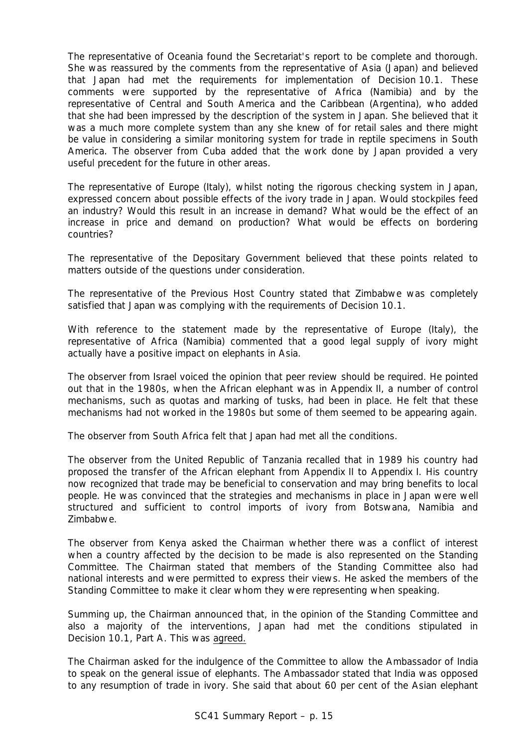The representative of Oceania found the Secretariat's report to be complete and thorough. She was reassured by the comments from the representative of Asia (Japan) and believed that Japan had met the requirements for implementation of Decision 10.1. These comments were supported by the representative of Africa (Namibia) and by the representative of Central and South America and the Caribbean (Argentina), who added that she had been impressed by the description of the system in Japan. She believed that it was a much more complete system than any she knew of for retail sales and there might be value in considering a similar monitoring system for trade in reptile specimens in South America. The observer from Cuba added that the work done by Japan provided a very useful precedent for the future in other areas.

The representative of Europe (Italy), whilst noting the rigorous checking system in Japan, expressed concern about possible effects of the ivory trade in Japan. Would stockpiles feed an industry? Would this result in an increase in demand? What would be the effect of an increase in price and demand on production? What would be effects on bordering countries?

The representative of the Depositary Government believed that these points related to matters outside of the questions under consideration.

The representative of the Previous Host Country stated that Zimbabwe was completely satisfied that Japan was complying with the requirements of Decision 10.1.

With reference to the statement made by the representative of Europe (Italy), the representative of Africa (Namibia) commented that a good legal supply of ivory might actually have a positive impact on elephants in Asia.

The observer from Israel voiced the opinion that peer review should be required. He pointed out that in the 1980s, when the African elephant was in Appendix II, a number of control mechanisms, such as quotas and marking of tusks, had been in place. He felt that these mechanisms had not worked in the 1980s but some of them seemed to be appearing again.

The observer from South Africa felt that Japan had met all the conditions.

The observer from the United Republic of Tanzania recalled that in 1989 his country had proposed the transfer of the African elephant from Appendix II to Appendix I. His country now recognized that trade may be beneficial to conservation and may bring benefits to local people. He was convinced that the strategies and mechanisms in place in Japan were well structured and sufficient to control imports of ivory from Botswana, Namibia and Zimbabwe.

The observer from Kenya asked the Chairman whether there was a conflict of interest when a country affected by the decision to be made is also represented on the Standing Committee. The Chairman stated that members of the Standing Committee also had national interests and were permitted to express their views. He asked the members of the Standing Committee to make it clear whom they were representing when speaking.

Summing up, the Chairman announced that, in the opinion of the Standing Committee and also a majority of the interventions, Japan had met the conditions stipulated in Decision 10.1, Part A. This was agreed.

The Chairman asked for the indulgence of the Committee to allow the Ambassador of India to speak on the general issue of elephants. The Ambassador stated that India was opposed to any resumption of trade in ivory. She said that about 60 per cent of the Asian elephant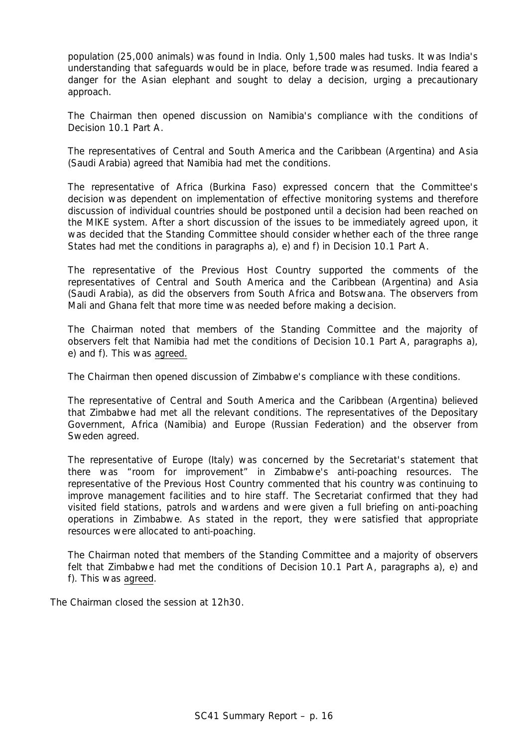population (25,000 animals) was found in India. Only 1,500 males had tusks. It was India's understanding that safeguards would be in place, before trade was resumed. India feared a danger for the Asian elephant and sought to delay a decision, urging a precautionary approach.

The Chairman then opened discussion on Namibia's compliance with the conditions of Decision 10.1 Part A.

The representatives of Central and South America and the Caribbean (Argentina) and Asia (Saudi Arabia) agreed that Namibia had met the conditions.

The representative of Africa (Burkina Faso) expressed concern that the Committee's decision was dependent on implementation of effective monitoring systems and therefore discussion of individual countries should be postponed until a decision had been reached on the MIKE system. After a short discussion of the issues to be immediately agreed upon, it was decided that the Standing Committee should consider whether each of the three range States had met the conditions in paragraphs a), e) and f) in Decision 10.1 Part A.

The representative of the Previous Host Country supported the comments of the representatives of Central and South America and the Caribbean (Argentina) and Asia (Saudi Arabia), as did the observers from South Africa and Botswana. The observers from Mali and Ghana felt that more time was needed before making a decision.

The Chairman noted that members of the Standing Committee and the majority of observers felt that Namibia had met the conditions of Decision 10.1 Part A, paragraphs a), e) and f). This was agreed.

The Chairman then opened discussion of Zimbabwe's compliance with these conditions.

The representative of Central and South America and the Caribbean (Argentina) believed that Zimbabwe had met all the relevant conditions. The representatives of the Depositary Government, Africa (Namibia) and Europe (Russian Federation) and the observer from Sweden agreed.

The representative of Europe (Italy) was concerned by the Secretariat's statement that there was "room for improvement" in Zimbabwe's anti-poaching resources. The representative of the Previous Host Country commented that his country was continuing to improve management facilities and to hire staff. The Secretariat confirmed that they had visited field stations, patrols and wardens and were given a full briefing on anti-poaching operations in Zimbabwe. As stated in the report, they were satisfied that appropriate resources were allocated to anti-poaching.

The Chairman noted that members of the Standing Committee and a majority of observers felt that Zimbabwe had met the conditions of Decision 10.1 Part A, paragraphs a), e) and f). This was agreed.

The Chairman closed the session at 12h30.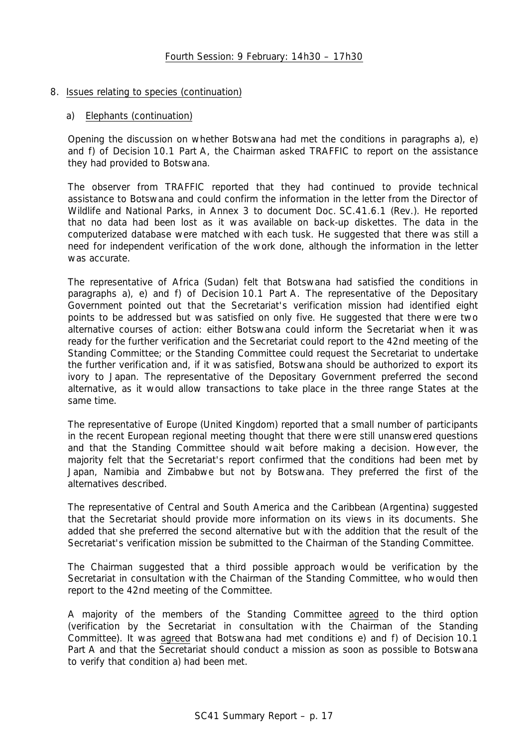### 8. Issues relating to species (continuation)

### a) Elephants (continuation)

Opening the discussion on whether Botswana had met the conditions in paragraphs a), e) and f) of Decision 10.1 Part A, the Chairman asked TRAFFIC to report on the assistance they had provided to Botswana.

The observer from TRAFFIC reported that they had continued to provide technical assistance to Botswana and could confirm the information in the letter from the Director of Wildlife and National Parks, in Annex 3 to document Doc. SC.41.6.1 (Rev.). He reported that no data had been lost as it was available on back-up diskettes. The data in the computerized database were matched with each tusk. He suggested that there was still a need for independent verification of the work done, although the information in the letter was accurate.

The representative of Africa (Sudan) felt that Botswana had satisfied the conditions in paragraphs a), e) and f) of Decision 10.1 Part A. The representative of the Depositary Government pointed out that the Secretariat's verification mission had identified eight points to be addressed but was satisfied on only five. He suggested that there were two alternative courses of action: either Botswana could inform the Secretariat when it was ready for the further verification and the Secretariat could report to the 42nd meeting of the Standing Committee; or the Standing Committee could request the Secretariat to undertake the further verification and, if it was satisfied, Botswana should be authorized to export its ivory to Japan. The representative of the Depositary Government preferred the second alternative, as it would allow transactions to take place in the three range States at the same time.

The representative of Europe (United Kingdom) reported that a small number of participants in the recent European regional meeting thought that there were still unanswered questions and that the Standing Committee should wait before making a decision. However, the majority felt that the Secretariat's report confirmed that the conditions had been met by Japan, Namibia and Zimbabwe but not by Botswana. They preferred the first of the alternatives described.

The representative of Central and South America and the Caribbean (Argentina) suggested that the Secretariat should provide more information on its views in its documents. She added that she preferred the second alternative but with the addition that the result of the Secretariat's verification mission be submitted to the Chairman of the Standing Committee.

The Chairman suggested that a third possible approach would be verification by the Secretariat in consultation with the Chairman of the Standing Committee, who would then report to the 42nd meeting of the Committee.

A majority of the members of the Standing Committee agreed to the third option (verification by the Secretariat in consultation with the Chairman of the Standing Committee). It was agreed that Botswana had met conditions e) and f) of Decision 10.1 Part A and that the Secretariat should conduct a mission as soon as possible to Botswana to verify that condition a) had been met.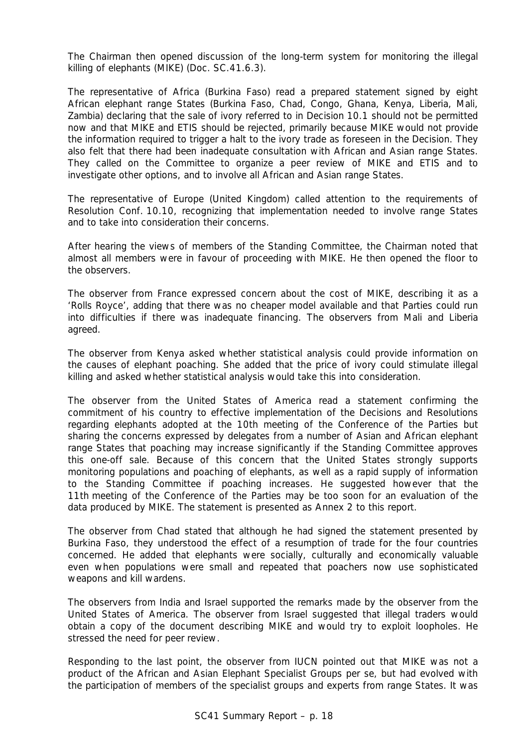The Chairman then opened discussion of the long-term system for monitoring the illegal killing of elephants (MIKE) (Doc. SC.41.6.3).

The representative of Africa (Burkina Faso) read a prepared statement signed by eight African elephant range States (Burkina Faso, Chad, Congo, Ghana, Kenya, Liberia, Mali, Zambia) declaring that the sale of ivory referred to in Decision 10.1 should not be permitted now and that MIKE and ETIS should be rejected, primarily because MIKE would not provide the information required to trigger a halt to the ivory trade as foreseen in the Decision. They also felt that there had been inadequate consultation with African and Asian range States. They called on the Committee to organize a peer review of MIKE and ETIS and to investigate other options, and to involve all African and Asian range States.

The representative of Europe (United Kingdom) called attention to the requirements of Resolution Conf. 10.10, recognizing that implementation needed to involve range States and to take into consideration their concerns.

After hearing the views of members of the Standing Committee, the Chairman noted that almost all members were in favour of proceeding with MIKE. He then opened the floor to the observers.

The observer from France expressed concern about the cost of MIKE, describing it as a 'Rolls Royce', adding that there was no cheaper model available and that Parties could run into difficulties if there was inadequate financing. The observers from Mali and Liberia agreed.

The observer from Kenya asked whether statistical analysis could provide information on the causes of elephant poaching. She added that the price of ivory could stimulate illegal killing and asked whether statistical analysis would take this into consideration.

The observer from the United States of America read a statement confirming the commitment of his country to effective implementation of the Decisions and Resolutions regarding elephants adopted at the 10th meeting of the Conference of the Parties but sharing the concerns expressed by delegates from a number of Asian and African elephant range States that poaching may increase significantly if the Standing Committee approves this one-off sale. Because of this concern that the United States strongly supports monitoring populations and poaching of elephants, as well as a rapid supply of information to the Standing Committee if poaching increases. He suggested however that the 11th meeting of the Conference of the Parties may be too soon for an evaluation of the data produced by MIKE. The statement is presented as Annex 2 to this report.

The observer from Chad stated that although he had signed the statement presented by Burkina Faso, they understood the effect of a resumption of trade for the four countries concerned. He added that elephants were socially, culturally and economically valuable even when populations were small and repeated that poachers now use sophisticated weapons and kill wardens.

The observers from India and Israel supported the remarks made by the observer from the United States of America. The observer from Israel suggested that illegal traders would obtain a copy of the document describing MIKE and would try to exploit loopholes. He stressed the need for peer review.

Responding to the last point, the observer from IUCN pointed out that MIKE was not a product of the African and Asian Elephant Specialist Groups per se, but had evolved with the participation of members of the specialist groups and experts from range States. It was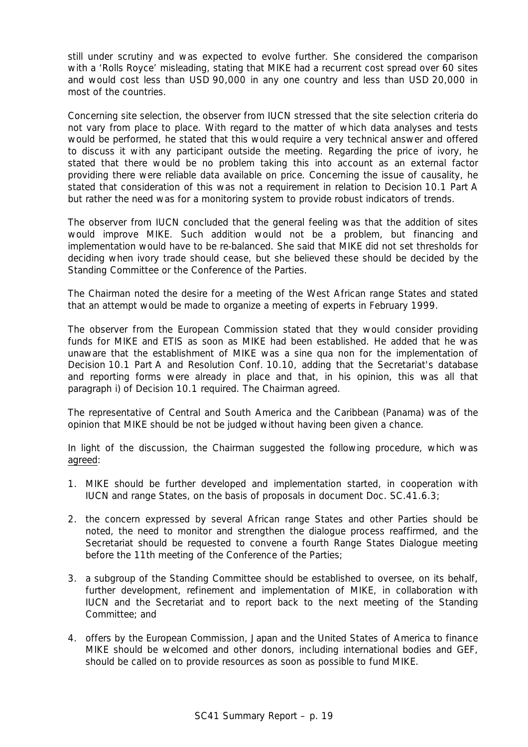still under scrutiny and was expected to evolve further. She considered the comparison with a 'Rolls Royce' misleading, stating that MIKE had a recurrent cost spread over 60 sites and would cost less than USD 90,000 in any one country and less than USD 20,000 in most of the countries.

Concerning site selection, the observer from IUCN stressed that the site selection criteria do not vary from place to place. With regard to the matter of which data analyses and tests would be performed, he stated that this would require a very technical answer and offered to discuss it with any participant outside the meeting. Regarding the price of ivory, he stated that there would be no problem taking this into account as an external factor providing there were reliable data available on price*.* Concerning the issue of causality, he stated that consideration of this was not a requirement in relation to Decision 10.1 Part A but rather the need was for a monitoring system to provide robust indicators of trends.

The observer from IUCN concluded that the general feeling was that the addition of sites would improve MIKE. Such addition would not be a problem, but financing and implementation would have to be re-balanced. She said that MIKE did not set thresholds for deciding when ivory trade should cease, but she believed these should be decided by the Standing Committee or the Conference of the Parties.

The Chairman noted the desire for a meeting of the West African range States and stated that an attempt would be made to organize a meeting of experts in February 1999.

The observer from the European Commission stated that they would consider providing funds for MIKE and ETIS as soon as MIKE had been established. He added that he was unaware that the establishment of MIKE was a *sine qua non* for the implementation of Decision 10.1 Part A and Resolution Conf. 10.10, adding that the Secretariat's database and reporting forms were already in place and that, in his opinion, this was all that paragraph i) of Decision 10.1 required. The Chairman agreed.

The representative of Central and South America and the Caribbean (Panama) was of the opinion that MIKE should be not be judged without having been given a chance.

In light of the discussion, the Chairman suggested the following procedure, which was agreed:

- 1. MIKE should be further developed and implementation started, in cooperation with IUCN and range States, on the basis of proposals in document Doc. SC.41.6.3;
- 2. the concern expressed by several African range States and other Parties should be noted, the need to monitor and strengthen the dialogue process reaffirmed, and the Secretariat should be requested to convene a fourth Range States Dialogue meeting before the 11th meeting of the Conference of the Parties;
- 3. a subgroup of the Standing Committee should be established to oversee, on its behalf, further development, refinement and implementation of MIKE, in collaboration with IUCN and the Secretariat and to report back to the next meeting of the Standing Committee; and
- 4. offers by the European Commission, Japan and the United States of America to finance MIKE should be welcomed and other donors, including international bodies and GEF, should be called on to provide resources as soon as possible to fund MIKE.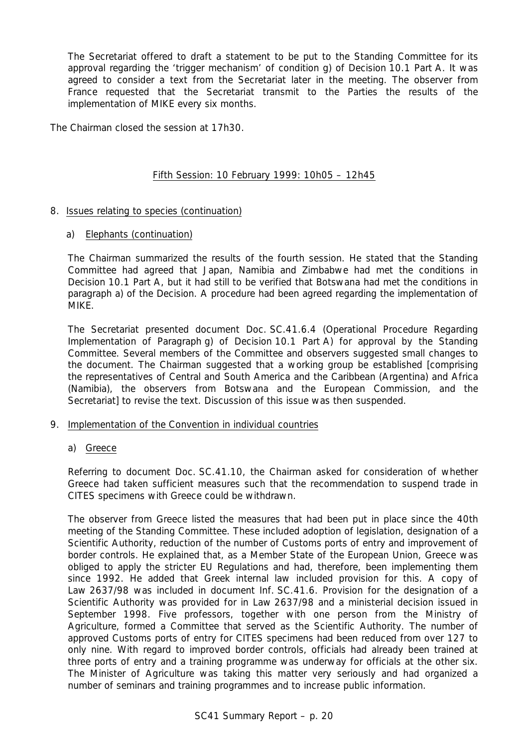The Secretariat offered to draft a statement to be put to the Standing Committee for its approval regarding the 'trigger mechanism' of condition g) of Decision 10.1 Part A. It was agreed to consider a text from the Secretariat later in the meeting. The observer from France requested that the Secretariat transmit to the Parties the results of the implementation of MIKE every six months.

The Chairman closed the session at 17h30.

# Fifth Session: 10 February 1999: 10h05 – 12h45

# 8. Issues relating to species (continuation)

### a) Elephants (continuation)

The Chairman summarized the results of the fourth session. He stated that the Standing Committee had agreed that Japan, Namibia and Zimbabwe had met the conditions in Decision 10.1 Part A, but it had still to be verified that Botswana had met the conditions in paragraph a) of the Decision. A procedure had been agreed regarding the implementation of MIKE.

The Secretariat presented document Doc. SC.41.6.4 (Operational Procedure Regarding Implementation of Paragraph g) of Decision 10.1 Part A) for approval by the Standing Committee. Several members of the Committee and observers suggested small changes to the document. The Chairman suggested that a working group be established [comprising the representatives of Central and South America and the Caribbean (Argentina) and Africa (Namibia), the observers from Botswana and the European Commission, and the Secretariat] to revise the text. Discussion of this issue was then suspended.

# 9. Implementation of the Convention in individual countries

# a) Greece

Referring to document Doc. SC.41.10, the Chairman asked for consideration of whether Greece had taken sufficient measures such that the recommendation to suspend trade in CITES specimens with Greece could be withdrawn.

The observer from Greece listed the measures that had been put in place since the 40th meeting of the Standing Committee. These included adoption of legislation, designation of a Scientific Authority, reduction of the number of Customs ports of entry and improvement of border controls. He explained that, as a Member State of the European Union, Greece was obliged to apply the stricter EU Regulations and had, therefore, been implementing them since 1992. He added that Greek internal law included provision for this. A copy of Law 2637/98 was included in document Inf. SC.41.6. Provision for the designation of a Scientific Authority was provided for in Law 2637/98 and a ministerial decision issued in September 1998. Five professors, together with one person from the Ministry of Agriculture, formed a Committee that served as the Scientific Authority. The number of approved Customs ports of entry for CITES specimens had been reduced from over 127 to only nine. With regard to improved border controls, officials had already been trained at three ports of entry and a training programme was underway for officials at the other six. The Minister of Agriculture was taking this matter very seriously and had organized a number of seminars and training programmes and to increase public information.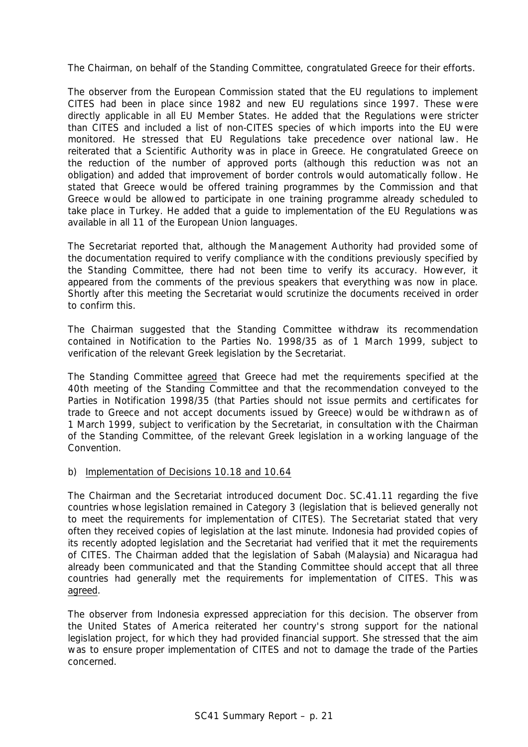The Chairman, on behalf of the Standing Committee, congratulated Greece for their efforts.

The observer from the European Commission stated that the EU regulations to implement CITES had been in place since 1982 and new EU regulations since 1997. These were directly applicable in all EU Member States. He added that the Regulations were stricter than CITES and included a list of non-CITES species of which imports into the EU were monitored. He stressed that EU Regulations take precedence over national law. He reiterated that a Scientific Authority was in place in Greece. He congratulated Greece on the reduction of the number of approved ports (although this reduction was not an obligation) and added that improvement of border controls would automatically follow. He stated that Greece would be offered training programmes by the Commission and that Greece would be allowed to participate in one training programme already scheduled to take place in Turkey. He added that a guide to implementation of the EU Regulations was available in all 11 of the European Union languages.

The Secretariat reported that, although the Management Authority had provided some of the documentation required to verify compliance with the conditions previously specified by the Standing Committee, there had not been time to verify its accuracy. However, it appeared from the comments of the previous speakers that everything was now in place. Shortly after this meeting the Secretariat would scrutinize the documents received in order to confirm this.

The Chairman suggested that the Standing Committee withdraw its recommendation contained in Notification to the Parties No. 1998/35 as of 1 March 1999, subject to verification of the relevant Greek legislation by the Secretariat.

The Standing Committee agreed that Greece had met the requirements specified at the 40th meeting of the Standing Committee and that the recommendation conveyed to the Parties in Notification 1998/35 (that Parties should not issue permits and certificates for trade to Greece and not accept documents issued by Greece) would be withdrawn as of 1 March 1999, subject to verification by the Secretariat, in consultation with the Chairman of the Standing Committee, of the relevant Greek legislation in a working language of the Convention.

# b) Implementation of Decisions 10.18 and 10.64

The Chairman and the Secretariat introduced document Doc. SC.41.11 regarding the five countries whose legislation remained in Category 3 (legislation that is believed generally not to meet the requirements for implementation of CITES). The Secretariat stated that very often they received copies of legislation at the last minute. Indonesia had provided copies of its recently adopted legislation and the Secretariat had verified that it met the requirements of CITES. The Chairman added that the legislation of Sabah (Malaysia) and Nicaragua had already been communicated and that the Standing Committee should accept that all three countries had generally met the requirements for implementation of CITES. This was agreed.

The observer from Indonesia expressed appreciation for this decision. The observer from the United States of America reiterated her country's strong support for the national legislation project, for which they had provided financial support. She stressed that the aim was to ensure proper implementation of CITES and not to damage the trade of the Parties concerned.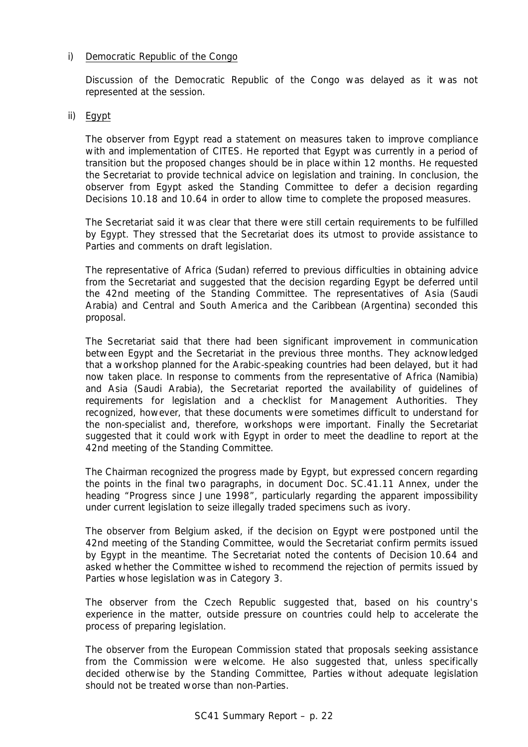# i) Democratic Republic of the Congo

Discussion of the Democratic Republic of the Congo was delayed as it was not represented at the session.

# ii) Egypt

The observer from Egypt read a statement on measures taken to improve compliance with and implementation of CITES. He reported that Egypt was currently in a period of transition but the proposed changes should be in place within 12 months. He requested the Secretariat to provide technical advice on legislation and training. In conclusion, the observer from Egypt asked the Standing Committee to defer a decision regarding Decisions 10.18 and 10.64 in order to allow time to complete the proposed measures.

The Secretariat said it was clear that there were still certain requirements to be fulfilled by Egypt. They stressed that the Secretariat does its utmost to provide assistance to Parties and comments on draft legislation.

The representative of Africa (Sudan) referred to previous difficulties in obtaining advice from the Secretariat and suggested that the decision regarding Egypt be deferred until the 42nd meeting of the Standing Committee. The representatives of Asia (Saudi Arabia) and Central and South America and the Caribbean (Argentina) seconded this proposal.

The Secretariat said that there had been significant improvement in communication between Egypt and the Secretariat in the previous three months. They acknowledged that a workshop planned for the Arabic-speaking countries had been delayed, but it had now taken place. In response to comments from the representative of Africa (Namibia) and Asia (Saudi Arabia), the Secretariat reported the availability of guidelines of requirements for legislation and a checklist for Management Authorities. They recognized, however, that these documents were sometimes difficult to understand for the non-specialist and, therefore, workshops were important. Finally the Secretariat suggested that it could work with Egypt in order to meet the deadline to report at the 42nd meeting of the Standing Committee.

The Chairman recognized the progress made by Egypt, but expressed concern regarding the points in the final two paragraphs, in document Doc. SC.41.11 Annex, under the heading "Progress since June 1998", particularly regarding the apparent impossibility under current legislation to seize illegally traded specimens such as ivory.

The observer from Belgium asked, if the decision on Egypt were postponed until the 42nd meeting of the Standing Committee, would the Secretariat confirm permits issued by Egypt in the meantime. The Secretariat noted the contents of Decision 10.64 and asked whether the Committee wished to recommend the rejection of permits issued by Parties whose legislation was in Category 3.

The observer from the Czech Republic suggested that, based on his country's experience in the matter, outside pressure on countries could help to accelerate the process of preparing legislation.

The observer from the European Commission stated that proposals seeking assistance from the Commission were welcome. He also suggested that, unless specifically decided otherwise by the Standing Committee, Parties without adequate legislation should not be treated worse than non-Parties.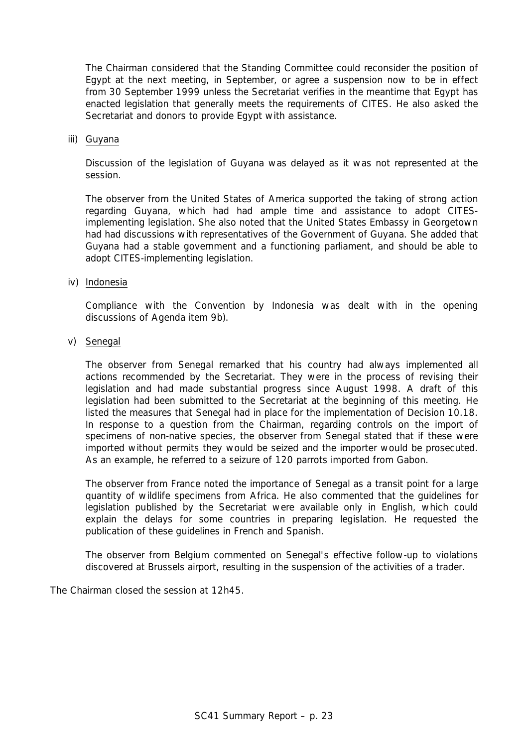The Chairman considered that the Standing Committee could reconsider the position of Egypt at the next meeting, in September, or agree a suspension now to be in effect from 30 September 1999 unless the Secretariat verifies in the meantime that Egypt has enacted legislation that generally meets the requirements of CITES. He also asked the Secretariat and donors to provide Egypt with assistance.

#### iii) Guyana

Discussion of the legislation of Guyana was delayed as it was not represented at the session.

The observer from the United States of America supported the taking of strong action regarding Guyana, which had had ample time and assistance to adopt CITESimplementing legislation. She also noted that the United States Embassy in Georgetown had had discussions with representatives of the Government of Guyana. She added that Guyana had a stable government and a functioning parliament, and should be able to adopt CITES-implementing legislation.

### iv) Indonesia

Compliance with the Convention by Indonesia was dealt with in the opening discussions of Agenda item 9b).

### v) Senegal

The observer from Senegal remarked that his country had always implemented all actions recommended by the Secretariat. They were in the process of revising their legislation and had made substantial progress since August 1998. A draft of this legislation had been submitted to the Secretariat at the beginning of this meeting. He listed the measures that Senegal had in place for the implementation of Decision 10.18. In response to a question from the Chairman, regarding controls on the import of specimens of non-native species, the observer from Senegal stated that if these were imported without permits they would be seized and the importer would be prosecuted. As an example, he referred to a seizure of 120 parrots imported from Gabon.

The observer from France noted the importance of Senegal as a transit point for a large quantity of wildlife specimens from Africa. He also commented that the guidelines for legislation published by the Secretariat were available only in English, which could explain the delays for some countries in preparing legislation. He requested the publication of these guidelines in French and Spanish.

The observer from Belgium commented on Senegal's effective follow-up to violations discovered at Brussels airport, resulting in the suspension of the activities of a trader.

The Chairman closed the session at 12h45.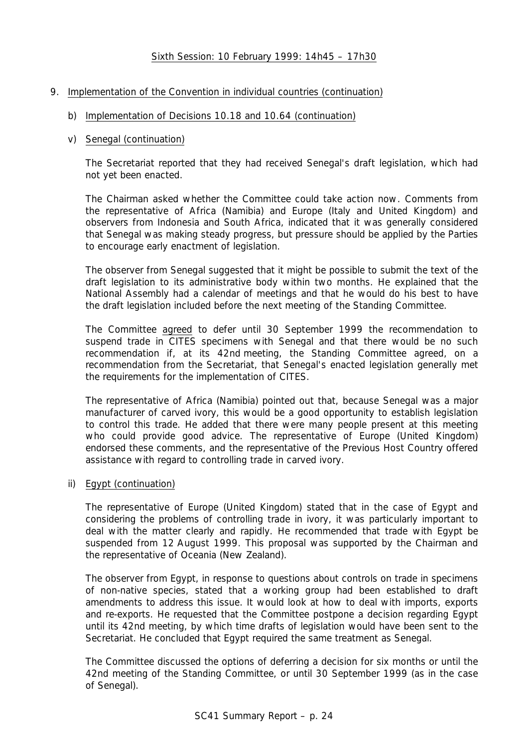# Sixth Session: 10 February 1999: 14h45 – 17h30

# 9. Implementation of the Convention in individual countries (continuation)

# b) Implementation of Decisions 10.18 and 10.64 (continuation)

### v) Senegal (continuation)

The Secretariat reported that they had received Senegal's draft legislation, which had not yet been enacted.

The Chairman asked whether the Committee could take action now. Comments from the representative of Africa (Namibia) and Europe (Italy and United Kingdom) and observers from Indonesia and South Africa, indicated that it was generally considered that Senegal was making steady progress, but pressure should be applied by the Parties to encourage early enactment of legislation.

The observer from Senegal suggested that it might be possible to submit the text of the draft legislation to its administrative body within two months. He explained that the National Assembly had a calendar of meetings and that he would do his best to have the draft legislation included before the next meeting of the Standing Committee.

The Committee agreed to defer until 30 September 1999 the recommendation to suspend trade in CITES specimens with Senegal and that there would be no such recommendation if, at its 42nd meeting, the Standing Committee agreed, on a recommendation from the Secretariat, that Senegal's enacted legislation generally met the requirements for the implementation of CITES.

The representative of Africa (Namibia) pointed out that, because Senegal was a major manufacturer of carved ivory, this would be a good opportunity to establish legislation to control this trade. He added that there were many people present at this meeting who could provide good advice. The representative of Europe (United Kingdom) endorsed these comments, and the representative of the Previous Host Country offered assistance with regard to controlling trade in carved ivory.

# ii) Egypt (continuation)

The representative of Europe (United Kingdom) stated that in the case of Egypt and considering the problems of controlling trade in ivory, it was particularly important to deal with the matter clearly and rapidly. He recommended that trade with Egypt be suspended from 12 August 1999. This proposal was supported by the Chairman and the representative of Oceania (New Zealand).

The observer from Egypt, in response to questions about controls on trade in specimens of non-native species, stated that a working group had been established to draft amendments to address this issue. It would look at how to deal with imports, exports and re-exports. He requested that the Committee postpone a decision regarding Egypt until its 42nd meeting, by which time drafts of legislation would have been sent to the Secretariat. He concluded that Egypt required the same treatment as Senegal.

The Committee discussed the options of deferring a decision for six months or until the 42nd meeting of the Standing Committee, or until 30 September 1999 (as in the case of Senegal).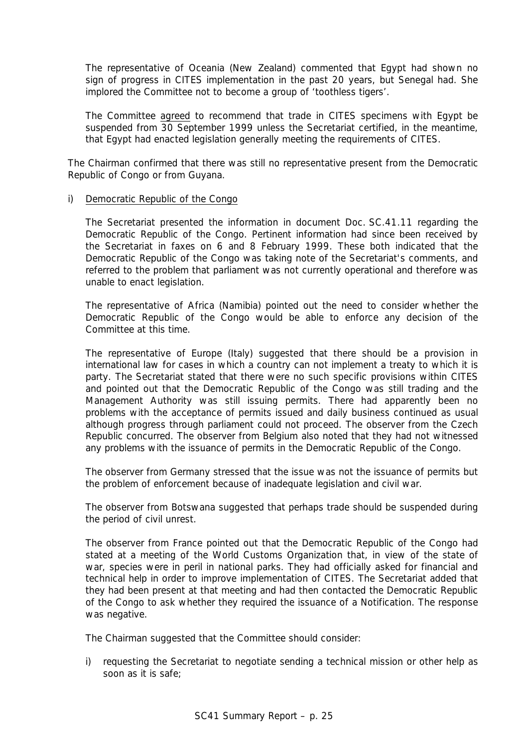The representative of Oceania (New Zealand) commented that Egypt had shown no sign of progress in CITES implementation in the past 20 years, but Senegal had. She implored the Committee not to become a group of 'toothless tigers'.

The Committee agreed to recommend that trade in CITES specimens with Egypt be suspended from 30 September 1999 unless the Secretariat certified, in the meantime, that Egypt had enacted legislation generally meeting the requirements of CITES.

The Chairman confirmed that there was still no representative present from the Democratic Republic of Congo or from Guyana.

### i) Democratic Republic of the Congo

The Secretariat presented the information in document Doc. SC.41.11 regarding the Democratic Republic of the Congo. Pertinent information had since been received by the Secretariat in faxes on 6 and 8 February 1999. These both indicated that the Democratic Republic of the Congo was taking note of the Secretariat's comments, and referred to the problem that parliament was not currently operational and therefore was unable to enact legislation.

The representative of Africa (Namibia) pointed out the need to consider whether the Democratic Republic of the Congo would be able to enforce any decision of the Committee at this time.

The representative of Europe (Italy) suggested that there should be a provision in international law for cases in which a country can not implement a treaty to which it is party. The Secretariat stated that there were no such specific provisions within CITES and pointed out that the Democratic Republic of the Congo was still trading and the Management Authority was still issuing permits. There had apparently been no problems with the acceptance of permits issued and daily business continued as usual although progress through parliament could not proceed. The observer from the Czech Republic concurred. The observer from Belgium also noted that they had not witnessed any problems with the issuance of permits in the Democratic Republic of the Congo.

The observer from Germany stressed that the issue was not the issuance of permits but the problem of enforcement because of inadequate legislation and civil war.

The observer from Botswana suggested that perhaps trade should be suspended during the period of civil unrest.

The observer from France pointed out that the Democratic Republic of the Congo had stated at a meeting of the World Customs Organization that, in view of the state of war, species were in peril in national parks. They had officially asked for financial and technical help in order to improve implementation of CITES. The Secretariat added that they had been present at that meeting and had then contacted the Democratic Republic of the Congo to ask whether they required the issuance of a Notification. The response was negative.

The Chairman suggested that the Committee should consider:

i) requesting the Secretariat to negotiate sending a technical mission or other help as soon as it is safe;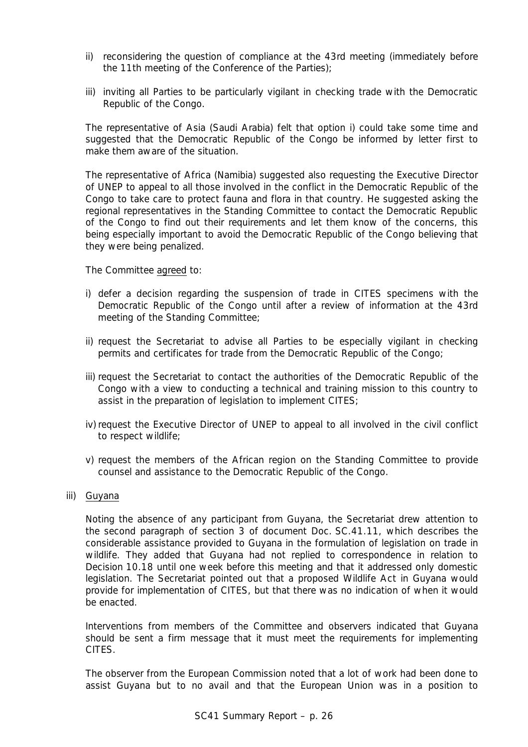- ii) reconsidering the question of compliance at the 43rd meeting (immediately before the 11th meeting of the Conference of the Parties);
- iii) inviting all Parties to be particularly vigilant in checking trade with the Democratic Republic of the Congo.

The representative of Asia (Saudi Arabia) felt that option i) could take some time and suggested that the Democratic Republic of the Congo be informed by letter first to make them aware of the situation.

The representative of Africa (Namibia) suggested also requesting the Executive Director of UNEP to appeal to all those involved in the conflict in the Democratic Republic of the Congo to take care to protect fauna and flora in that country. He suggested asking the regional representatives in the Standing Committee to contact the Democratic Republic of the Congo to find out their requirements and let them know of the concerns, this being especially important to avoid the Democratic Republic of the Congo believing that they were being penalized.

The Committee agreed to:

- i) defer a decision regarding the suspension of trade in CITES specimens with the Democratic Republic of the Congo until after a review of information at the 43rd meeting of the Standing Committee;
- ii) request the Secretariat to advise all Parties to be especially vigilant in checking permits and certificates for trade from the Democratic Republic of the Congo;
- iii) request the Secretariat to contact the authorities of the Democratic Republic of the Congo with a view to conducting a technical and training mission to this country to assist in the preparation of legislation to implement CITES;
- iv) request the Executive Director of UNEP to appeal to all involved in the civil conflict to respect wildlife;
- v) request the members of the African region on the Standing Committee to provide counsel and assistance to the Democratic Republic of the Congo.

#### iii) Guyana

Noting the absence of any participant from Guyana, the Secretariat drew attention to the second paragraph of section 3 of document Doc. SC.41.11, which describes the considerable assistance provided to Guyana in the formulation of legislation on trade in wildlife. They added that Guyana had not replied to correspondence in relation to Decision 10.18 until one week before this meeting and that it addressed only domestic legislation. The Secretariat pointed out that a proposed Wildlife Act in Guyana would provide for implementation of CITES, but that there was no indication of when it would be enacted.

Interventions from members of the Committee and observers indicated that Guyana should be sent a firm message that it must meet the requirements for implementing CITES.

The observer from the European Commission noted that a lot of work had been done to assist Guyana but to no avail and that the European Union was in a position to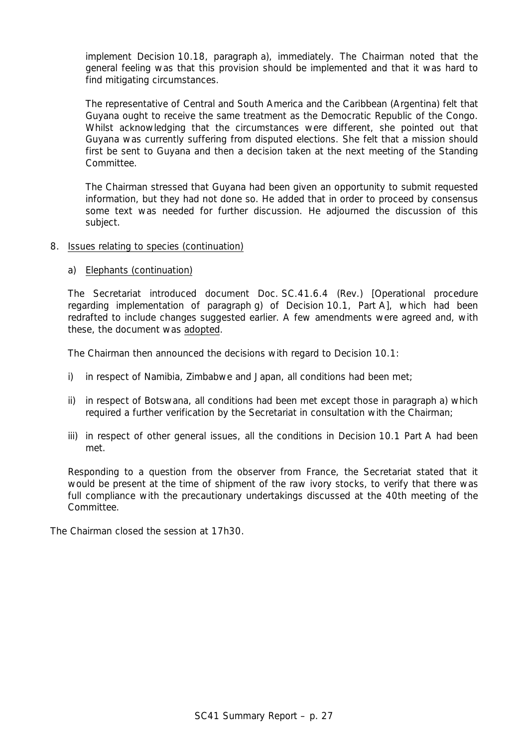implement Decision 10.18, paragraph a), immediately. The Chairman noted that the general feeling was that this provision should be implemented and that it was hard to find mitigating circumstances.

The representative of Central and South America and the Caribbean (Argentina) felt that Guyana ought to receive the same treatment as the Democratic Republic of the Congo. Whilst acknowledging that the circumstances were different, she pointed out that Guyana was currently suffering from disputed elections. She felt that a mission should first be sent to Guyana and then a decision taken at the next meeting of the Standing Committee.

The Chairman stressed that Guyana had been given an opportunity to submit requested information, but they had not done so. He added that in order to proceed by consensus some text was needed for further discussion. He adjourned the discussion of this subject.

- 8. Issues relating to species (continuation)
	- a) Elephants (continuation)

The Secretariat introduced document Doc. SC.41.6.4 (Rev.) [Operational procedure regarding implementation of paragraph g) of Decision 10.1, Part A], which had been redrafted to include changes suggested earlier. A few amendments were agreed and, with these, the document was adopted.

The Chairman then announced the decisions with regard to Decision 10.1:

- i) in respect of Namibia, Zimbabwe and Japan, all conditions had been met;
- ii) in respect of Botswana, all conditions had been met except those in paragraph a) which required a further verification by the Secretariat in consultation with the Chairman;
- iii) in respect of other general issues, all the conditions in Decision 10.1 Part A had been met.

Responding to a question from the observer from France, the Secretariat stated that it would be present at the time of shipment of the raw ivory stocks, to verify that there was full compliance with the precautionary undertakings discussed at the 40th meeting of the Committee.

The Chairman closed the session at 17h30.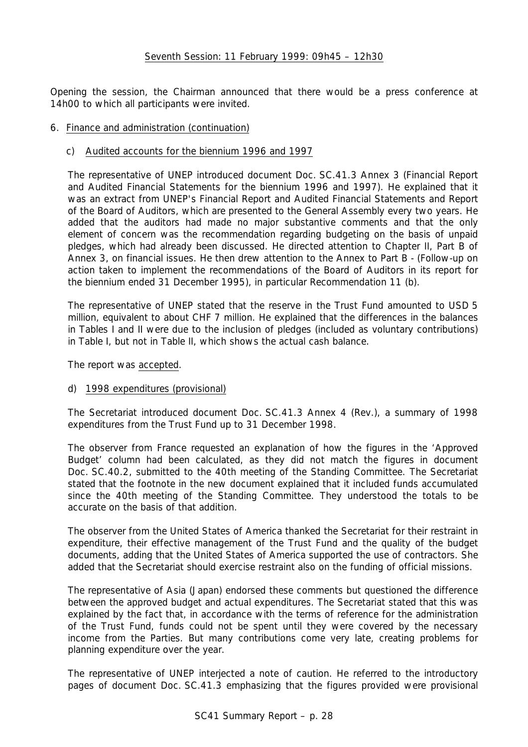Opening the session, the Chairman announced that there would be a press conference at 14h00 to which all participants were invited.

# 6. Finance and administration (continuation)

# c) Audited accounts for the biennium 1996 and 1997

The representative of UNEP introduced document Doc. SC.41.3 Annex 3 (Financial Report and Audited Financial Statements for the biennium 1996 and 1997). He explained that it was an extract from UNEP's Financial Report and Audited Financial Statements and Report of the Board of Auditors, which are presented to the General Assembly every two years. He added that the auditors had made no major substantive comments and that the only element of concern was the recommendation regarding budgeting on the basis of unpaid pledges, which had already been discussed. He directed attention to Chapter II, Part B of Annex 3, on financial issues. He then drew attention to the Annex to Part B - (Follow-up on action taken to implement the recommendations of the Board of Auditors in its report for the biennium ended 31 December 1995), in particular Recommendation 11 (b).

The representative of UNEP stated that the reserve in the Trust Fund amounted to USD 5 million, equivalent to about CHF 7 million. He explained that the differences in the balances in Tables I and II were due to the inclusion of pledges (included as voluntary contributions) in Table I, but not in Table II, which shows the actual cash balance.

The report was accepted.

# d) 1998 expenditures (provisional)

The Secretariat introduced document Doc. SC.41.3 Annex 4 (Rev.), a summary of 1998 expenditures from the Trust Fund up to 31 December 1998.

The observer from France requested an explanation of how the figures in the 'Approved Budget' column had been calculated, as they did not match the figures in document Doc. SC.40.2, submitted to the 40th meeting of the Standing Committee. The Secretariat stated that the footnote in the new document explained that it included funds accumulated since the 40th meeting of the Standing Committee. They understood the totals to be accurate on the basis of that addition.

The observer from the United States of America thanked the Secretariat for their restraint in expenditure, their effective management of the Trust Fund and the quality of the budget documents, adding that the United States of America supported the use of contractors. She added that the Secretariat should exercise restraint also on the funding of official missions.

The representative of Asia (Japan) endorsed these comments but questioned the difference between the approved budget and actual expenditures. The Secretariat stated that this was explained by the fact that, in accordance with the terms of reference for the administration of the Trust Fund, funds could not be spent until they were covered by the necessary income from the Parties. But many contributions come very late, creating problems for planning expenditure over the year.

The representative of UNEP interjected a note of caution. He referred to the introductory pages of document Doc. SC.41.3 emphasizing that the figures provided were provisional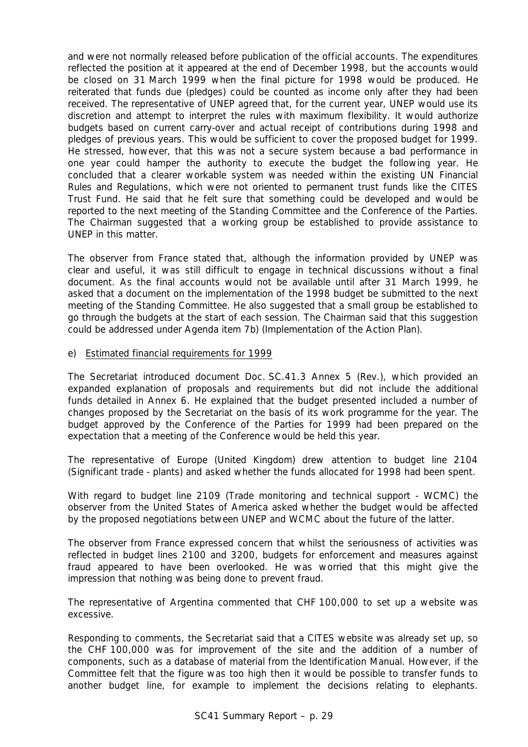and were not normally released before publication of the official accounts. The expenditures reflected the position at it appeared at the end of December 1998, but the accounts would be closed on 31 March 1999 when the final picture for 1998 would be produced. He reiterated that funds due (pledges) could be counted as income only after they had been received. The representative of UNEP agreed that, for the current year, UNEP would use its discretion and attempt to interpret the rules with maximum flexibility. It would authorize budgets based on current carry-over and actual receipt of contributions during 1998 and pledges of previous years. This would be sufficient to cover the proposed budget for 1999. He stressed, however, that this was not a secure system because a bad performance in one year could hamper the authority to execute the budget the following year. He concluded that a clearer workable system was needed within the existing UN Financial Rules and Regulations, which were not oriented to permanent trust funds like the CITES Trust Fund. He said that he felt sure that something could be developed and would be reported to the next meeting of the Standing Committee and the Conference of the Parties. The Chairman suggested that a working group be established to provide assistance to UNEP in this matter.

The observer from France stated that, although the information provided by UNEP was clear and useful, it was still difficult to engage in technical discussions without a final document. As the final accounts would not be available until after 31 March 1999, he asked that a document on the implementation of the 1998 budget be submitted to the next meeting of the Standing Committee. He also suggested that a small group be established to go through the budgets at the start of each session. The Chairman said that this suggestion could be addressed under Agenda item 7b) (Implementation of the Action Plan).

# e) Estimated financial requirements for 1999

The Secretariat introduced document Doc. SC.41.3 Annex 5 (Rev.), which provided an expanded explanation of proposals and requirements but did not include the additional funds detailed in Annex 6. He explained that the budget presented included a number of changes proposed by the Secretariat on the basis of its work programme for the year. The budget approved by the Conference of the Parties for 1999 had been prepared on the expectation that a meeting of the Conference would be held this year.

The representative of Europe (United Kingdom) drew attention to budget line 2104 (Significant trade - plants) and asked whether the funds allocated for 1998 had been spent.

With regard to budget line 2109 (Trade monitoring and technical support - WCMC) the observer from the United States of America asked whether the budget would be affected by the proposed negotiations between UNEP and WCMC about the future of the latter.

The observer from France expressed concern that whilst the seriousness of activities was reflected in budget lines 2100 and 3200, budgets for enforcement and measures against fraud appeared to have been overlooked. He was worried that this might give the impression that nothing was being done to prevent fraud.

The representative of Argentina commented that CHF 100,000 to set up a website was excessive.

Responding to comments, the Secretariat said that a CITES website was already set up, so the CHF 100,000 was for improvement of the site and the addition of a number of components, such as a database of material from the Identification Manual. However, if the Committee felt that the figure was too high then it would be possible to transfer funds to another budget line, for example to implement the decisions relating to elephants.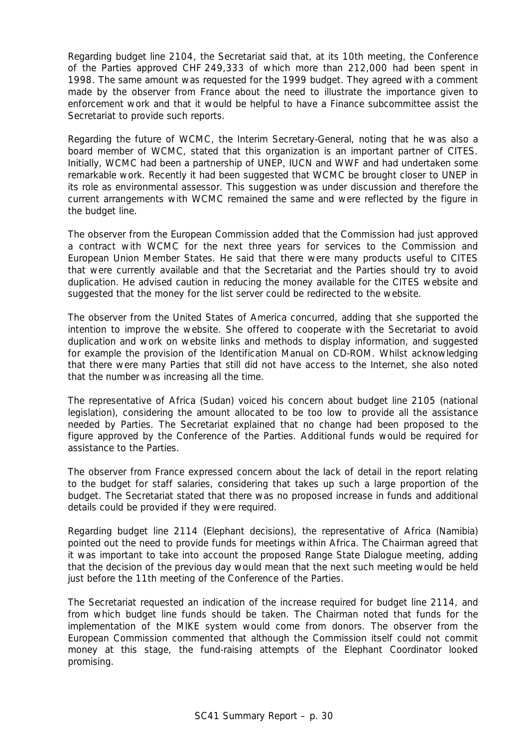Regarding budget line 2104, the Secretariat said that, at its 10th meeting, the Conference of the Parties approved CHF 249,333 of which more than 212,000 had been spent in 1998. The same amount was requested for the 1999 budget. They agreed with a comment made by the observer from France about the need to illustrate the importance given to enforcement work and that it would be helpful to have a Finance subcommittee assist the Secretariat to provide such reports.

Regarding the future of WCMC, the Interim Secretary-General, noting that he was also a board member of WCMC, stated that this organization is an important partner of CITES. Initially, WCMC had been a partnership of UNEP, IUCN and WWF and had undertaken some remarkable work. Recently it had been suggested that WCMC be brought closer to UNEP in its role as environmental assessor. This suggestion was under discussion and therefore the current arrangements with WCMC remained the same and were reflected by the figure in the budget line.

The observer from the European Commission added that the Commission had just approved a contract with WCMC for the next three years for services to the Commission and European Union Member States. He said that there were many products useful to CITES that were currently available and that the Secretariat and the Parties should try to avoid duplication. He advised caution in reducing the money available for the CITES website and suggested that the money for the list server could be redirected to the website.

The observer from the United States of America concurred, adding that she supported the intention to improve the website. She offered to cooperate with the Secretariat to avoid duplication and work on website links and methods to display information, and suggested for example the provision of the Identification Manual on CD-ROM. Whilst acknowledging that there were many Parties that still did not have access to the Internet, she also noted that the number was increasing all the time.

The representative of Africa (Sudan) voiced his concern about budget line 2105 (national legislation), considering the amount allocated to be too low to provide all the assistance needed by Parties. The Secretariat explained that no change had been proposed to the figure approved by the Conference of the Parties. Additional funds would be required for assistance to the Parties.

The observer from France expressed concern about the lack of detail in the report relating to the budget for staff salaries, considering that takes up such a large proportion of the budget. The Secretariat stated that there was no proposed increase in funds and additional details could be provided if they were required.

Regarding budget line 2114 (Elephant decisions), the representative of Africa (Namibia) pointed out the need to provide funds for meetings within Africa. The Chairman agreed that it was important to take into account the proposed Range State Dialogue meeting, adding that the decision of the previous day would mean that the next such meeting would be held just before the 11th meeting of the Conference of the Parties.

The Secretariat requested an indication of the increase required for budget line 2114, and from which budget line funds should be taken. The Chairman noted that funds for the implementation of the MIKE system would come from donors. The observer from the European Commission commented that although the Commission itself could not commit money at this stage, the fund-raising attempts of the Elephant Coordinator looked promising.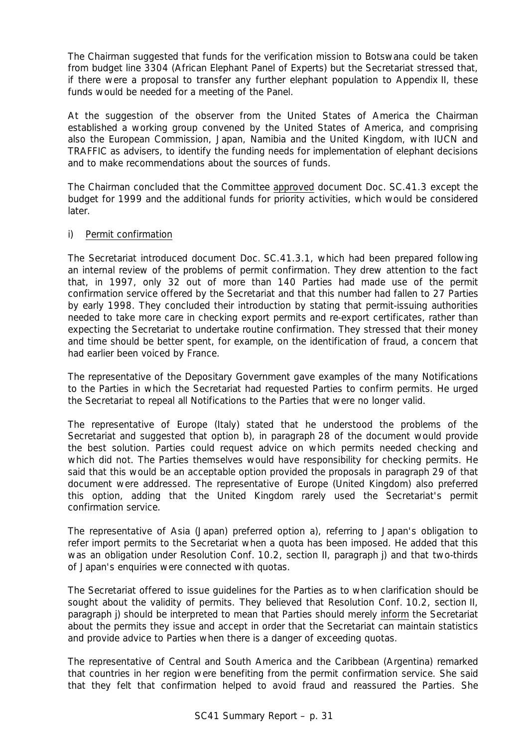The Chairman suggested that funds for the verification mission to Botswana could be taken from budget line 3304 (African Elephant Panel of Experts) but the Secretariat stressed that, if there were a proposal to transfer any further elephant population to Appendix II, these funds would be needed for a meeting of the Panel.

At the suggestion of the observer from the United States of America the Chairman established a working group convened by the United States of America, and comprising also the European Commission, Japan, Namibia and the United Kingdom, with IUCN and TRAFFIC as advisers, to identify the funding needs for implementation of elephant decisions and to make recommendations about the sources of funds.

The Chairman concluded that the Committee approved document Doc. SC.41.3 except the budget for 1999 and the additional funds for priority activities, which would be considered later.

# i) Permit confirmation

The Secretariat introduced document Doc. SC.41.3.1, which had been prepared following an internal review of the problems of permit confirmation. They drew attention to the fact that, in 1997, only 32 out of more than 140 Parties had made use of the permit confirmation service offered by the Secretariat and that this number had fallen to 27 Parties by early 1998. They concluded their introduction by stating that permit-issuing authorities needed to take more care in checking export permits and re-export certificates, rather than expecting the Secretariat to undertake routine confirmation. They stressed that their money and time should be better spent, for example, on the identification of fraud, a concern that had earlier been voiced by France.

The representative of the Depositary Government gave examples of the many Notifications to the Parties in which the Secretariat had requested Parties to confirm permits. He urged the Secretariat to repeal all Notifications to the Parties that were no longer valid.

The representative of Europe (Italy) stated that he understood the problems of the Secretariat and suggested that option b), in paragraph 28 of the document would provide the best solution. Parties could request advice on which permits needed checking and which did not. The Parties themselves would have responsibility for checking permits. He said that this would be an acceptable option provided the proposals in paragraph 29 of that document were addressed. The representative of Europe (United Kingdom) also preferred this option, adding that the United Kingdom rarely used the Secretariat's permit confirmation service.

The representative of Asia (Japan) preferred option a), referring to Japan's obligation to refer import permits to the Secretariat when a quota has been imposed. He added that this was an obligation under Resolution Conf. 10.2, section II, paragraph j) and that two-thirds of Japan's enquiries were connected with quotas.

The Secretariat offered to issue guidelines for the Parties as to when clarification should be sought about the validity of permits. They believed that Resolution Conf. 10.2, section II, paragraph j) should be interpreted to mean that Parties should merely inform the Secretariat about the permits they issue and accept in order that the Secretariat can maintain statistics and provide advice to Parties when there is a danger of exceeding quotas.

The representative of Central and South America and the Caribbean (Argentina) remarked that countries in her region were benefiting from the permit confirmation service. She said that they felt that confirmation helped to avoid fraud and reassured the Parties. She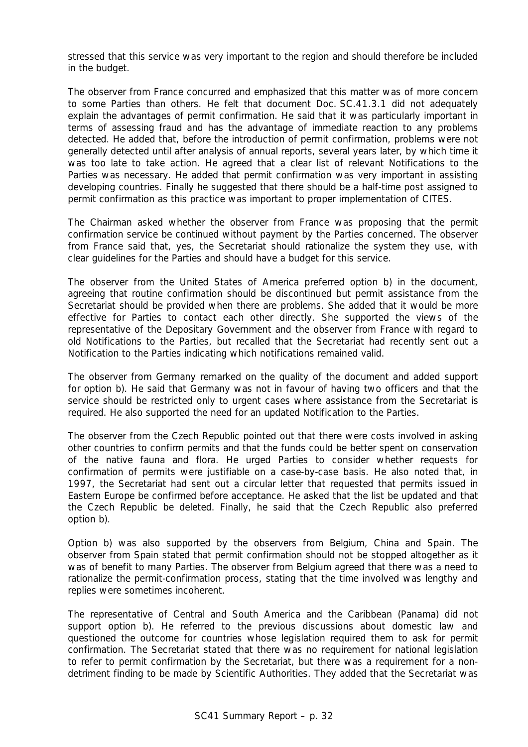stressed that this service was very important to the region and should therefore be included in the budget.

The observer from France concurred and emphasized that this matter was of more concern to some Parties than others. He felt that document Doc. SC.41.3.1 did not adequately explain the advantages of permit confirmation. He said that it was particularly important in terms of assessing fraud and has the advantage of immediate reaction to any problems detected. He added that, before the introduction of permit confirmation, problems were not generally detected until after analysis of annual reports, several years later, by which time it was too late to take action. He agreed that a clear list of relevant Notifications to the Parties was necessary. He added that permit confirmation was very important in assisting developing countries. Finally he suggested that there should be a half-time post assigned to permit confirmation as this practice was important to proper implementation of CITES.

The Chairman asked whether the observer from France was proposing that the permit confirmation service be continued without payment by the Parties concerned. The observer from France said that, yes, the Secretariat should rationalize the system they use, with clear guidelines for the Parties and should have a budget for this service.

The observer from the United States of America preferred option b) in the document, agreeing that routine confirmation should be discontinued but permit assistance from the Secretariat should be provided when there are problems. She added that it would be more effective for Parties to contact each other directly. She supported the views of the representative of the Depositary Government and the observer from France with regard to old Notifications to the Parties, but recalled that the Secretariat had recently sent out a Notification to the Parties indicating which notifications remained valid.

The observer from Germany remarked on the quality of the document and added support for option b). He said that Germany was not in favour of having two officers and that the service should be restricted only to urgent cases where assistance from the Secretariat is required. He also supported the need for an updated Notification to the Parties.

The observer from the Czech Republic pointed out that there were costs involved in asking other countries to confirm permits and that the funds could be better spent on conservation of the native fauna and flora. He urged Parties to consider whether requests for confirmation of permits were justifiable on a case-by-case basis. He also noted that, in 1997, the Secretariat had sent out a circular letter that requested that permits issued in Eastern Europe be confirmed before acceptance. He asked that the list be updated and that the Czech Republic be deleted. Finally, he said that the Czech Republic also preferred option b).

Option b) was also supported by the observers from Belgium, China and Spain. The observer from Spain stated that permit confirmation should not be stopped altogether as it was of benefit to many Parties. The observer from Belgium agreed that there was a need to rationalize the permit-confirmation process, stating that the time involved was lengthy and replies were sometimes incoherent.

The representative of Central and South America and the Caribbean (Panama) did not support option b). He referred to the previous discussions about domestic law and questioned the outcome for countries whose legislation required them to ask for permit confirmation. The Secretariat stated that there was no requirement for national legislation to refer to permit confirmation by the Secretariat, but there was a requirement for a nondetriment finding to be made by Scientific Authorities. They added that the Secretariat was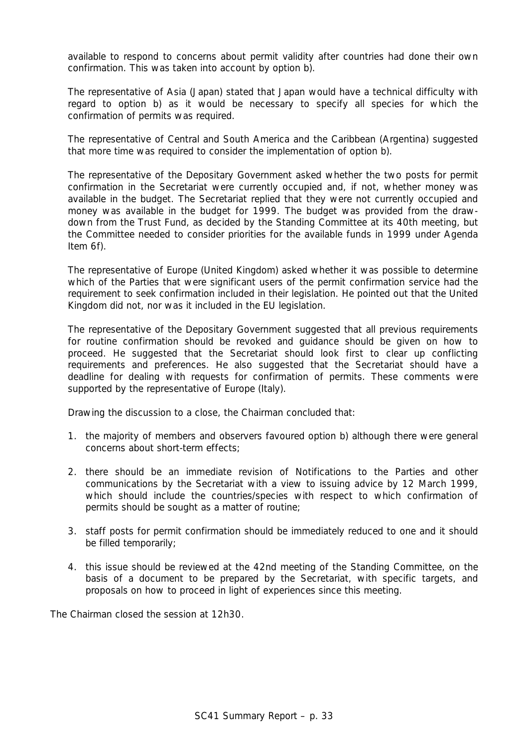available to respond to concerns about permit validity after countries had done their own confirmation. This was taken into account by option b).

The representative of Asia (Japan) stated that Japan would have a technical difficulty with regard to option b) as it would be necessary to specify all species for which the confirmation of permits was required.

The representative of Central and South America and the Caribbean (Argentina) suggested that more time was required to consider the implementation of option b).

The representative of the Depositary Government asked whether the two posts for permit confirmation in the Secretariat were currently occupied and, if not, whether money was available in the budget. The Secretariat replied that they were not currently occupied and money was available in the budget for 1999. The budget was provided from the drawdown from the Trust Fund, as decided by the Standing Committee at its 40th meeting, but the Committee needed to consider priorities for the available funds in 1999 under Agenda Item 6f).

The representative of Europe (United Kingdom) asked whether it was possible to determine which of the Parties that were significant users of the permit confirmation service had the requirement to seek confirmation included in their legislation. He pointed out that the United Kingdom did not, nor was it included in the EU legislation.

The representative of the Depositary Government suggested that all previous requirements for routine confirmation should be revoked and guidance should be given on how to proceed. He suggested that the Secretariat should look first to clear up conflicting requirements and preferences. He also suggested that the Secretariat should have a deadline for dealing with requests for confirmation of permits. These comments were supported by the representative of Europe (Italy).

Drawing the discussion to a close, the Chairman concluded that:

- 1. the majority of members and observers favoured option b) although there were general concerns about short-term effects;
- 2. there should be an immediate revision of Notifications to the Parties and other communications by the Secretariat with a view to issuing advice by 12 March 1999, which should include the countries/species with respect to which confirmation of permits should be sought as a matter of routine;
- 3. staff posts for permit confirmation should be immediately reduced to one and it should be filled temporarily;
- 4. this issue should be reviewed at the 42nd meeting of the Standing Committee, on the basis of a document to be prepared by the Secretariat, with specific targets, and proposals on how to proceed in light of experiences since this meeting.

The Chairman closed the session at 12h30.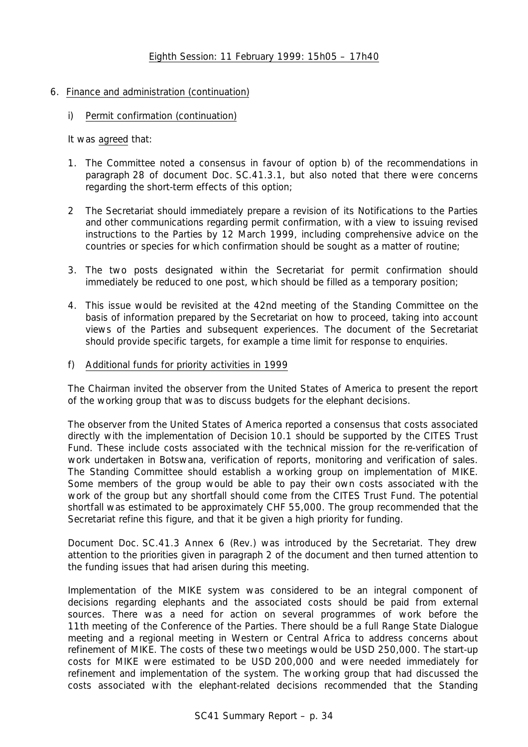# 6. Finance and administration (continuation)

i) Permit confirmation (continuation)

It was agreed that:

- 1. The Committee noted a consensus in favour of option b) of the recommendations in paragraph 28 of document Doc. SC.41.3.1, but also noted that there were concerns regarding the short-term effects of this option;
- 2 The Secretariat should immediately prepare a revision of its Notifications to the Parties and other communications regarding permit confirmation, with a view to issuing revised instructions to the Parties by 12 March 1999, including comprehensive advice on the countries or species for which confirmation should be sought as a matter of routine;
- 3. The two posts designated within the Secretariat for permit confirmation should immediately be reduced to one post, which should be filled as a temporary position;
- 4. This issue would be revisited at the 42nd meeting of the Standing Committee on the basis of information prepared by the Secretariat on how to proceed, taking into account views of the Parties and subsequent experiences. The document of the Secretariat should provide specific targets, for example a time limit for response to enquiries.

# f) Additional funds for priority activities in 1999

The Chairman invited the observer from the United States of America to present the report of the working group that was to discuss budgets for the elephant decisions.

The observer from the United States of America reported a consensus that costs associated directly with the implementation of Decision 10.1 should be supported by the CITES Trust Fund. These include costs associated with the technical mission for the re-verification of work undertaken in Botswana, verification of reports, monitoring and verification of sales. The Standing Committee should establish a working group on implementation of MIKE. Some members of the group would be able to pay their own costs associated with the work of the group but any shortfall should come from the CITES Trust Fund. The potential shortfall was estimated to be approximately CHF 55,000. The group recommended that the Secretariat refine this figure, and that it be given a high priority for funding.

Document Doc. SC.41.3 Annex 6 (Rev.) was introduced by the Secretariat. They drew attention to the priorities given in paragraph 2 of the document and then turned attention to the funding issues that had arisen during this meeting.

Implementation of the MIKE system was considered to be an integral component of decisions regarding elephants and the associated costs should be paid from external sources. There was a need for action on several programmes of work before the 11th meeting of the Conference of the Parties. There should be a full Range State Dialogue meeting and a regional meeting in Western or Central Africa to address concerns about refinement of MIKE. The costs of these two meetings would be USD 250,000. The start-up costs for MIKE were estimated to be USD 200,000 and were needed immediately for refinement and implementation of the system. The working group that had discussed the costs associated with the elephant-related decisions recommended that the Standing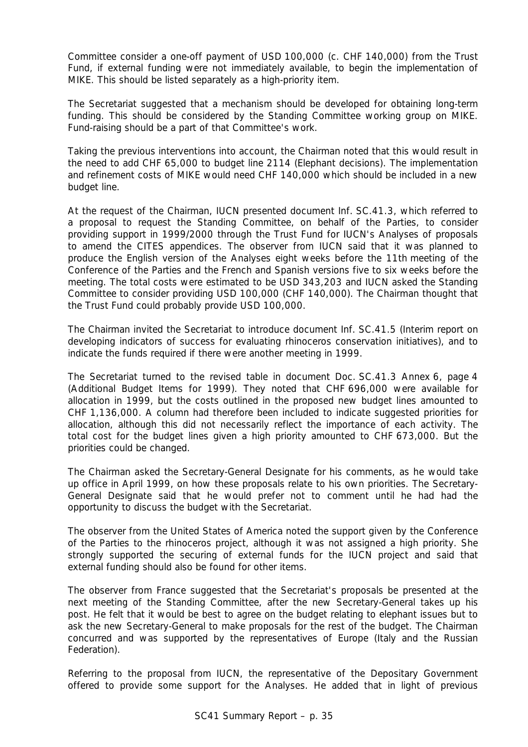Committee consider a one-off payment of USD 100,000 (c. CHF 140,000) from the Trust Fund, if external funding were not immediately available, to begin the implementation of MIKE. This should be listed separately as a high-priority item.

The Secretariat suggested that a mechanism should be developed for obtaining long-term funding. This should be considered by the Standing Committee working group on MIKE. Fund-raising should be a part of that Committee's work.

Taking the previous interventions into account, the Chairman noted that this would result in the need to add CHF 65,000 to budget line 2114 (Elephant decisions). The implementation and refinement costs of MIKE would need CHF 140,000 which should be included in a new budget line.

At the request of the Chairman, IUCN presented document Inf. SC.41.3, which referred to a proposal to request the Standing Committee, on behalf of the Parties, to consider providing support in 1999/2000 through the Trust Fund for IUCN's Analyses of proposals to amend the CITES appendices. The observer from IUCN said that it was planned to produce the English version of the Analyses eight weeks before the 11th meeting of the Conference of the Parties and the French and Spanish versions five to six weeks before the meeting. The total costs were estimated to be USD 343,203 and IUCN asked the Standing Committee to consider providing USD 100,000 (CHF 140,000). The Chairman thought that the Trust Fund could probably provide USD 100,000.

The Chairman invited the Secretariat to introduce document Inf. SC.41.5 (Interim report on developing indicators of success for evaluating rhinoceros conservation initiatives), and to indicate the funds required if there were another meeting in 1999.

The Secretariat turned to the revised table in document Doc. SC.41.3 Annex 6, page 4 (Additional Budget Items for 1999). They noted that CHF 696,000 were available for allocation in 1999, but the costs outlined in the proposed new budget lines amounted to CHF 1,136,000. A column had therefore been included to indicate suggested priorities for allocation, although this did not necessarily reflect the importance of each activity. The total cost for the budget lines given a high priority amounted to CHF 673,000. But the priorities could be changed.

The Chairman asked the Secretary-General Designate for his comments, as he would take up office in April 1999, on how these proposals relate to his own priorities. The Secretary-General Designate said that he would prefer not to comment until he had had the opportunity to discuss the budget with the Secretariat.

The observer from the United States of America noted the support given by the Conference of the Parties to the rhinoceros project, although it was not assigned a high priority. She strongly supported the securing of external funds for the IUCN project and said that external funding should also be found for other items.

The observer from France suggested that the Secretariat's proposals be presented at the next meeting of the Standing Committee, after the new Secretary-General takes up his post. He felt that it would be best to agree on the budget relating to elephant issues but to ask the new Secretary-General to make proposals for the rest of the budget. The Chairman concurred and was supported by the representatives of Europe (Italy and the Russian Federation).

Referring to the proposal from IUCN, the representative of the Depositary Government offered to provide some support for the Analyses. He added that in light of previous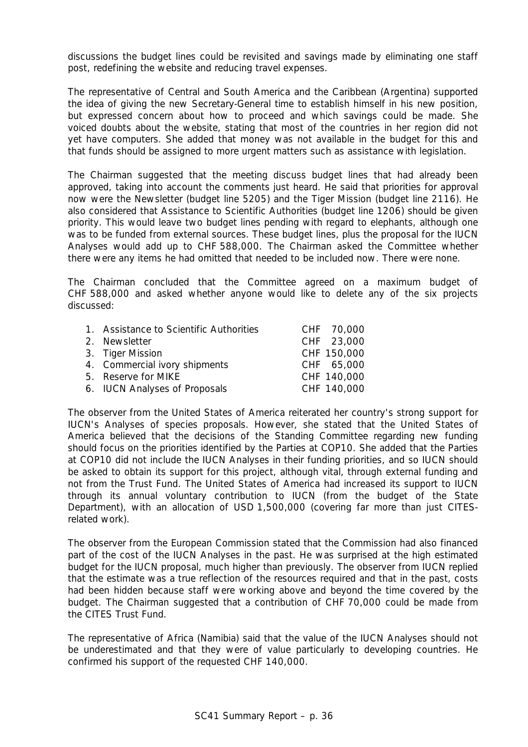discussions the budget lines could be revisited and savings made by eliminating one staff post, redefining the website and reducing travel expenses.

The representative of Central and South America and the Caribbean (Argentina) supported the idea of giving the new Secretary-General time to establish himself in his new position, but expressed concern about how to proceed and which savings could be made. She voiced doubts about the website, stating that most of the countries in her region did not yet have computers. She added that money was not available in the budget for this and that funds should be assigned to more urgent matters such as assistance with legislation.

The Chairman suggested that the meeting discuss budget lines that had already been approved, taking into account the comments just heard. He said that priorities for approval now were the Newsletter (budget line 5205) and the Tiger Mission (budget line 2116). He also considered that Assistance to Scientific Authorities (budget line 1206) should be given priority. This would leave two budget lines pending with regard to elephants, although one was to be funded from external sources. These budget lines, plus the proposal for the IUCN Analyses would add up to CHF 588,000. The Chairman asked the Committee whether there were any items he had omitted that needed to be included now. There were none.

The Chairman concluded that the Committee agreed on a maximum budget of CHF 588,000 and asked whether anyone would like to delete any of the six projects discussed:

| 1. Assistance to Scientific Authorities | CHF 70,000  |
|-----------------------------------------|-------------|
| 2. Newsletter                           | CHF 23,000  |
| 3. Tiger Mission                        | CHF 150,000 |
| 4. Commercial ivory shipments           | CHF 65,000  |
| 5. Reserve for MIKE                     | CHF 140,000 |
| 6. IUCN Analyses of Proposals           | CHF 140,000 |

The observer from the United States of America reiterated her country's strong support for IUCN's Analyses of species proposals. However, she stated that the United States of America believed that the decisions of the Standing Committee regarding new funding should focus on the priorities identified by the Parties at COP10. She added that the Parties at COP10 did not include the IUCN Analyses in their funding priorities, and so IUCN should be asked to obtain its support for this project, although vital, through external funding and not from the Trust Fund. The United States of America had increased its support to IUCN through its annual voluntary contribution to IUCN (from the budget of the State Department), with an allocation of USD 1,500,000 (covering far more than just CITESrelated work).

The observer from the European Commission stated that the Commission had also financed part of the cost of the IUCN Analyses in the past. He was surprised at the high estimated budget for the IUCN proposal, much higher than previously. The observer from IUCN replied that the estimate was a true reflection of the resources required and that in the past, costs had been hidden because staff were working above and beyond the time covered by the budget. The Chairman suggested that a contribution of CHF 70,000 could be made from the CITES Trust Fund.

The representative of Africa (Namibia) said that the value of the IUCN Analyses should not be underestimated and that they were of value particularly to developing countries. He confirmed his support of the requested CHF 140,000.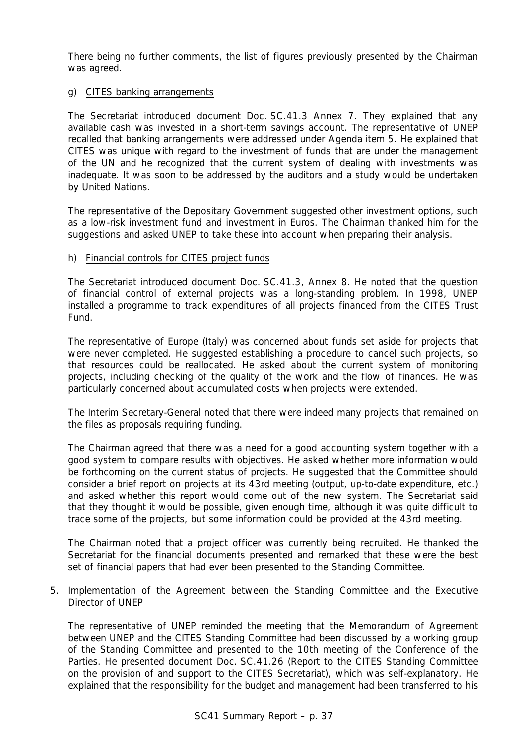There being no further comments, the list of figures previously presented by the Chairman was agreed.

# g) CITES banking arrangements

The Secretariat introduced document Doc. SC.41.3 Annex 7. They explained that any available cash was invested in a short-term savings account. The representative of UNEP recalled that banking arrangements were addressed under Agenda item 5. He explained that CITES was unique with regard to the investment of funds that are under the management of the UN and he recognized that the current system of dealing with investments was inadequate. It was soon to be addressed by the auditors and a study would be undertaken by United Nations.

The representative of the Depositary Government suggested other investment options, such as a low-risk investment fund and investment in Euros. The Chairman thanked him for the suggestions and asked UNEP to take these into account when preparing their analysis.

# h) Financial controls for CITES project funds

The Secretariat introduced document Doc. SC.41.3, Annex 8. He noted that the question of financial control of external projects was a long-standing problem. In 1998, UNEP installed a programme to track expenditures of all projects financed from the CITES Trust Fund.

The representative of Europe (Italy) was concerned about funds set aside for projects that were never completed. He suggested establishing a procedure to cancel such projects, so that resources could be reallocated. He asked about the current system of monitoring projects, including checking of the quality of the work and the flow of finances. He was particularly concerned about accumulated costs when projects were extended.

The Interim Secretary-General noted that there were indeed many projects that remained on the files as proposals requiring funding.

The Chairman agreed that there was a need for a good accounting system together with a good system to compare results with objectives. He asked whether more information would be forthcoming on the current status of projects. He suggested that the Committee should consider a brief report on projects at its 43rd meeting (output, up-to-date expenditure, etc.) and asked whether this report would come out of the new system. The Secretariat said that they thought it would be possible, given enough time, although it was quite difficult to trace some of the projects, but some information could be provided at the 43rd meeting.

The Chairman noted that a project officer was currently being recruited. He thanked the Secretariat for the financial documents presented and remarked that these were the best set of financial papers that had ever been presented to the Standing Committee.

# 5. Implementation of the Agreement between the Standing Committee and the Executive Director of UNEP

The representative of UNEP reminded the meeting that the Memorandum of Agreement between UNEP and the CITES Standing Committee had been discussed by a working group of the Standing Committee and presented to the 10th meeting of the Conference of the Parties. He presented document Doc. SC.41.26 (Report to the CITES Standing Committee on the provision of and support to the CITES Secretariat), which was self-explanatory. He explained that the responsibility for the budget and management had been transferred to his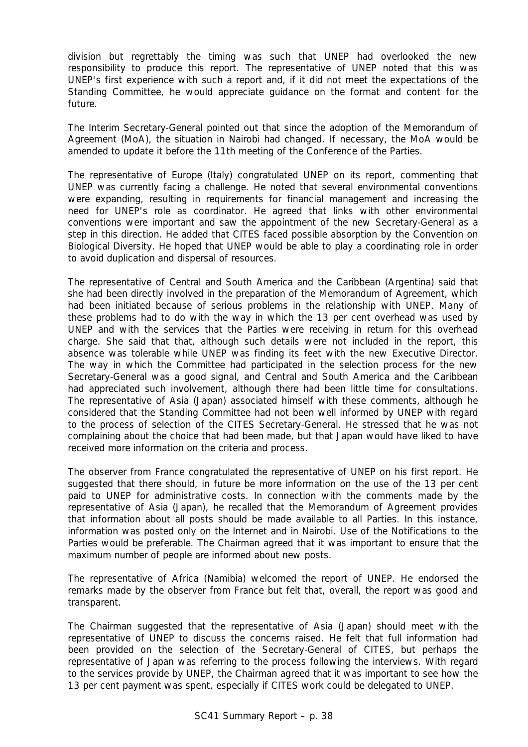division but regrettably the timing was such that UNEP had overlooked the new responsibility to produce this report. The representative of UNEP noted that this was UNEP's first experience with such a report and, if it did not meet the expectations of the Standing Committee, he would appreciate guidance on the format and content for the future.

The Interim Secretary-General pointed out that since the adoption of the Memorandum of Agreement (MoA), the situation in Nairobi had changed. If necessary, the MoA would be amended to update it before the 11th meeting of the Conference of the Parties.

The representative of Europe (Italy) congratulated UNEP on its report, commenting that UNEP was currently facing a challenge. He noted that several environmental conventions were expanding, resulting in requirements for financial management and increasing the need for UNEP's role as coordinator. He agreed that links with other environmental conventions were important and saw the appointment of the new Secretary-General as a step in this direction. He added that CITES faced possible absorption by the Convention on Biological Diversity. He hoped that UNEP would be able to play a coordinating role in order to avoid duplication and dispersal of resources.

The representative of Central and South America and the Caribbean (Argentina) said that she had been directly involved in the preparation of the Memorandum of Agreement, which had been initiated because of serious problems in the relationship with UNEP. Many of these problems had to do with the way in which the 13 per cent overhead was used by UNEP and with the services that the Parties were receiving in return for this overhead charge. She said that that, although such details were not included in the report, this absence was tolerable while UNEP was finding its feet with the new Executive Director. The way in which the Committee had participated in the selection process for the new Secretary-General was a good signal, and Central and South America and the Caribbean had appreciated such involvement, although there had been little time for consultations. The representative of Asia (Japan) associated himself with these comments, although he considered that the Standing Committee had not been well informed by UNEP with regard to the process of selection of the CITES Secretary-General. He stressed that he was not complaining about the choice that had been made, but that Japan would have liked to have received more information on the criteria and process.

The observer from France congratulated the representative of UNEP on his first report. He suggested that there should, in future be more information on the use of the 13 per cent paid to UNEP for administrative costs. In connection with the comments made by the representative of Asia (Japan), he recalled that the Memorandum of Agreement provides that information about all posts should be made available to all Parties. In this instance, information was posted only on the Internet and in Nairobi. Use of the Notifications to the Parties would be preferable. The Chairman agreed that it was important to ensure that the maximum number of people are informed about new posts.

The representative of Africa (Namibia) welcomed the report of UNEP. He endorsed the remarks made by the observer from France but felt that, overall, the report was good and transparent.

The Chairman suggested that the representative of Asia (Japan) should meet with the representative of UNEP to discuss the concerns raised. He felt that full information had been provided on the selection of the Secretary-General of CITES, but perhaps the representative of Japan was referring to the process following the interviews. With regard to the services provide by UNEP, the Chairman agreed that it was important to see how the 13 per cent payment was spent, especially if CITES work could be delegated to UNEP.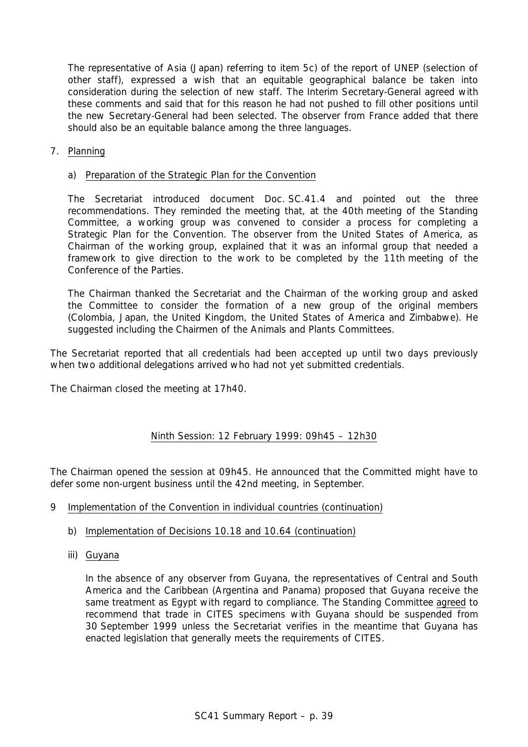The representative of Asia (Japan) referring to item 5c) of the report of UNEP (selection of other staff), expressed a wish that an equitable geographical balance be taken into consideration during the selection of new staff. The Interim Secretary-General agreed with these comments and said that for this reason he had not pushed to fill other positions until the new Secretary-General had been selected. The observer from France added that there should also be an equitable balance among the three languages.

7. Planning

### a) Preparation of the Strategic Plan for the Convention

The Secretariat introduced document Doc. SC.41.4 and pointed out the three recommendations. They reminded the meeting that, at the 40th meeting of the Standing Committee, a working group was convened to consider a process for completing a Strategic Plan for the Convention. The observer from the United States of America, as Chairman of the working group, explained that it was an informal group that needed a framework to give direction to the work to be completed by the 11th meeting of the Conference of the Parties.

The Chairman thanked the Secretariat and the Chairman of the working group and asked the Committee to consider the formation of a new group of the original members (Colombia, Japan, the United Kingdom, the United States of America and Zimbabwe). He suggested including the Chairmen of the Animals and Plants Committees.

The Secretariat reported that all credentials had been accepted up until two days previously when two additional delegations arrived who had not yet submitted credentials.

The Chairman closed the meeting at 17h40.

# Ninth Session: 12 February 1999: 09h45 – 12h30

The Chairman opened the session at 09h45. He announced that the Committed might have to defer some non-urgent business until the 42nd meeting, in September.

- 9 Implementation of the Convention in individual countries (continuation)
	- b) Implementation of Decisions 10.18 and 10.64 (continuation)
	- iii) Guyana

In the absence of any observer from Guyana, the representatives of Central and South America and the Caribbean (Argentina and Panama) proposed that Guyana receive the same treatment as Egypt with regard to compliance. The Standing Committee agreed to recommend that trade in CITES specimens with Guyana should be suspended from 30 September 1999 unless the Secretariat verifies in the meantime that Guyana has enacted legislation that generally meets the requirements of CITES.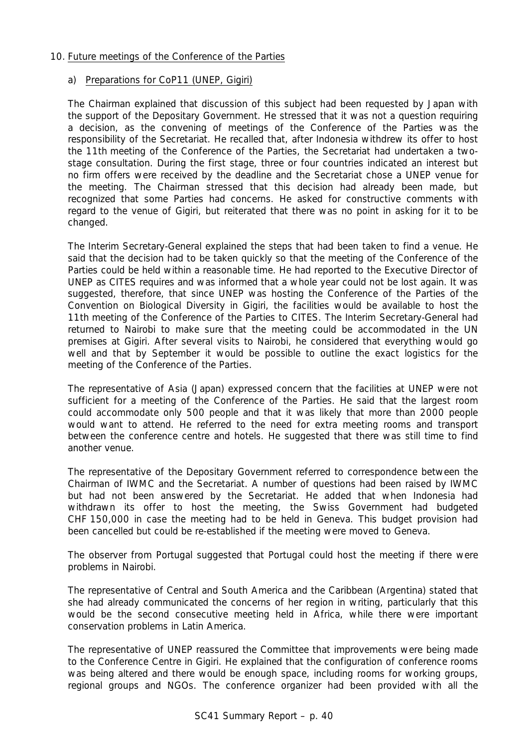# 10. Future meetings of the Conference of the Parties

# a) Preparations for CoP11 (UNEP, Gigiri)

The Chairman explained that discussion of this subject had been requested by Japan with the support of the Depositary Government. He stressed that it was not a question requiring a decision, as the convening of meetings of the Conference of the Parties was the responsibility of the Secretariat. He recalled that, after Indonesia withdrew its offer to host the 11th meeting of the Conference of the Parties, the Secretariat had undertaken a twostage consultation. During the first stage, three or four countries indicated an interest but no firm offers were received by the deadline and the Secretariat chose a UNEP venue for the meeting. The Chairman stressed that this decision had already been made, but recognized that some Parties had concerns. He asked for constructive comments with regard to the venue of Gigiri, but reiterated that there was no point in asking for it to be changed.

The Interim Secretary-General explained the steps that had been taken to find a venue. He said that the decision had to be taken quickly so that the meeting of the Conference of the Parties could be held within a reasonable time. He had reported to the Executive Director of UNEP as CITES requires and was informed that a whole year could not be lost again. It was suggested, therefore, that since UNEP was hosting the Conference of the Parties of the Convention on Biological Diversity in Gigiri, the facilities would be available to host the 11th meeting of the Conference of the Parties to CITES. The Interim Secretary-General had returned to Nairobi to make sure that the meeting could be accommodated in the UN premises at Gigiri. After several visits to Nairobi, he considered that everything would go well and that by September it would be possible to outline the exact logistics for the meeting of the Conference of the Parties.

The representative of Asia (Japan) expressed concern that the facilities at UNEP were not sufficient for a meeting of the Conference of the Parties. He said that the largest room could accommodate only 500 people and that it was likely that more than 2000 people would want to attend. He referred to the need for extra meeting rooms and transport between the conference centre and hotels. He suggested that there was still time to find another venue.

The representative of the Depositary Government referred to correspondence between the Chairman of IWMC and the Secretariat. A number of questions had been raised by IWMC but had not been answered by the Secretariat. He added that when Indonesia had withdrawn its offer to host the meeting, the Swiss Government had budgeted CHF 150,000 in case the meeting had to be held in Geneva. This budget provision had been cancelled but could be re-established if the meeting were moved to Geneva.

The observer from Portugal suggested that Portugal could host the meeting if there were problems in Nairobi.

The representative of Central and South America and the Caribbean (Argentina) stated that she had already communicated the concerns of her region in writing, particularly that this would be the second consecutive meeting held in Africa, while there were important conservation problems in Latin America.

The representative of UNEP reassured the Committee that improvements were being made to the Conference Centre in Gigiri. He explained that the configuration of conference rooms was being altered and there would be enough space, including rooms for working groups, regional groups and NGOs. The conference organizer had been provided with all the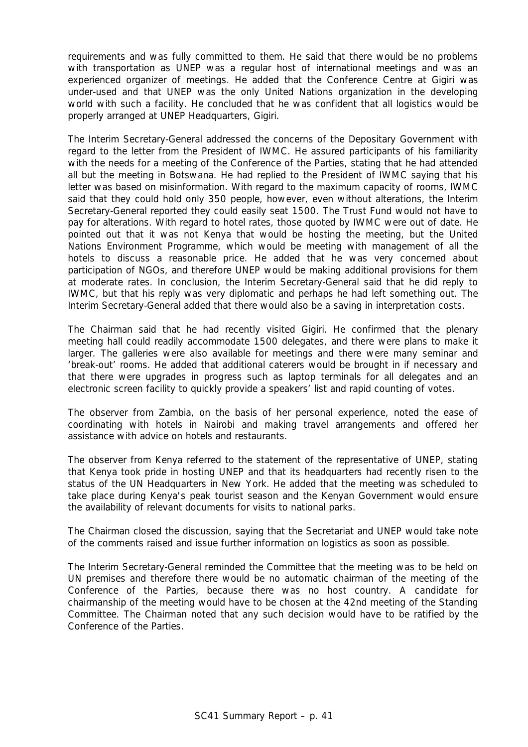requirements and was fully committed to them. He said that there would be no problems with transportation as UNEP was a regular host of international meetings and was an experienced organizer of meetings. He added that the Conference Centre at Gigiri was under-used and that UNEP was the only United Nations organization in the developing world with such a facility. He concluded that he was confident that all logistics would be properly arranged at UNEP Headquarters, Gigiri.

The Interim Secretary-General addressed the concerns of the Depositary Government with regard to the letter from the President of IWMC. He assured participants of his familiarity with the needs for a meeting of the Conference of the Parties, stating that he had attended all but the meeting in Botswana. He had replied to the President of IWMC saying that his letter was based on misinformation. With regard to the maximum capacity of rooms, IWMC said that they could hold only 350 people, however, even without alterations, the Interim Secretary-General reported they could easily seat 1500. The Trust Fund would not have to pay for alterations. With regard to hotel rates, those quoted by IWMC were out of date. He pointed out that it was not Kenya that would be hosting the meeting, but the United Nations Environment Programme, which would be meeting with management of all the hotels to discuss a reasonable price. He added that he was very concerned about participation of NGOs, and therefore UNEP would be making additional provisions for them at moderate rates. In conclusion, the Interim Secretary-General said that he did reply to IWMC, but that his reply was very diplomatic and perhaps he had left something out. The Interim Secretary-General added that there would also be a saving in interpretation costs.

The Chairman said that he had recently visited Gigiri. He confirmed that the plenary meeting hall could readily accommodate 1500 delegates, and there were plans to make it larger. The galleries were also available for meetings and there were many seminar and 'break-out' rooms. He added that additional caterers would be brought in if necessary and that there were upgrades in progress such as laptop terminals for all delegates and an electronic screen facility to quickly provide a speakers' list and rapid counting of votes.

The observer from Zambia, on the basis of her personal experience, noted the ease of coordinating with hotels in Nairobi and making travel arrangements and offered her assistance with advice on hotels and restaurants.

The observer from Kenya referred to the statement of the representative of UNEP, stating that Kenya took pride in hosting UNEP and that its headquarters had recently risen to the status of the UN Headquarters in New York. He added that the meeting was scheduled to take place during Kenya's peak tourist season and the Kenyan Government would ensure the availability of relevant documents for visits to national parks.

The Chairman closed the discussion, saying that the Secretariat and UNEP would take note of the comments raised and issue further information on logistics as soon as possible.

The Interim Secretary-General reminded the Committee that the meeting was to be held on UN premises and therefore there would be no automatic chairman of the meeting of the Conference of the Parties, because there was no host country. A candidate for chairmanship of the meeting would have to be chosen at the 42nd meeting of the Standing Committee. The Chairman noted that any such decision would have to be ratified by the Conference of the Parties.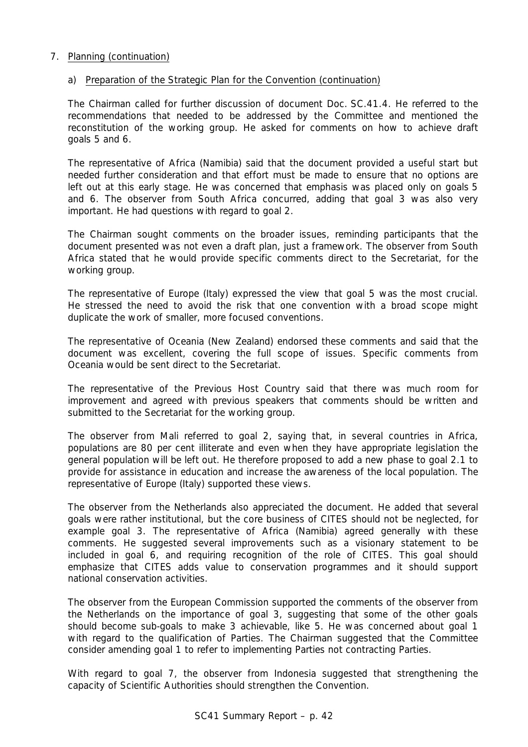# 7. Planning (continuation)

# a) Preparation of the Strategic Plan for the Convention (continuation)

The Chairman called for further discussion of document Doc. SC.41.4. He referred to the recommendations that needed to be addressed by the Committee and mentioned the reconstitution of the working group. He asked for comments on how to achieve draft goals 5 and 6.

The representative of Africa (Namibia) said that the document provided a useful start but needed further consideration and that effort must be made to ensure that no options are left out at this early stage. He was concerned that emphasis was placed only on goals 5 and 6. The observer from South Africa concurred, adding that goal 3 was also very important. He had questions with regard to goal 2.

The Chairman sought comments on the broader issues, reminding participants that the document presented was not even a draft plan, just a framework. The observer from South Africa stated that he would provide specific comments direct to the Secretariat, for the working group.

The representative of Europe (Italy) expressed the view that goal 5 was the most crucial. He stressed the need to avoid the risk that one convention with a broad scope might duplicate the work of smaller, more focused conventions.

The representative of Oceania (New Zealand) endorsed these comments and said that the document was excellent, covering the full scope of issues. Specific comments from Oceania would be sent direct to the Secretariat.

The representative of the Previous Host Country said that there was much room for improvement and agreed with previous speakers that comments should be written and submitted to the Secretariat for the working group.

The observer from Mali referred to goal 2, saying that, in several countries in Africa, populations are 80 per cent illiterate and even when they have appropriate legislation the general population will be left out. He therefore proposed to add a new phase to goal 2.1 to provide for assistance in education and increase the awareness of the local population. The representative of Europe (Italy) supported these views.

The observer from the Netherlands also appreciated the document. He added that several goals were rather institutional, but the core business of CITES should not be neglected, for example goal 3. The representative of Africa (Namibia) agreed generally with these comments. He suggested several improvements such as a visionary statement to be included in goal 6, and requiring recognition of the role of CITES. This goal should emphasize that CITES adds value to conservation programmes and it should support national conservation activities.

The observer from the European Commission supported the comments of the observer from the Netherlands on the importance of goal 3, suggesting that some of the other goals should become sub-goals to make 3 achievable, like 5. He was concerned about goal 1 with regard to the qualification of Parties. The Chairman suggested that the Committee consider amending goal 1 to refer to implementing Parties not contracting Parties.

With regard to goal 7, the observer from Indonesia suggested that strengthening the capacity of Scientific Authorities should strengthen the Convention.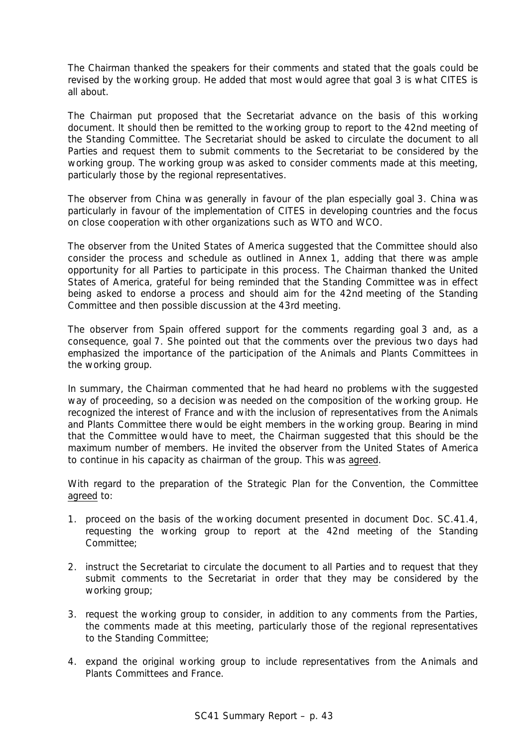The Chairman thanked the speakers for their comments and stated that the goals could be revised by the working group. He added that most would agree that goal 3 is what CITES is all about.

The Chairman put proposed that the Secretariat advance on the basis of this working document. It should then be remitted to the working group to report to the 42nd meeting of the Standing Committee. The Secretariat should be asked to circulate the document to all Parties and request them to submit comments to the Secretariat to be considered by the working group. The working group was asked to consider comments made at this meeting, particularly those by the regional representatives.

The observer from China was generally in favour of the plan especially goal 3. China was particularly in favour of the implementation of CITES in developing countries and the focus on close cooperation with other organizations such as WTO and WCO.

The observer from the United States of America suggested that the Committee should also consider the process and schedule as outlined in Annex 1, adding that there was ample opportunity for all Parties to participate in this process. The Chairman thanked the United States of America, grateful for being reminded that the Standing Committee was in effect being asked to endorse a process and should aim for the 42nd meeting of the Standing Committee and then possible discussion at the 43rd meeting.

The observer from Spain offered support for the comments regarding goal 3 and, as a consequence, goal 7. She pointed out that the comments over the previous two days had emphasized the importance of the participation of the Animals and Plants Committees in the working group.

In summary, the Chairman commented that he had heard no problems with the suggested way of proceeding, so a decision was needed on the composition of the working group. He recognized the interest of France and with the inclusion of representatives from the Animals and Plants Committee there would be eight members in the working group. Bearing in mind that the Committee would have to meet, the Chairman suggested that this should be the maximum number of members. He invited the observer from the United States of America to continue in his capacity as chairman of the group. This was agreed.

With regard to the preparation of the Strategic Plan for the Convention, the Committee agreed to:

- 1. proceed on the basis of the working document presented in document Doc. SC.41.4, requesting the working group to report at the 42nd meeting of the Standing Committee;
- 2. instruct the Secretariat to circulate the document to all Parties and to request that they submit comments to the Secretariat in order that they may be considered by the working group;
- 3. request the working group to consider, in addition to any comments from the Parties, the comments made at this meeting, particularly those of the regional representatives to the Standing Committee;
- 4. expand the original working group to include representatives from the Animals and Plants Committees and France.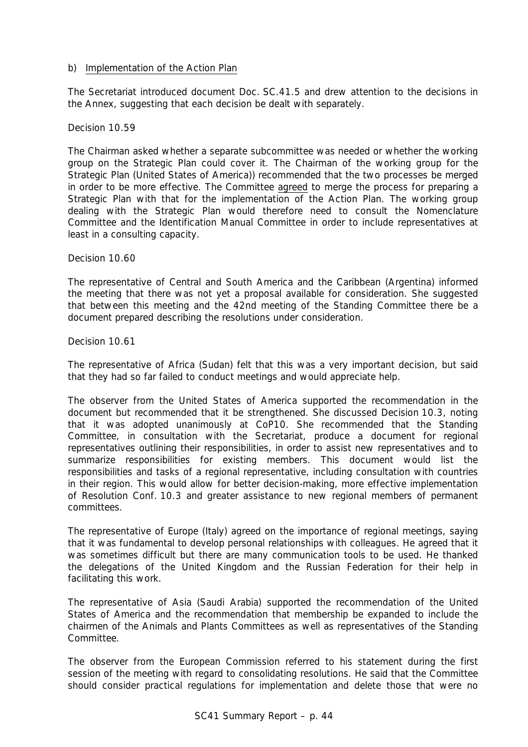### b) Implementation of the Action Plan

The Secretariat introduced document Doc. SC.41.5 and drew attention to the decisions in the Annex, suggesting that each decision be dealt with separately.

Decision 10.59

The Chairman asked whether a separate subcommittee was needed or whether the working group on the Strategic Plan could cover it. The Chairman of the working group for the Strategic Plan (United States of America)) recommended that the two processes be merged in order to be more effective. The Committee agreed to merge the process for preparing a Strategic Plan with that for the implementation of the Action Plan. The working group dealing with the Strategic Plan would therefore need to consult the Nomenclature Committee and the Identification Manual Committee in order to include representatives at least in a consulting capacity.

Decision 10.60

The representative of Central and South America and the Caribbean (Argentina) informed the meeting that there was not yet a proposal available for consideration. She suggested that between this meeting and the 42nd meeting of the Standing Committee there be a document prepared describing the resolutions under consideration.

Decision 10.61

The representative of Africa (Sudan) felt that this was a very important decision, but said that they had so far failed to conduct meetings and would appreciate help.

The observer from the United States of America supported the recommendation in the document but recommended that it be strengthened. She discussed Decision 10.3, noting that it was adopted unanimously at CoP10. She recommended that the Standing Committee, in consultation with the Secretariat, produce a document for regional representatives outlining their responsibilities, in order to assist new representatives and to summarize responsibilities for existing members. This document would list the responsibilities and tasks of a regional representative, including consultation with countries in their region. This would allow for better decision-making, more effective implementation of Resolution Conf. 10.3 and greater assistance to new regional members of permanent committees.

The representative of Europe (Italy) agreed on the importance of regional meetings, saying that it was fundamental to develop personal relationships with colleagues. He agreed that it was sometimes difficult but there are many communication tools to be used. He thanked the delegations of the United Kingdom and the Russian Federation for their help in facilitating this work.

The representative of Asia (Saudi Arabia) supported the recommendation of the United States of America and the recommendation that membership be expanded to include the chairmen of the Animals and Plants Committees as well as representatives of the Standing Committee.

The observer from the European Commission referred to his statement during the first session of the meeting with regard to consolidating resolutions. He said that the Committee should consider practical regulations for implementation and delete those that were no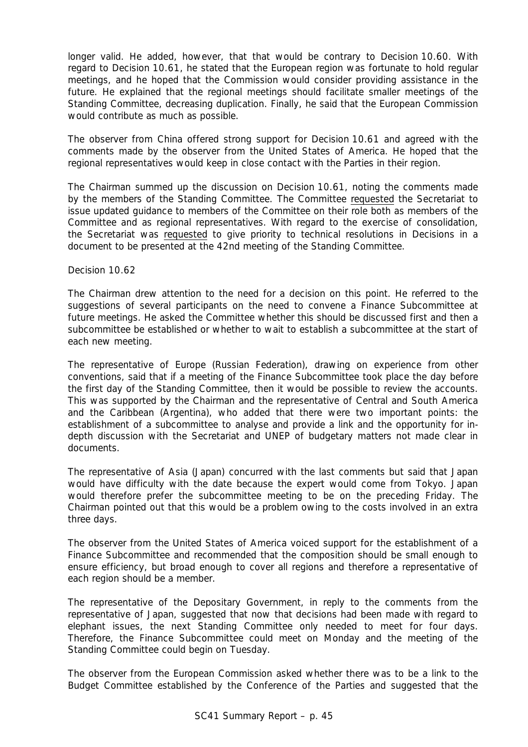longer valid. He added, however, that that would be contrary to Decision 10.60. With regard to Decision 10.61, he stated that the European region was fortunate to hold regular meetings, and he hoped that the Commission would consider providing assistance in the future. He explained that the regional meetings should facilitate smaller meetings of the Standing Committee, decreasing duplication. Finally, he said that the European Commission would contribute as much as possible.

The observer from China offered strong support for Decision 10.61 and agreed with the comments made by the observer from the United States of America. He hoped that the regional representatives would keep in close contact with the Parties in their region.

The Chairman summed up the discussion on Decision 10.61, noting the comments made by the members of the Standing Committee. The Committee requested the Secretariat to issue updated guidance to members of the Committee on their role both as members of the Committee and as regional representatives. With regard to the exercise of consolidation, the Secretariat was requested to give priority to technical resolutions in Decisions in a document to be presented at the 42nd meeting of the Standing Committee.

Decision 10.62

The Chairman drew attention to the need for a decision on this point. He referred to the suggestions of several participants on the need to convene a Finance Subcommittee at future meetings. He asked the Committee whether this should be discussed first and then a subcommittee be established or whether to wait to establish a subcommittee at the start of each new meeting.

The representative of Europe (Russian Federation), drawing on experience from other conventions, said that if a meeting of the Finance Subcommittee took place the day before the first day of the Standing Committee, then it would be possible to review the accounts. This was supported by the Chairman and the representative of Central and South America and the Caribbean (Argentina), who added that there were two important points: the establishment of a subcommittee to analyse and provide a link and the opportunity for indepth discussion with the Secretariat and UNEP of budgetary matters not made clear in documents.

The representative of Asia (Japan) concurred with the last comments but said that Japan would have difficulty with the date because the expert would come from Tokyo. Japan would therefore prefer the subcommittee meeting to be on the preceding Friday. The Chairman pointed out that this would be a problem owing to the costs involved in an extra three days.

The observer from the United States of America voiced support for the establishment of a Finance Subcommittee and recommended that the composition should be small enough to ensure efficiency, but broad enough to cover all regions and therefore a representative of each region should be a member.

The representative of the Depositary Government, in reply to the comments from the representative of Japan, suggested that now that decisions had been made with regard to elephant issues, the next Standing Committee only needed to meet for four days. Therefore, the Finance Subcommittee could meet on Monday and the meeting of the Standing Committee could begin on Tuesday.

The observer from the European Commission asked whether there was to be a link to the Budget Committee established by the Conference of the Parties and suggested that the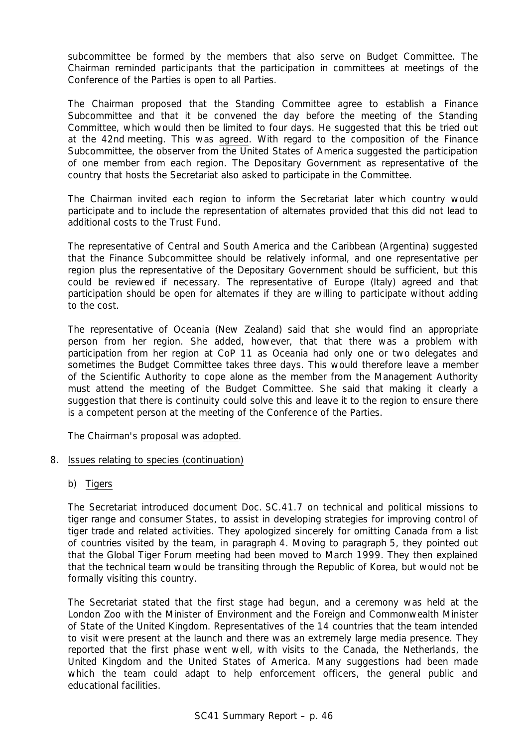subcommittee be formed by the members that also serve on Budget Committee. The Chairman reminded participants that the participation in committees at meetings of the Conference of the Parties is open to all Parties.

The Chairman proposed that the Standing Committee agree to establish a Finance Subcommittee and that it be convened the day before the meeting of the Standing Committee, which would then be limited to four days. He suggested that this be tried out at the 42nd meeting. This was agreed. With regard to the composition of the Finance Subcommittee, the observer from the United States of America suggested the participation of one member from each region. The Depositary Government as representative of the country that hosts the Secretariat also asked to participate in the Committee.

The Chairman invited each region to inform the Secretariat later which country would participate and to include the representation of alternates provided that this did not lead to additional costs to the Trust Fund.

The representative of Central and South America and the Caribbean (Argentina) suggested that the Finance Subcommittee should be relatively informal, and one representative per region plus the representative of the Depositary Government should be sufficient, but this could be reviewed if necessary. The representative of Europe (Italy) agreed and that participation should be open for alternates if they are willing to participate without adding to the cost.

The representative of Oceania (New Zealand) said that she would find an appropriate person from her region. She added, however, that that there was a problem with participation from her region at CoP 11 as Oceania had only one or two delegates and sometimes the Budget Committee takes three days. This would therefore leave a member of the Scientific Authority to cope alone as the member from the Management Authority must attend the meeting of the Budget Committee. She said that making it clearly a suggestion that there is continuity could solve this and leave it to the region to ensure there is a competent person at the meeting of the Conference of the Parties.

The Chairman's proposal was adopted.

# 8. Issues relating to species (continuation)

b) Tigers

The Secretariat introduced document Doc. SC.41.7 on technical and political missions to tiger range and consumer States, to assist in developing strategies for improving control of tiger trade and related activities. They apologized sincerely for omitting Canada from a list of countries visited by the team, in paragraph 4. Moving to paragraph 5, they pointed out that the Global Tiger Forum meeting had been moved to March 1999. They then explained that the technical team would be transiting through the Republic of Korea, but would not be formally visiting this country.

The Secretariat stated that the first stage had begun, and a ceremony was held at the London Zoo with the Minister of Environment and the Foreign and Commonwealth Minister of State of the United Kingdom. Representatives of the 14 countries that the team intended to visit were present at the launch and there was an extremely large media presence. They reported that the first phase went well, with visits to the Canada, the Netherlands, the United Kingdom and the United States of America. Many suggestions had been made which the team could adapt to help enforcement officers, the general public and educational facilities.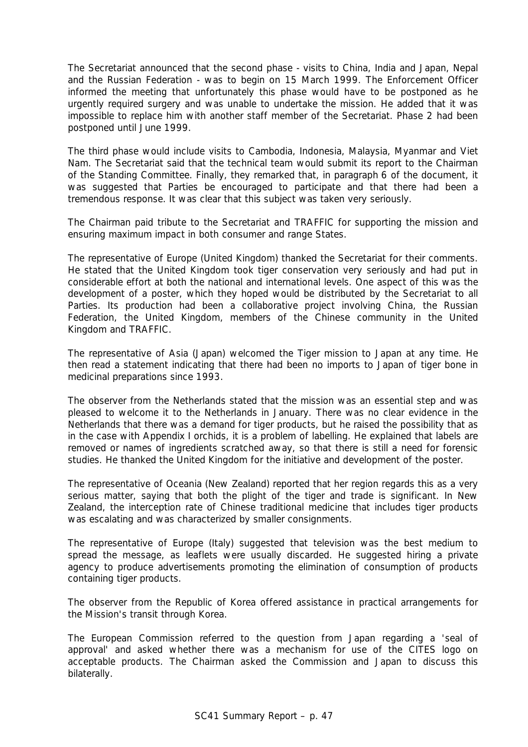The Secretariat announced that the second phase - visits to China, India and Japan, Nepal and the Russian Federation - was to begin on 15 March 1999. The Enforcement Officer informed the meeting that unfortunately this phase would have to be postponed as he urgently required surgery and was unable to undertake the mission. He added that it was impossible to replace him with another staff member of the Secretariat. Phase 2 had been postponed until June 1999.

The third phase would include visits to Cambodia, Indonesia, Malaysia, Myanmar and Viet Nam. The Secretariat said that the technical team would submit its report to the Chairman of the Standing Committee. Finally, they remarked that, in paragraph 6 of the document, it was suggested that Parties be encouraged to participate and that there had been a tremendous response. It was clear that this subject was taken very seriously.

The Chairman paid tribute to the Secretariat and TRAFFIC for supporting the mission and ensuring maximum impact in both consumer and range States.

The representative of Europe (United Kingdom) thanked the Secretariat for their comments. He stated that the United Kingdom took tiger conservation very seriously and had put in considerable effort at both the national and international levels. One aspect of this was the development of a poster, which they hoped would be distributed by the Secretariat to all Parties. Its production had been a collaborative project involving China, the Russian Federation, the United Kingdom, members of the Chinese community in the United Kingdom and TRAFFIC.

The representative of Asia (Japan) welcomed the Tiger mission to Japan at any time. He then read a statement indicating that there had been no imports to Japan of tiger bone in medicinal preparations since 1993.

The observer from the Netherlands stated that the mission was an essential step and was pleased to welcome it to the Netherlands in January. There was no clear evidence in the Netherlands that there was a demand for tiger products, but he raised the possibility that as in the case with Appendix I orchids, it is a problem of labelling. He explained that labels are removed or names of ingredients scratched away, so that there is still a need for forensic studies. He thanked the United Kingdom for the initiative and development of the poster.

The representative of Oceania (New Zealand) reported that her region regards this as a very serious matter, saying that both the plight of the tiger and trade is significant. In New Zealand, the interception rate of Chinese traditional medicine that includes tiger products was escalating and was characterized by smaller consignments.

The representative of Europe (Italy) suggested that television was the best medium to spread the message, as leaflets were usually discarded. He suggested hiring a private agency to produce advertisements promoting the elimination of consumption of products containing tiger products.

The observer from the Republic of Korea offered assistance in practical arrangements for the Mission's transit through Korea.

The European Commission referred to the question from Japan regarding a 'seal of approval' and asked whether there was a mechanism for use of the CITES logo on acceptable products. The Chairman asked the Commission and Japan to discuss this bilaterally.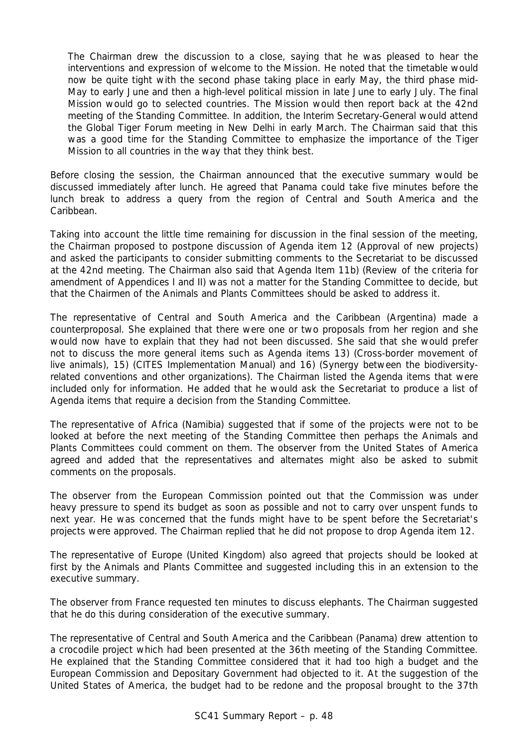The Chairman drew the discussion to a close, saying that he was pleased to hear the interventions and expression of welcome to the Mission. He noted that the timetable would now be quite tight with the second phase taking place in early May, the third phase mid-May to early June and then a high-level political mission in late June to early July. The final Mission would go to selected countries. The Mission would then report back at the 42nd meeting of the Standing Committee. In addition, the Interim Secretary-General would attend the Global Tiger Forum meeting in New Delhi in early March. The Chairman said that this was a good time for the Standing Committee to emphasize the importance of the Tiger Mission to all countries in the way that they think best.

Before closing the session, the Chairman announced that the executive summary would be discussed immediately after lunch. He agreed that Panama could take five minutes before the lunch break to address a query from the region of Central and South America and the **Caribbean** 

Taking into account the little time remaining for discussion in the final session of the meeting, the Chairman proposed to postpone discussion of Agenda item 12 (Approval of new projects) and asked the participants to consider submitting comments to the Secretariat to be discussed at the 42nd meeting. The Chairman also said that Agenda Item 11b) (Review of the criteria for amendment of Appendices I and II) was not a matter for the Standing Committee to decide, but that the Chairmen of the Animals and Plants Committees should be asked to address it.

The representative of Central and South America and the Caribbean (Argentina) made a counterproposal. She explained that there were one or two proposals from her region and she would now have to explain that they had not been discussed. She said that she would prefer not to discuss the more general items such as Agenda items 13) (Cross-border movement of live animals), 15) (CITES Implementation Manual) and 16) (Synergy between the biodiversityrelated conventions and other organizations). The Chairman listed the Agenda items that were included only for information. He added that he would ask the Secretariat to produce a list of Agenda items that require a decision from the Standing Committee.

The representative of Africa (Namibia) suggested that if some of the projects were not to be looked at before the next meeting of the Standing Committee then perhaps the Animals and Plants Committees could comment on them. The observer from the United States of America agreed and added that the representatives and alternates might also be asked to submit comments on the proposals.

The observer from the European Commission pointed out that the Commission was under heavy pressure to spend its budget as soon as possible and not to carry over unspent funds to next year. He was concerned that the funds might have to be spent before the Secretariat's projects were approved. The Chairman replied that he did not propose to drop Agenda item 12.

The representative of Europe (United Kingdom) also agreed that projects should be looked at first by the Animals and Plants Committee and suggested including this in an extension to the executive summary.

The observer from France requested ten minutes to discuss elephants. The Chairman suggested that he do this during consideration of the executive summary.

The representative of Central and South America and the Caribbean (Panama) drew attention to a crocodile project which had been presented at the 36th meeting of the Standing Committee. He explained that the Standing Committee considered that it had too high a budget and the European Commission and Depositary Government had objected to it. At the suggestion of the United States of America, the budget had to be redone and the proposal brought to the 37th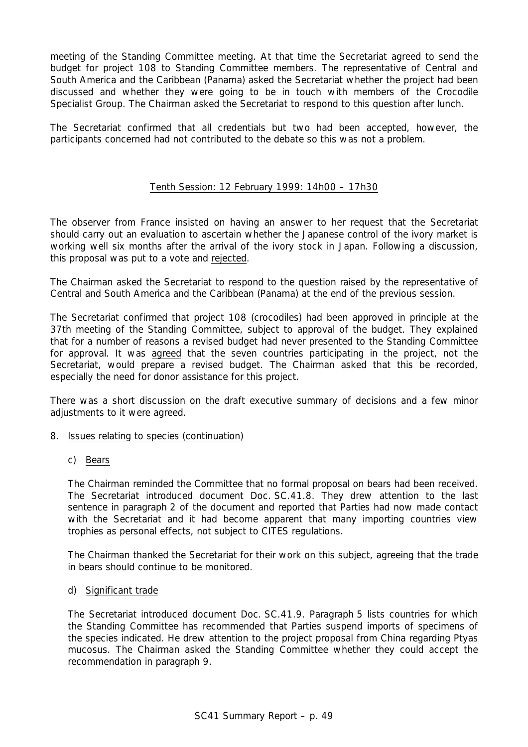meeting of the Standing Committee meeting. At that time the Secretariat agreed to send the budget for project 108 to Standing Committee members. The representative of Central and South America and the Caribbean (Panama) asked the Secretariat whether the project had been discussed and whether they were going to be in touch with members of the Crocodile Specialist Group. The Chairman asked the Secretariat to respond to this question after lunch.

The Secretariat confirmed that all credentials but two had been accepted, however, the participants concerned had not contributed to the debate so this was not a problem.

# Tenth Session: 12 February 1999: 14h00 – 17h30

The observer from France insisted on having an answer to her request that the Secretariat should carry out an evaluation to ascertain whether the Japanese control of the ivory market is working well six months after the arrival of the ivory stock in Japan. Following a discussion, this proposal was put to a vote and rejected.

The Chairman asked the Secretariat to respond to the question raised by the representative of Central and South America and the Caribbean (Panama) at the end of the previous session.

The Secretariat confirmed that project 108 (crocodiles) had been approved in principle at the 37th meeting of the Standing Committee, subject to approval of the budget. They explained that for a number of reasons a revised budget had never presented to the Standing Committee for approval. It was agreed that the seven countries participating in the project, not the Secretariat, would prepare a revised budget. The Chairman asked that this be recorded, especially the need for donor assistance for this project.

There was a short discussion on the draft executive summary of decisions and a few minor adjustments to it were agreed.

- 8. Issues relating to species (continuation)
	- c) Bears

The Chairman reminded the Committee that no formal proposal on bears had been received. The Secretariat introduced document Doc. SC.41.8. They drew attention to the last sentence in paragraph 2 of the document and reported that Parties had now made contact with the Secretariat and it had become apparent that many importing countries view trophies as personal effects, not subject to CITES regulations.

The Chairman thanked the Secretariat for their work on this subject, agreeing that the trade in bears should continue to be monitored.

#### d) Significant trade

The Secretariat introduced document Doc. SC.41.9. Paragraph 5 lists countries for which the Standing Committee has recommended that Parties suspend imports of specimens of the species indicated. He drew attention to the project proposal from China regarding *Ptyas mucosus*. The Chairman asked the Standing Committee whether they could accept the recommendation in paragraph 9.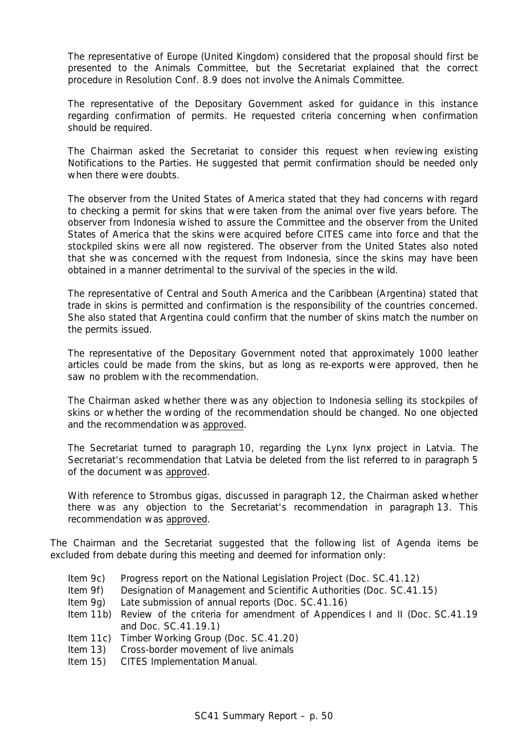The representative of Europe (United Kingdom) considered that the proposal should first be presented to the Animals Committee, but the Secretariat explained that the correct procedure in Resolution Conf. 8.9 does not involve the Animals Committee.

The representative of the Depositary Government asked for guidance in this instance regarding confirmation of permits. He requested criteria concerning when confirmation should be required.

The Chairman asked the Secretariat to consider this request when reviewing existing Notifications to the Parties. He suggested that permit confirmation should be needed only when there were doubts.

The observer from the United States of America stated that they had concerns with regard to checking a permit for skins that were taken from the animal over five years before. The observer from Indonesia wished to assure the Committee and the observer from the United States of America that the skins were acquired before CITES came into force and that the stockpiled skins were all now registered. The observer from the United States also noted that she was concerned with the request from Indonesia, since the skins may have been obtained in a manner detrimental to the survival of the species in the wild.

The representative of Central and South America and the Caribbean (Argentina) stated that trade in skins is permitted and confirmation is the responsibility of the countries concerned. She also stated that Argentina could confirm that the number of skins match the number on the permits issued.

The representative of the Depositary Government noted that approximately 1000 leather articles could be made from the skins, but as long as re-exports were approved, then he saw no problem with the recommendation.

The Chairman asked whether there was any objection to Indonesia selling its stockpiles of skins or whether the wording of the recommendation should be changed. No one objected and the recommendation was approved.

The Secretariat turned to paragraph 10, regarding the *Lynx lynx* project in Latvia. The Secretariat's recommendation that Latvia be deleted from the list referred to in paragraph 5 of the document was approved.

With reference to *Strombus gigas*, discussed in paragraph 12, the Chairman asked whether there was any objection to the Secretariat's recommendation in paragraph 13. This recommendation was approved.

The Chairman and the Secretariat suggested that the following list of Agenda items be excluded from debate during this meeting and deemed for information only:

- Item 9c) Progress report on the National Legislation Project (Doc. SC.41.12)
- Item 9f) Designation of Management and Scientific Authorities (Doc. SC.41.15)
- Item 9g) Late submission of annual reports (Doc. SC.41.16)
- Item 11b) Review of the criteria for amendment of Appendices I and II (Doc. SC.41.19 and Doc. SC.41.19.1)
- Item 11c) Timber Working Group (Doc. SC.41.20)
- Item 13) Cross-border movement of live animals
- Item 15) CITES Implementation Manual.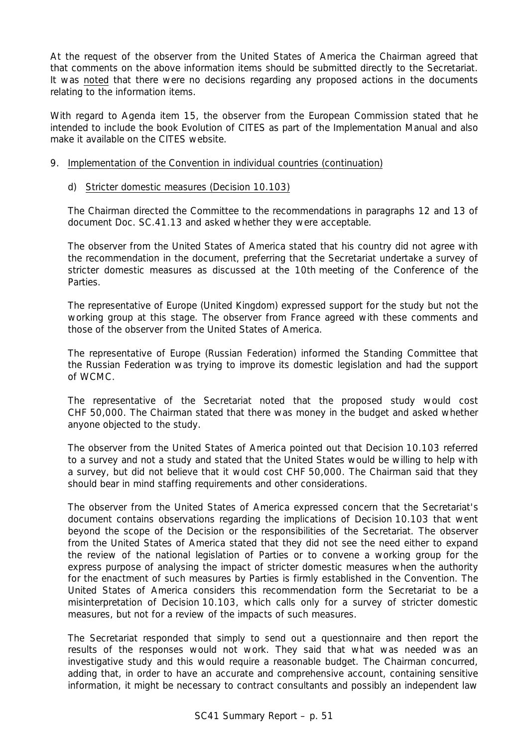At the request of the observer from the United States of America the Chairman agreed that that comments on the above information items should be submitted directly to the Secretariat. It was noted that there were no decisions regarding any proposed actions in the documents relating to the information items.

With regard to Agenda item 15, the observer from the European Commission stated that he intended to include the book Evolution of CITES as part of the Implementation Manual and also make it available on the CITES website.

# 9. Implementation of the Convention in individual countries (continuation)

# d) Stricter domestic measures (Decision 10.103)

The Chairman directed the Committee to the recommendations in paragraphs 12 and 13 of document Doc. SC.41.13 and asked whether they were acceptable.

The observer from the United States of America stated that his country did not agree with the recommendation in the document, preferring that the Secretariat undertake a survey of stricter domestic measures as discussed at the 10th meeting of the Conference of the **Parties** 

The representative of Europe (United Kingdom) expressed support for the study but not the working group at this stage. The observer from France agreed with these comments and those of the observer from the United States of America.

The representative of Europe (Russian Federation) informed the Standing Committee that the Russian Federation was trying to improve its domestic legislation and had the support of WCMC.

The representative of the Secretariat noted that the proposed study would cost CHF 50,000. The Chairman stated that there was money in the budget and asked whether anyone objected to the study.

The observer from the United States of America pointed out that Decision 10.103 referred to a survey and not a study and stated that the United States would be willing to help with a survey, but did not believe that it would cost CHF 50,000. The Chairman said that they should bear in mind staffing requirements and other considerations.

The observer from the United States of America expressed concern that the Secretariat's document contains observations regarding the implications of Decision 10.103 that went beyond the scope of the Decision or the responsibilities of the Secretariat. The observer from the United States of America stated that they did not see the need either to expand the review of the national legislation of Parties or to convene a working group for the express purpose of analysing the impact of stricter domestic measures when the authority for the enactment of such measures by Parties is firmly established in the Convention. The United States of America considers this recommendation form the Secretariat to be a misinterpretation of Decision 10.103, which calls only for a survey of stricter domestic measures, but not for a review of the impacts of such measures.

The Secretariat responded that simply to send out a questionnaire and then report the results of the responses would not work. They said that what was needed was an investigative study and this would require a reasonable budget. The Chairman concurred, adding that, in order to have an accurate and comprehensive account, containing sensitive information, it might be necessary to contract consultants and possibly an independent law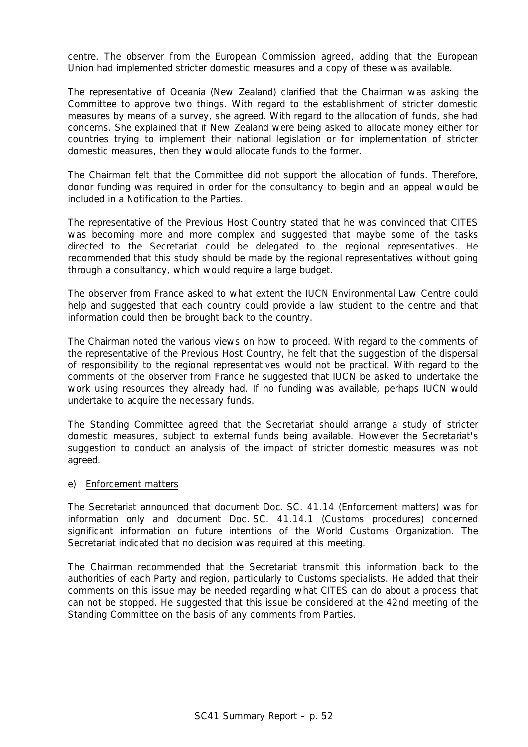centre. The observer from the European Commission agreed, adding that the European Union had implemented stricter domestic measures and a copy of these was available.

The representative of Oceania (New Zealand) clarified that the Chairman was asking the Committee to approve two things. With regard to the establishment of stricter domestic measures by means of a survey, she agreed. With regard to the allocation of funds, she had concerns. She explained that if New Zealand were being asked to allocate money either for countries trying to implement their national legislation or for implementation of stricter domestic measures, then they would allocate funds to the former.

The Chairman felt that the Committee did not support the allocation of funds. Therefore, donor funding was required in order for the consultancy to begin and an appeal would be included in a Notification to the Parties.

The representative of the Previous Host Country stated that he was convinced that CITES was becoming more and more complex and suggested that maybe some of the tasks directed to the Secretariat could be delegated to the regional representatives. He recommended that this study should be made by the regional representatives without going through a consultancy, which would require a large budget.

The observer from France asked to what extent the IUCN Environmental Law Centre could help and suggested that each country could provide a law student to the centre and that information could then be brought back to the country.

The Chairman noted the various views on how to proceed. With regard to the comments of the representative of the Previous Host Country, he felt that the suggestion of the dispersal of responsibility to the regional representatives would not be practical. With regard to the comments of the observer from France he suggested that IUCN be asked to undertake the work using resources they already had. If no funding was available, perhaps IUCN would undertake to acquire the necessary funds.

The Standing Committee agreed that the Secretariat should arrange a study of stricter domestic measures, subject to external funds being available. However the Secretariat's suggestion to conduct an analysis of the impact of stricter domestic measures was not agreed.

### e) Enforcement matters

The Secretariat announced that document Doc. SC. 41.14 (Enforcement matters) was for information only and document Doc. SC. 41.14.1 (Customs procedures) concerned significant information on future intentions of the World Customs Organization. The Secretariat indicated that no decision was required at this meeting.

The Chairman recommended that the Secretariat transmit this information back to the authorities of each Party and region, particularly to Customs specialists. He added that their comments on this issue may be needed regarding what CITES can do about a process that can not be stopped. He suggested that this issue be considered at the 42nd meeting of the Standing Committee on the basis of any comments from Parties.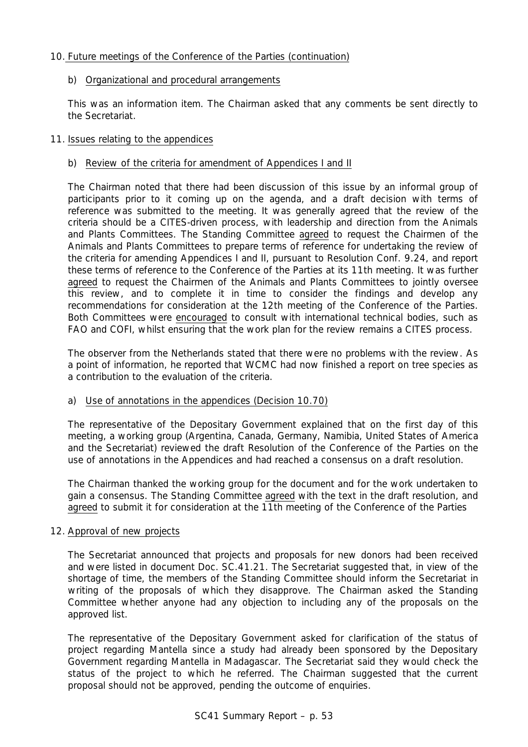# 10. Future meetings of the Conference of the Parties (continuation)

# b) Organizational and procedural arrangements

This was an information item. The Chairman asked that any comments be sent directly to the Secretariat.

# 11. Issues relating to the appendices

# b) Review of the criteria for amendment of Appendices I and II

The Chairman noted that there had been discussion of this issue by an informal group of participants prior to it coming up on the agenda, and a draft decision with terms of reference was submitted to the meeting. It was generally agreed that the review of the criteria should be a CITES-driven process, with leadership and direction from the Animals and Plants Committees. The Standing Committee agreed to request the Chairmen of the Animals and Plants Committees to prepare terms of reference for undertaking the review of the criteria for amending Appendices I and II, pursuant to Resolution Conf. 9.24, and report these terms of reference to the Conference of the Parties at its 11th meeting. It was further agreed to request the Chairmen of the Animals and Plants Committees to jointly oversee this review, and to complete it in time to consider the findings and develop any recommendations for consideration at the 12th meeting of the Conference of the Parties. Both Committees were encouraged to consult with international technical bodies, such as FAO and COFI, whilst ensuring that the work plan for the review remains a CITES process.

The observer from the Netherlands stated that there were no problems with the review. As a point of information, he reported that WCMC had now finished a report on tree species as a contribution to the evaluation of the criteria.

# a) Use of annotations in the appendices (Decision 10.70)

The representative of the Depositary Government explained that on the first day of this meeting, a working group (Argentina, Canada, Germany, Namibia, United States of America and the Secretariat) reviewed the draft Resolution of the Conference of the Parties on the use of annotations in the Appendices and had reached a consensus on a draft resolution.

The Chairman thanked the working group for the document and for the work undertaken to gain a consensus. The Standing Committee agreed with the text in the draft resolution, and agreed to submit it for consideration at the 11th meeting of the Conference of the Parties

# 12. Approval of new projects

The Secretariat announced that projects and proposals for new donors had been received and were listed in document Doc. SC.41.21. The Secretariat suggested that, in view of the shortage of time, the members of the Standing Committee should inform the Secretariat in writing of the proposals of which they disapprove. The Chairman asked the Standing Committee whether anyone had any objection to including any of the proposals on the approved list.

The representative of the Depositary Government asked for clarification of the status of project regarding *Mantella* since a study had already been sponsored by the Depositary Government regarding *Mantella* in Madagascar. The Secretariat said they would check the status of the project to which he referred. The Chairman suggested that the current proposal should not be approved, pending the outcome of enquiries.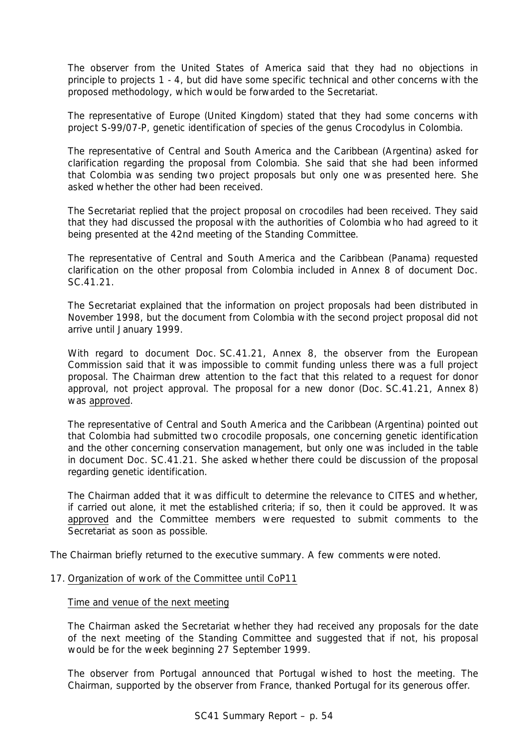The observer from the United States of America said that they had no objections in principle to projects 1 - 4, but did have some specific technical and other concerns with the proposed methodology, which would be forwarded to the Secretariat.

The representative of Europe (United Kingdom) stated that they had some concerns with project S-99/07-P, genetic identification of species of the genus *Crocodylus* in Colombia.

The representative of Central and South America and the Caribbean (Argentina) asked for clarification regarding the proposal from Colombia. She said that she had been informed that Colombia was sending two project proposals but only one was presented here. She asked whether the other had been received.

The Secretariat replied that the project proposal on crocodiles had been received. They said that they had discussed the proposal with the authorities of Colombia who had agreed to it being presented at the 42nd meeting of the Standing Committee.

The representative of Central and South America and the Caribbean (Panama) requested clarification on the other proposal from Colombia included in Annex 8 of document Doc. SC. 41.21.

The Secretariat explained that the information on project proposals had been distributed in November 1998, but the document from Colombia with the second project proposal did not arrive until January 1999.

With regard to document Doc. SC.41.21, Annex 8, the observer from the European Commission said that it was impossible to commit funding unless there was a full project proposal. The Chairman drew attention to the fact that this related to a request for donor approval, not project approval. The proposal for a new donor (Doc. SC.41.21, Annex 8) was approved.

The representative of Central and South America and the Caribbean (Argentina) pointed out that Colombia had submitted two crocodile proposals, one concerning genetic identification and the other concerning conservation management, but only one was included in the table in document Doc. SC.41.21. She asked whether there could be discussion of the proposal regarding genetic identification.

The Chairman added that it was difficult to determine the relevance to CITES and whether, if carried out alone, it met the established criteria; if so, then it could be approved. It was approved and the Committee members were requested to submit comments to the Secretariat as soon as possible.

The Chairman briefly returned to the executive summary. A few comments were noted.

#### 17. Organization of work of the Committee until CoP11

#### Time and venue of the next meeting

The Chairman asked the Secretariat whether they had received any proposals for the date of the next meeting of the Standing Committee and suggested that if not, his proposal would be for the week beginning 27 September 1999.

The observer from Portugal announced that Portugal wished to host the meeting. The Chairman, supported by the observer from France, thanked Portugal for its generous offer.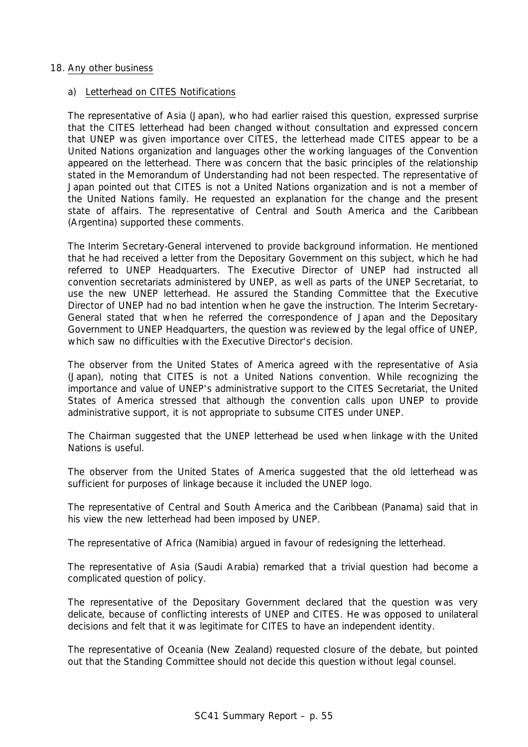### 18. Any other business

### a) Letterhead on CITES Notifications

The representative of Asia (Japan), who had earlier raised this question, expressed surprise that the CITES letterhead had been changed without consultation and expressed concern that UNEP was given importance over CITES, the letterhead made CITES appear to be a United Nations organization and languages other the working languages of the Convention appeared on the letterhead. There was concern that the basic principles of the relationship stated in the Memorandum of Understanding had not been respected. The representative of Japan pointed out that CITES is not a United Nations organization and is not a member of the United Nations family. He requested an explanation for the change and the present state of affairs. The representative of Central and South America and the Caribbean (Argentina) supported these comments.

The Interim Secretary-General intervened to provide background information. He mentioned that he had received a letter from the Depositary Government on this subject, which he had referred to UNEP Headquarters. The Executive Director of UNEP had instructed all convention secretariats administered by UNEP, as well as parts of the UNEP Secretariat, to use the new UNEP letterhead. He assured the Standing Committee that the Executive Director of UNEP had no bad intention when he gave the instruction. The Interim Secretary-General stated that when he referred the correspondence of Japan and the Depositary Government to UNEP Headquarters, the question was reviewed by the legal office of UNEP, which saw no difficulties with the Executive Director's decision.

The observer from the United States of America agreed with the representative of Asia (Japan), noting that CITES is not a United Nations convention. While recognizing the importance and value of UNEP's administrative support to the CITES Secretariat, the United States of America stressed that although the convention calls upon UNEP to provide administrative support, it is not appropriate to subsume CITES under UNEP.

The Chairman suggested that the UNEP letterhead be used when linkage with the United Nations is useful.

The observer from the United States of America suggested that the old letterhead was sufficient for purposes of linkage because it included the UNEP logo.

The representative of Central and South America and the Caribbean (Panama) said that in his view the new letterhead had been imposed by UNEP.

The representative of Africa (Namibia) argued in favour of redesigning the letterhead.

The representative of Asia (Saudi Arabia) remarked that a trivial question had become a complicated question of policy.

The representative of the Depositary Government declared that the question was very delicate, because of conflicting interests of UNEP and CITES. He was opposed to unilateral decisions and felt that it was legitimate for CITES to have an independent identity.

The representative of Oceania (New Zealand) requested closure of the debate, but pointed out that the Standing Committee should not decide this question without legal counsel.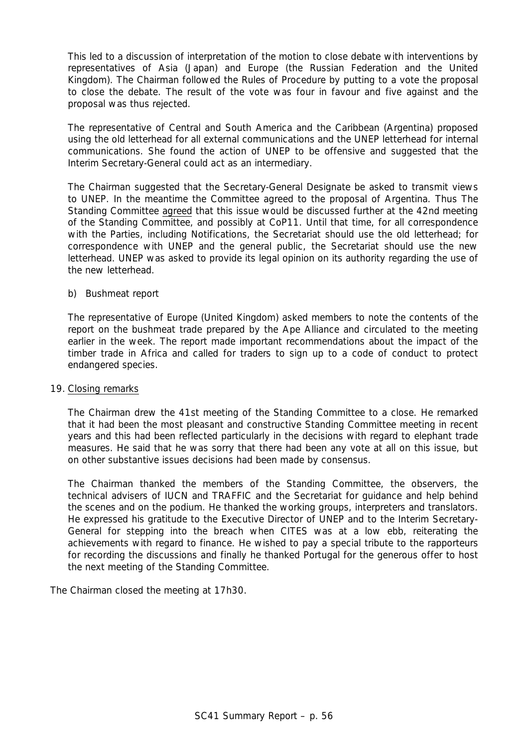This led to a discussion of interpretation of the motion to close debate with interventions by representatives of Asia (Japan) and Europe (the Russian Federation and the United Kingdom). The Chairman followed the Rules of Procedure by putting to a vote the proposal to close the debate. The result of the vote was four in favour and five against and the proposal was thus rejected.

The representative of Central and South America and the Caribbean (Argentina) proposed using the old letterhead for all external communications and the UNEP letterhead for internal communications. She found the action of UNEP to be offensive and suggested that the Interim Secretary-General could act as an intermediary.

The Chairman suggested that the Secretary-General Designate be asked to transmit views to UNEP. In the meantime the Committee agreed to the proposal of Argentina. Thus The Standing Committee agreed that this issue would be discussed further at the 42nd meeting of the Standing Committee, and possibly at CoP11. Until that time, for all correspondence with the Parties, including Notifications, the Secretariat should use the old letterhead; for correspondence with UNEP and the general public, the Secretariat should use the new letterhead. UNEP was asked to provide its legal opinion on its authority regarding the use of the new letterhead.

# b) Bushmeat report

The representative of Europe (United Kingdom) asked members to note the contents of the report on the bushmeat trade prepared by the Ape Alliance and circulated to the meeting earlier in the week. The report made important recommendations about the impact of the timber trade in Africa and called for traders to sign up to a code of conduct to protect endangered species.

#### 19. Closing remarks

The Chairman drew the 41st meeting of the Standing Committee to a close. He remarked that it had been the most pleasant and constructive Standing Committee meeting in recent years and this had been reflected particularly in the decisions with regard to elephant trade measures. He said that he was sorry that there had been any vote at all on this issue, but on other substantive issues decisions had been made by consensus.

The Chairman thanked the members of the Standing Committee, the observers, the technical advisers of IUCN and TRAFFIC and the Secretariat for guidance and help behind the scenes and on the podium. He thanked the working groups, interpreters and translators. He expressed his gratitude to the Executive Director of UNEP and to the Interim Secretary-General for stepping into the breach when CITES was at a low ebb, reiterating the achievements with regard to finance. He wished to pay a special tribute to the rapporteurs for recording the discussions and finally he thanked Portugal for the generous offer to host the next meeting of the Standing Committee.

The Chairman closed the meeting at 17h30.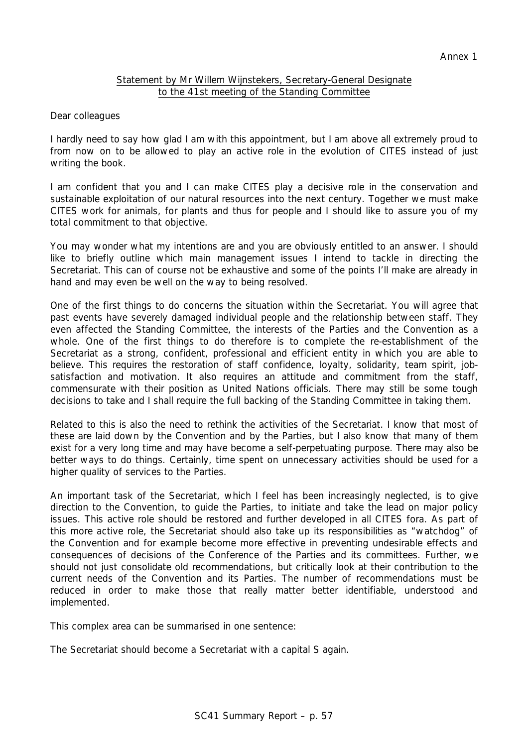# Statement by Mr Willem Wijnstekers, Secretary-General Designate to the 41st meeting of the Standing Committee

Dear colleagues

I hardly need to say how glad I am with this appointment, but I am above all extremely proud to from now on to be allowed to play an active role in the evolution of CITES instead of just writing the book.

I am confident that you and I can make CITES play a decisive role in the conservation and sustainable exploitation of our natural resources into the next century. Together we must make CITES work for animals, for plants and thus for people and I should like to assure you of my total commitment to that objective.

You may wonder what my intentions are and you are obviously entitled to an answer. I should like to briefly outline which main management issues I intend to tackle in directing the Secretariat. This can of course not be exhaustive and some of the points I'll make are already in hand and may even be well on the way to being resolved.

One of the first things to do concerns the situation within the Secretariat. You will agree that past events have severely damaged individual people and the relationship between staff. They even affected the Standing Committee, the interests of the Parties and the Convention as a whole. One of the first things to do therefore is to complete the re-establishment of the Secretariat as a strong, confident, professional and efficient entity in which you are able to believe. This requires the restoration of staff confidence, loyalty, solidarity, team spirit, jobsatisfaction and motivation. It also requires an attitude and commitment from the staff, commensurate with their position as United Nations officials. There may still be some tough decisions to take and I shall require the full backing of the Standing Committee in taking them.

Related to this is also the need to rethink the activities of the Secretariat. I know that most of these are laid down by the Convention and by the Parties, but I also know that many of them exist for a very long time and may have become a self-perpetuating purpose. There may also be better ways to do things. Certainly, time spent on unnecessary activities should be used for a higher quality of services to the Parties.

An important task of the Secretariat, which I feel has been increasingly neglected, is to give direction to the Convention, to guide the Parties, to initiate and take the lead on major policy issues. This active role should be restored and further developed in all CITES fora. As part of this more active role, the Secretariat should also take up its responsibilities as "watchdog" of the Convention and for example become more effective in preventing undesirable effects and consequences of decisions of the Conference of the Parties and its committees. Further, we should not just consolidate old recommendations, but critically look at their contribution to the current needs of the Convention and its Parties. The number of recommendations must be reduced in order to make those that really matter better identifiable, understood and implemented.

This complex area can be summarised in one sentence:

The Secretariat should become a Secretariat with a capital S again.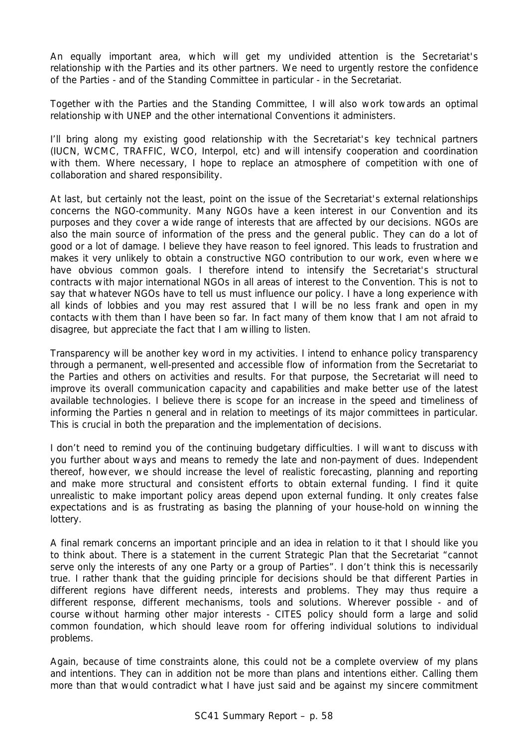An equally important area, which will get my undivided attention is the Secretariat's relationship with the Parties and its other partners. We need to urgently restore the confidence of the Parties - and of the Standing Committee in particular - in the Secretariat.

Together with the Parties and the Standing Committee, I will also work towards an optimal relationship with UNEP and the other international Conventions it administers.

I'll bring along my existing good relationship with the Secretariat's key technical partners (IUCN, WCMC, TRAFFIC, WCO, Interpol, etc) and will intensify cooperation and coordination with them. Where necessary, I hope to replace an atmosphere of competition with one of collaboration and shared responsibility.

At last, but certainly not the least, point on the issue of the Secretariat's external relationships concerns the NGO-community. Many NGOs have a keen interest in our Convention and its purposes and they cover a wide range of interests that are affected by our decisions. NGOs are also the main source of information of the press and the general public. They can do a lot of good or a lot of damage. I believe they have reason to feel ignored. This leads to frustration and makes it very unlikely to obtain a constructive NGO contribution to our work, even where we have obvious common goals. I therefore intend to intensify the Secretariat's structural contracts with major international NGOs in all areas of interest to the Convention. This is not to say that whatever NGOs have to tell us must influence our policy. I have a long experience with all kinds of lobbies and you may rest assured that I will be no less frank and open in my contacts with them than I have been so far. In fact many of them know that I am not afraid to disagree, but appreciate the fact that I am willing to listen.

Transparency will be another key word in my activities. I intend to enhance policy transparency through a permanent, well-presented and accessible flow of information from the Secretariat to the Parties and others on activities and results. For that purpose, the Secretariat will need to improve its overall communication capacity and capabilities and make better use of the latest available technologies. I believe there is scope for an increase in the speed and timeliness of informing the Parties n general and in relation to meetings of its major committees in particular. This is crucial in both the preparation and the implementation of decisions.

I don't need to remind you of the continuing budgetary difficulties. I will want to discuss with you further about ways and means to remedy the late and non-payment of dues. Independent thereof, however, we should increase the level of realistic forecasting, planning and reporting and make more structural and consistent efforts to obtain external funding. I find it quite unrealistic to make important policy areas depend upon external funding. It only creates false expectations and is as frustrating as basing the planning of your house-hold on winning the lottery.

A final remark concerns an important principle and an idea in relation to it that I should like you to think about. There is a statement in the current Strategic Plan that the Secretariat "cannot serve only the interests of any one Party or a group of Parties". I don't think this is necessarily true. I rather thank that the guiding principle for decisions should be that different Parties in different regions have different needs, interests and problems. They may thus require a different response, different mechanisms, tools and solutions. Wherever possible - and of course without harming other major interests - CITES policy should form a large and solid common foundation, which should leave room for offering individual solutions to individual problems.

Again, because of time constraints alone, this could not be a complete overview of my plans and intentions. They can in addition not be more than plans and intentions either. Calling them more than that would contradict what I have just said and be against my sincere commitment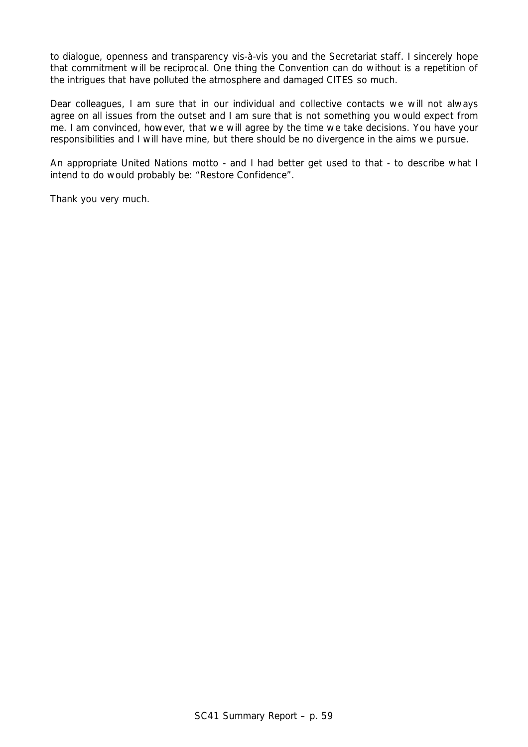to dialogue, openness and transparency vis-à-vis you and the Secretariat staff. I sincerely hope that commitment will be reciprocal. One thing the Convention can do without is a repetition of the intrigues that have polluted the atmosphere and damaged CITES so much.

Dear colleagues, I am sure that in our individual and collective contacts we will not always agree on all issues from the outset and I am sure that is not something you would expect from me. I am convinced, however, that we will agree by the time we take decisions. You have your responsibilities and I will have mine, but there should be no divergence in the aims we pursue.

An appropriate United Nations motto - and I had better get used to that - to describe what I intend to do would probably be: "*Restore Confidence*".

Thank you very much.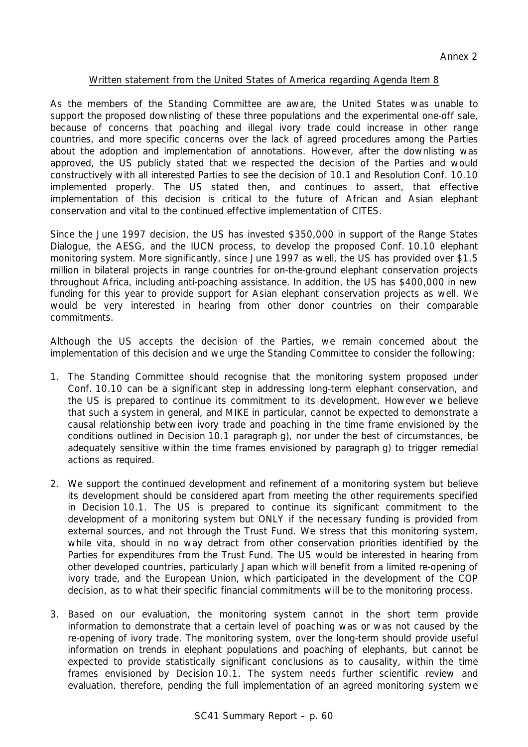# Written statement from the United States of America regarding Agenda Item 8

As the members of the Standing Committee are aware, the United States was unable to support the proposed downlisting of these three populations and the experimental one-off sale, because of concerns that poaching and illegal ivory trade could increase in other range countries, and more specific concerns over the lack of agreed procedures among the Parties about the adoption and implementation of annotations. However, after the downlisting was approved, the US publicly stated that we respected the decision of the Parties and would constructively with all interested Parties to see the decision of 10.1 and Resolution Conf. 10.10 implemented properly. The US stated then, and continues to assert, that effective implementation of this decision is critical to the future of African and Asian elephant conservation and vital to the continued effective implementation of CITES.

Since the June 1997 decision, the US has invested \$350,000 in support of the Range States Dialogue, the AESG, and the IUCN process, to develop the proposed Conf. 10.10 elephant monitoring system. More significantly, since June 1997 as well, the US has provided over \$1.5 million in bilateral projects in range countries for on-the-ground elephant conservation projects throughout Africa, including anti-poaching assistance. In addition, the US has \$400,000 in new funding for this year to provide support for Asian elephant conservation projects as well. We would be very interested in hearing from other donor countries on their comparable commitments.

Although the US accepts the decision of the Parties, we remain concerned about the implementation of this decision and we urge the Standing Committee to consider the following:

- 1. The Standing Committee should recognise that the monitoring system proposed under Conf. 10.10 can be a significant step in addressing long-term elephant conservation, and the US is prepared to continue its commitment to its development. However we believe that such a system in general, and MIKE in particular, cannot be expected to demonstrate a causal relationship between ivory trade and poaching in the time frame envisioned by the conditions outlined in Decision 10.1 paragraph g), nor under the best of circumstances, be adequately sensitive within the time frames envisioned by paragraph g) to trigger remedial actions as required.
- 2. We support the continued development and refinement of a monitoring system but believe its development should be considered apart from meeting the other requirements specified in Decision 10.1. The US is prepared to continue its significant commitment to the development of a monitoring system but ONLY if the necessary funding is provided from external sources, and not through the Trust Fund. We stress that this monitoring system, while vita, should in no way detract from other conservation priorities identified by the Parties for expenditures from the Trust Fund. The US would be interested in hearing from other developed countries, particularly Japan which will benefit from a limited re-opening of ivory trade, and the European Union, which participated in the development of the COP decision, as to what their specific financial commitments will be to the monitoring process.
- 3. Based on our evaluation, the monitoring system cannot in the short term provide information to demonstrate that a certain level of poaching was or was not caused by the re-opening of ivory trade. The monitoring system, over the long-term should provide useful information on trends in elephant populations and poaching of elephants, but cannot be expected to provide statistically significant conclusions as to causality, within the time frames envisioned by Decision 10.1. The system needs further scientific review and evaluation. therefore, pending the full implementation of an agreed monitoring system we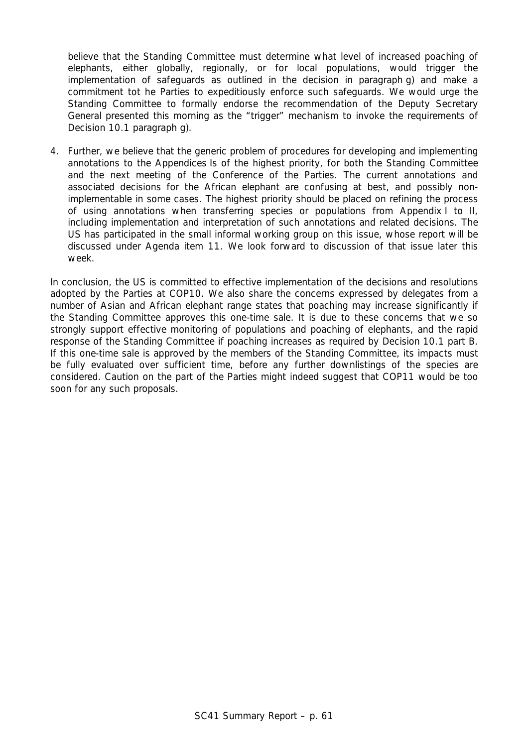believe that the Standing Committee must determine what level of increased poaching of elephants, either globally, regionally, or for local populations, would trigger the implementation of safeguards as outlined in the decision in paragraph g) and make a commitment tot he Parties to expeditiously enforce such safeguards. We would urge the Standing Committee to formally endorse the recommendation of the Deputy Secretary General presented this morning as the "trigger" mechanism to invoke the requirements of Decision 10.1 paragraph g).

4. Further, we believe that the generic problem of procedures for developing and implementing annotations to the Appendices Is of the highest priority, for both the Standing Committee and the next meeting of the Conference of the Parties. The current annotations and associated decisions for the African elephant are confusing at best, and possibly nonimplementable in some cases. The highest priority should be placed on refining the process of using annotations when transferring species or populations from Appendix I to II, including implementation and interpretation of such annotations and related decisions. The US has participated in the small informal working group on this issue, whose report will be discussed under Agenda item 11. We look forward to discussion of that issue later this week.

In conclusion, the US is committed to effective implementation of the decisions and resolutions adopted by the Parties at COP10. We also share the concerns expressed by delegates from a number of Asian and African elephant range states that poaching may increase significantly if the Standing Committee approves this one-time sale. It is due to these concerns that we so strongly support effective monitoring of populations and poaching of elephants, and the rapid response of the Standing Committee if poaching increases as required by Decision 10.1 part B. If this one-time sale is approved by the members of the Standing Committee, its impacts must be fully evaluated over sufficient time, before any further downlistings of the species are considered. Caution on the part of the Parties might indeed suggest that COP11 would be too soon for any such proposals.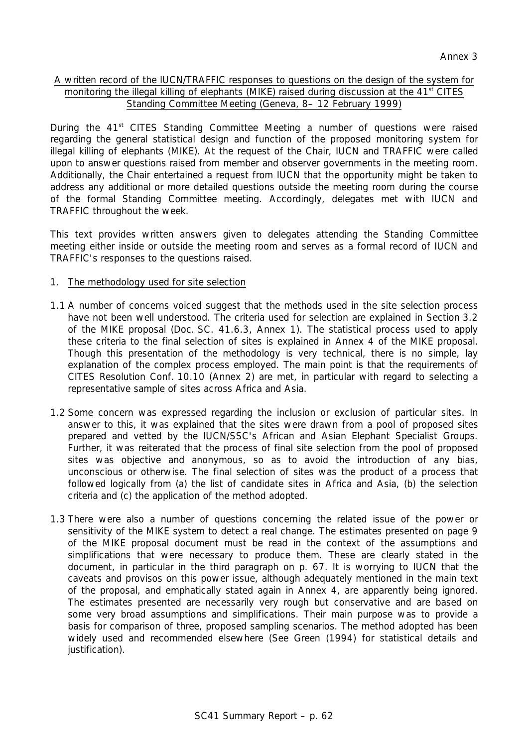# A written record of the IUCN/TRAFFIC responses to questions on the design of the system for monitoring the illegal killing of elephants (MIKE) raised during discussion at the 41<sup>st</sup> CITES Standing Committee Meeting (Geneva, 8– 12 February 1999)

During the 41<sup>st</sup> CITES Standing Committee Meeting a number of questions were raised regarding the general statistical design and function of the proposed monitoring system for illegal killing of elephants (MIKE). At the request of the Chair, IUCN and TRAFFIC were called upon to answer questions raised from member and observer governments in the meeting room. Additionally, the Chair entertained a request from IUCN that the opportunity might be taken to address any additional or more detailed questions outside the meeting room during the course of the formal Standing Committee meeting. Accordingly, delegates met with IUCN and TRAFFIC throughout the week.

This text provides written answers given to delegates attending the Standing Committee meeting either inside or outside the meeting room and serves as a formal record of IUCN and TRAFFIC's responses to the questions raised.

# 1. The methodology used for site selection

- 1.1 A number of concerns voiced suggest that the methods used in the site selection process have not been well understood. The criteria used for selection are explained in Section 3.2 of the MIKE proposal (Doc. SC. 41.6.3, Annex 1). The statistical process used to apply these criteria to the final selection of sites is explained in Annex 4 of the MIKE proposal. Though this presentation of the methodology is very technical, there is no simple, lay explanation of the complex process employed. The main point is that the requirements of CITES Resolution Conf. 10.10 (Annex 2) are met, in particular with regard to selecting a representative sample of sites across Africa and Asia.
- 1.2 Some concern was expressed regarding the inclusion or exclusion of particular sites. In answer to this, it was explained that the sites were drawn from a pool of proposed sites prepared and vetted by the IUCN/SSC's African and Asian Elephant Specialist Groups. Further, it was reiterated that the process of final site selection from the pool of proposed sites was objective and anonymous, so as to avoid the introduction of any bias, unconscious or otherwise. The final selection of sites was the product of a process that followed logically from (a) the list of candidate sites in Africa and Asia, (b) the selection criteria and (c) the application of the method adopted.
- 1.3 There were also a number of questions concerning the related issue of the power or sensitivity of the MIKE system to detect a real change. The estimates presented on page 9 of the MIKE proposal document *must be read in the context of the assumptions and simplifications* that were necessary to produce them. These are clearly stated in the document, in particular in the third paragraph on p. 67. It is worrying to IUCN that the caveats and provisos on this power issue, although adequately mentioned in the main text of the proposal, and emphatically stated again in Annex 4, are apparently being ignored. The estimates presented are necessarily very rough *but conservative* and are based on some very broad assumptions and simplifications. Their main purpose was to provide a basis for comparison of three, proposed sampling scenarios. The method adopted has been widely used and recommended elsewhere (See Green (1994) for statistical details and justification).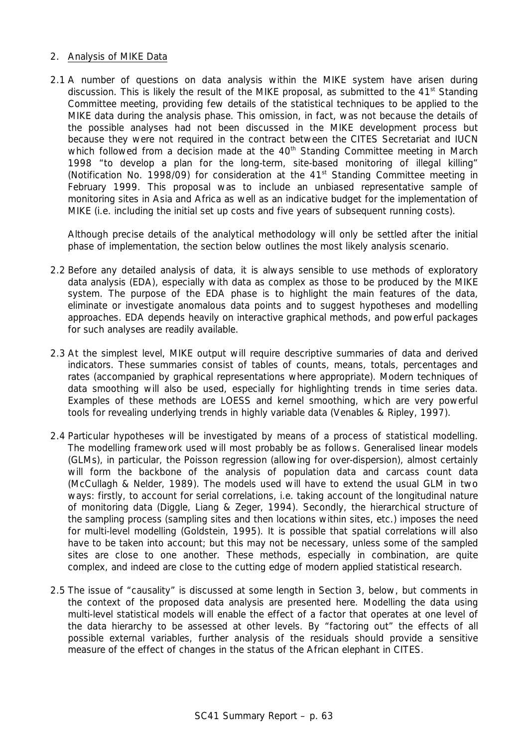### 2. Analysis of MIKE Data

2.1 A number of questions on data analysis within the MIKE system have arisen during discussion. This is likely the result of the MIKE proposal, as submitted to the 41<sup>st</sup> Standing Committee meeting, providing few details of the statistical techniques to be applied to the MIKE data during the analysis phase. This omission, in fact, was not because the details of the possible analyses had not been discussed in the MIKE development process but because they were not required in the contract between the CITES Secretariat and IUCN which followed from a decision made at the 40<sup>th</sup> Standing Committee meeting in March 1998 "to develop a plan for the long-term, site-based monitoring of illegal killing" (Notification No. 1998/09) for consideration at the  $41<sup>st</sup>$  Standing Committee meeting in February 1999. This proposal was to include an unbiased representative sample of monitoring sites in Asia and Africa as well as an indicative budget for the implementation of MIKE (i.e. including the initial set up costs and five years of subsequent running costs).

Although precise details of the analytical methodology will only be settled after the initial phase of implementation, the section below outlines the most likely analysis scenario.

- 2.2 Before any detailed analysis of data, it is always sensible to use methods of exploratory data analysis (EDA), especially with data as complex as those to be produced by the MIKE system. The purpose of the EDA phase is to highlight the main features of the data, eliminate or investigate anomalous data points and to suggest hypotheses and modelling approaches. EDA depends heavily on interactive graphical methods, and powerful packages for such analyses are readily available.
- 2.3 At the simplest level, MIKE output will require descriptive summaries of data and derived indicators. These summaries consist of tables of counts, means, totals, percentages and rates (accompanied by graphical representations where appropriate). Modern techniques of *data smoothing* will also be used, especially for highlighting *trends* in time series data. Examples of these methods are LOESS and kernel smoothing, which are very powerful tools for revealing underlying trends in highly variable data (Venables & Ripley, 1997).
- 2.4 Particular hypotheses will be investigated by means of a process of statistical modelling. The modelling framework used will most probably be as follows. Generalised linear models (GLMs), in particular, the Poisson regression (allowing for over-dispersion), almost certainly will form the backbone of the analysis of population data and carcass count data (McCullagh & Nelder, 1989). The models used will have to extend the usual GLM in two ways: firstly, to account for serial correlations, i.e. taking account of the longitudinal nature of monitoring data (Diggle, Liang & Zeger, 1994). Secondly, the hierarchical structure of the sampling process (sampling sites and then locations within sites, etc.) imposes the need for multi-level modelling (Goldstein, 1995). It is possible that spatial correlations will also have to be taken into account; but this may not be necessary, unless some of the sampled sites are close to one another. These methods, especially in combination, are quite complex, and indeed are close to the cutting edge of modern applied statistical research.
- 2.5 The issue of "causality" is discussed at some length in Section 3, below, but comments in the context of the proposed data analysis are presented here. Modelling the data using multi-level statistical models will enable the effect of a factor that operates at one level of the data hierarchy to be assessed at other levels. By "factoring out" the effects of all possible external variables, further analysis of the residuals should provide a sensitive measure of the effect of changes in the status of the African elephant in CITES.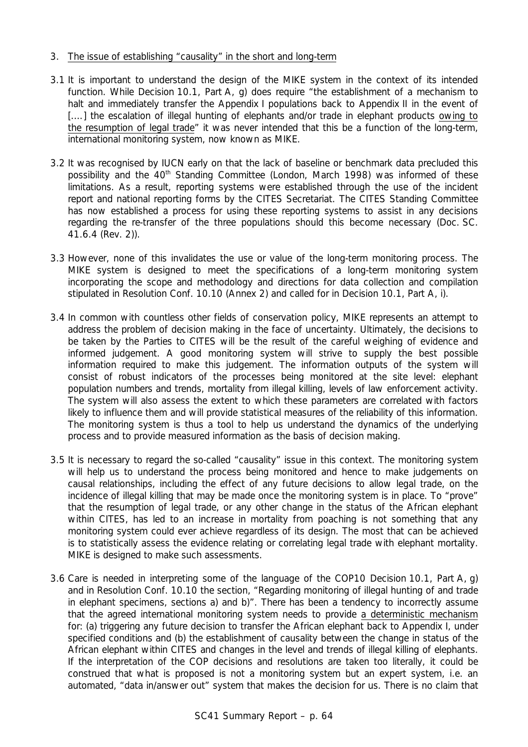# 3. The issue of establishing "causality" in the short and long-term

- 3.1 It is important to understand the design of the MIKE system in the context of its intended function. While Decision 10.1, Part A, g) does require "the establishment of a mechanism to halt and immediately transfer the Appendix I populations back to Appendix II in the event of [....] the escalation of illegal hunting of elephants and/or trade in elephant products owing to the resumption of legal trade" it was never intended that this be a function of the long-term, international monitoring system, now known as MIKE.
- 3.2 It was recognised by IUCN early on that the lack of baseline or benchmark data precluded this possibility and the 40<sup>th</sup> Standing Committee (London, March 1998) was informed of these limitations. As a result, reporting systems were established through the use of the incident report and national reporting forms by the CITES Secretariat. The CITES Standing Committee has now established a process for using these reporting systems to assist in any decisions regarding the re-transfer of the three populations should this become necessary (Doc. SC. 41.6.4 (Rev. 2)).
- 3.3 However, none of this invalidates the use or value of the long-term monitoring process. The MIKE system is designed to meet the specifications of a long-term monitoring system incorporating the scope and methodology and directions for data collection and compilation stipulated in Resolution Conf. 10.10 (Annex 2) and called for in Decision 10.1, Part A, i).
- 3.4 In common with countless other fields of conservation policy, MIKE represents an attempt to address the problem of decision making in the face of uncertainty. Ultimately, the decisions to be taken by the Parties to CITES will be the result of the careful weighing of evidence and informed judgement. A good monitoring system will strive to supply the best possible information required to make this judgement. The information outputs of the system will consist of robust indicators of the processes being monitored at the site level: elephant population numbers and trends, mortality from illegal killing, levels of law enforcement activity. The system will also assess the extent to which these parameters are correlated with factors likely to influence them and will provide statistical measures of the *reliability* of this information. The monitoring system is thus a tool to help us understand the dynamics of the underlying process and to provide measured information as the basis of decision making.
- 3.5 It is necessary to regard the so-called "causality" issue in this context. The monitoring system will help us to understand the process being monitored and hence to make *judgements* on causal relationships, including the effect of any future decisions to allow legal trade, on the incidence of illegal killing that may be made once the monitoring system is in place. To "prove" that the resumption of legal trade, or any other change in the status of the African elephant within CITES, has led to an increase in mortality from poaching is not something that any monitoring system could ever achieve regardless of its design. The most that can be achieved is to statistically assess the evidence relating or correlating legal trade with elephant mortality. MIKE is designed to make such assessments.
- 3.6 Care is needed in interpreting some of the language of the COP10 Decision 10.1, Part A, g) and in Resolution Conf. 10.10 the section, "Regarding monitoring of illegal hunting of and trade in elephant specimens, sections a) and b)". There has been a tendency to incorrectly assume that the agreed international monitoring system needs to provide a deterministic mechanism for: (a) triggering any future decision to transfer the African elephant back to Appendix I, under specified conditions and (b) the establishment of causality between the change in status of the African elephant within CITES and changes in the level and trends of illegal killing of elephants. If the interpretation of the COP decisions and resolutions are taken too literally, it could be construed that what is proposed is not a monitoring system but an *expert system*, i.e. an automated, "data in/answer out" system that makes the decision for us. There is no claim that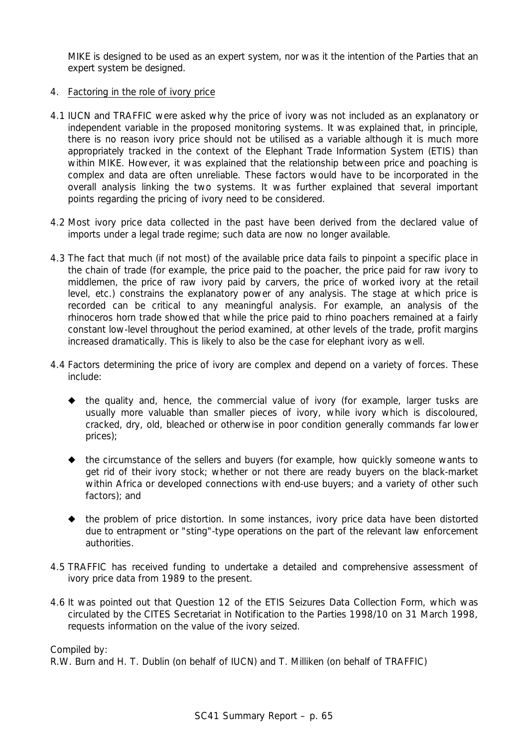MIKE is designed to be used as an expert system, nor was it the intention of the Parties that an expert system be designed.

# 4. Factoring in the role of ivory price

- 4.1 IUCN and TRAFFIC were asked why the price of ivory was not included as an explanatory or independent variable in the proposed monitoring systems. It was explained that, in principle, there is no reason ivory price should not be utilised as a variable although it is much more appropriately tracked in the context of the Elephant Trade Information System (ETIS) than within MIKE. However, it was explained that the relationship between price and poaching is complex and data are often unreliable. These factors would have to be incorporated in the overall analysis linking the two systems. It was further explained that several important points regarding the pricing of ivory need to be considered.
- 4.2 Most ivory price data collected in the past have been derived from the declared value of imports under a legal trade regime; such data are now no longer available.
- 4.3 The fact that much (if not most) of the available price data fails to pinpoint a specific place in the chain of trade (for example, the price paid to the poacher, the price paid for raw ivory to middlemen, the price of raw ivory paid by carvers, the price of worked ivory at the retail level, etc.) constrains the explanatory power of any analysis. The stage at which price is recorded can be critical to any meaningful analysis. For example, an analysis of the rhinoceros horn trade showed that while the price paid to rhino poachers remained at a fairly constant low-level throughout the period examined, at other levels of the trade, profit margins increased dramatically. This is likely to also be the case for elephant ivory as well.
- 4.4 Factors determining the price of ivory are complex and depend on a variety of forces. These include:
	- $\bullet$  the quality and, hence, the commercial value of ivory (for example, larger tusks are usually more valuable than smaller pieces of ivory, while ivory which is discoloured, cracked, dry, old, bleached or otherwise in poor condition generally commands far lower prices);
	- ! the circumstance of the sellers and buyers (for example, how quickly someone wants to get rid of their ivory stock; whether or not there are ready buyers on the black-market within Africa or developed connections with end-use buyers; and a variety of other such factors); and
	- $\blacklozenge$  the problem of price distortion. In some instances, ivory price data have been distorted due to entrapment or "sting"-type operations on the part of the relevant law enforcement authorities.
- 4.5 TRAFFIC has received funding to undertake a detailed and comprehensive assessment of ivory price data from 1989 to the present.
- 4.6 It was pointed out that Question 12 of the ETIS Seizures Data Collection Form, which was circulated by the CITES Secretariat in Notification to the Parties 1998/10 on 31 March 1998, requests information on the value of the ivory seized.

Compiled by:

R.W. Burn and H. T. Dublin (on behalf of IUCN) and T. Milliken (on behalf of TRAFFIC)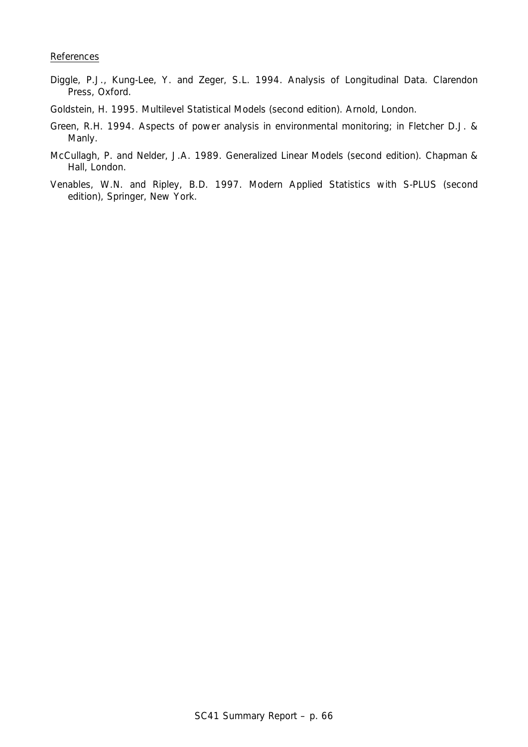#### References

- Diggle, P.J., Kung-Lee, Y. and Zeger, S.L. 1994. *Analysis of Longitudinal Data*. Clarendon Press, Oxford.
- Goldstein, H. 1995. *Multilevel Statistical Models (second edition).* Arnold, London.
- Green, R.H. 1994. Aspects of power analysis in environmental monitoring; in Fletcher D.J. & Manly.
- McCullagh, P. and Nelder, J.A. 1989. *Generalized Linear Models (second edition)*. Chapman & Hall, London.
- Venables, W.N. and Ripley, B.D. 1997. *Modern Applied Statistics with S-PLUS (second edition),* Springer, New York.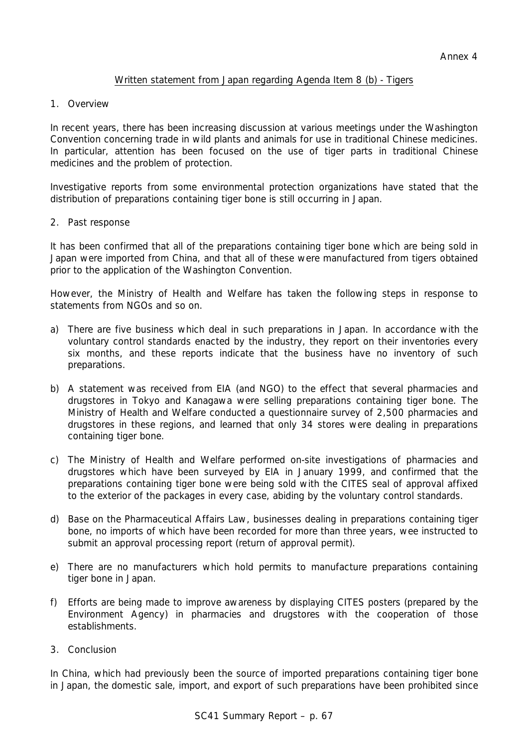# Written statement from Japan regarding Agenda Item 8 (b) - Tigers

1. Overview

In recent years, there has been increasing discussion at various meetings under the Washington Convention concerning trade in wild plants and animals for use in traditional Chinese medicines. In particular, attention has been focused on the use of tiger parts in traditional Chinese medicines and the problem of protection.

Investigative reports from some environmental protection organizations have stated that the distribution of preparations containing tiger bone is still occurring in Japan.

2. Past response

It has been confirmed that all of the preparations containing tiger bone which are being sold in Japan were imported from China, and that all of these were manufactured from tigers obtained prior to the application of the Washington Convention.

However, the Ministry of Health and Welfare has taken the following steps in response to statements from NGOs and so on.

- a) There are five business which deal in such preparations in Japan. In accordance with the voluntary control standards enacted by the industry, they report on their inventories every six months, and these reports indicate that the business have no inventory of such preparations.
- b) A statement was received from EIA (and NGO) to the effect that several pharmacies and drugstores in Tokyo and Kanagawa were selling preparations containing tiger bone. The Ministry of Health and Welfare conducted a questionnaire survey of 2,500 pharmacies and drugstores in these regions, and learned that only 34 stores were dealing in preparations containing tiger bone.
- c) The Ministry of Health and Welfare performed on-site investigations of pharmacies and drugstores which have been surveyed by EIA in January 1999, and confirmed that the preparations containing tiger bone were being sold with the CITES seal of approval affixed to the exterior of the packages in every case, abiding by the voluntary control standards.
- d) Base on the Pharmaceutical Affairs Law, businesses dealing in preparations containing tiger bone, no imports of which have been recorded for more than three years, wee instructed to submit an approval processing report (return of approval permit).
- e) There are no manufacturers which hold permits to manufacture preparations containing tiger bone in Japan.
- f) Efforts are being made to improve awareness by displaying CITES posters (prepared by the Environment Agency) in pharmacies and drugstores with the cooperation of those establishments.
- 3. Conclusion

In China, which had previously been the source of imported preparations containing tiger bone in Japan, the domestic sale, import, and export of such preparations have been prohibited since